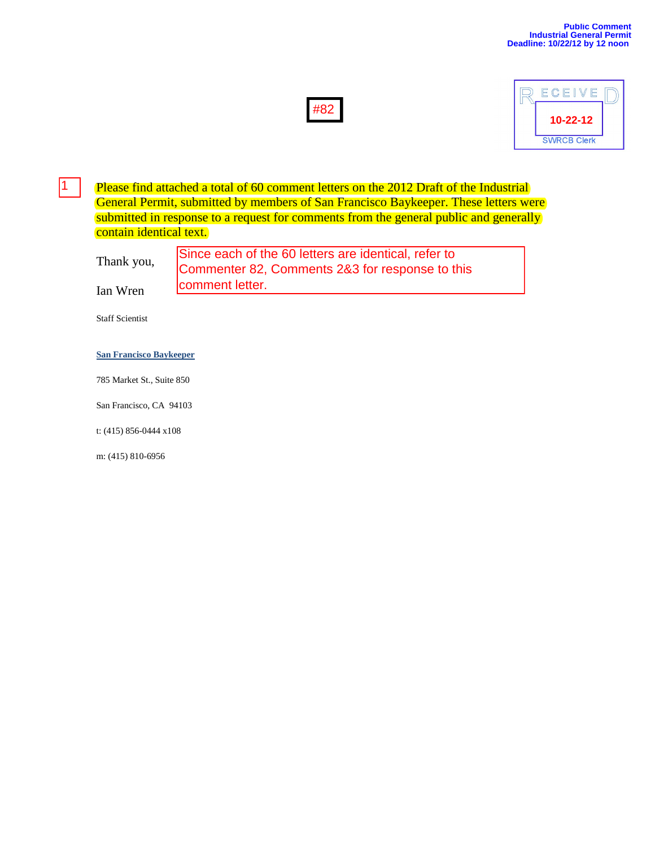



Please find attached a total of 60 comment letters on the 2012 Draft of the Industrial General Permit, submitted by members of San Francisco Baykeeper. These letters were submitted in response to a request for comments from the general public and generally contain identical text.

| Thank you, | Since each of the 60 letters are identical, refer to |
|------------|------------------------------------------------------|
|            | Commenter 82, Comments 2&3 for response to this      |
| Ian Wren   | comment letter.                                      |
|            |                                                      |

Staff Scientist

1

### **[San Francisco Baykeeper](http://www.baykeeper.org/)**

785 Market St., Suite 850

San Francisco, CA 94103

t: (415) 856-0444 x108

m: (415) 810-6956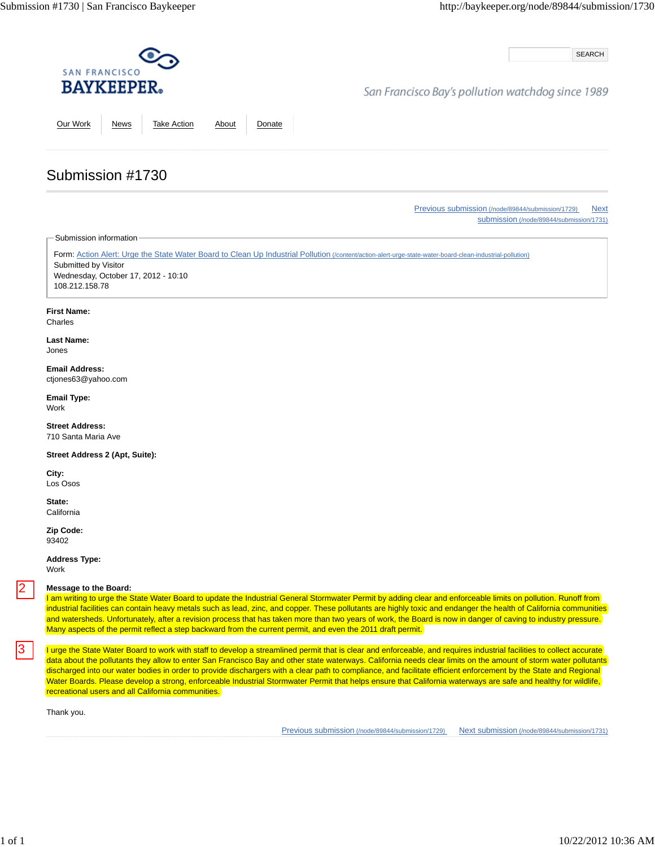SEARCH

### San Francisco Bay's pollution watchdog since 1989

Our Work News Take Action About Donate

# Submission #1730

Previous submission (/node/89844/submission/1729) Next submission (/node/89844/submission/1731)

Submission information

Form: Action Alert: Urge the State Water Board to Clean Up Industrial Pollution (/content/action-alert-urge-state-water-board-clean-industrial-pollution) Submitted by Visitor Wednesday, October 17, 2012 - 10:10 108.212.158.78

#### **First Name:**

Charles

#### **Last Name:** Jones

**Email Address:** ctjones63@yahoo.com

**Email Type:** Work

**Street Address:** 710 Santa Maria Ave

**Street Address 2 (Apt, Suite):**

**City:** Los Osos

**State: California** 

**Zip Code:** 93402

**Address Type:**

Work

3

### **Message to the Board:**

I am writing to urge the State Water Board to update the Industrial General Stormwater Permit by adding clear and enforceable limits on pollution. Runoff from industrial facilities can contain heavy metals such as lead, zinc, and copper. These pollutants are highly toxic and endanger the health of California communities and watersheds. Unfortunately, after a revision process that has taken more than two years of work, the Board is now in danger of caving to industry pressure. Many aspects of the permit reflect a step backward from the current permit, and even the 2011 draft permit.

I urge the State Water Board to work with staff to develop a streamlined permit that is clear and enforceable, and requires industrial facilities to collect accurate data about the pollutants they allow to enter San Francisco Bay and other state waterways. California needs clear limits on the amount of storm water pollutants discharged into our water bodies in order to provide dischargers with a clear path to compliance, and facilitate efficient enforcement by the State and Regional Water Boards. Please develop a strong, enforceable Industrial Stormwater Permit that helps ensure that California waterways are safe and healthy for wildlife, recreational users and all California communities. Message to the Board: Constrained by distribute in the method in the method in the method in the method in the method in the method in the method in the method in the method in the method in the method in the method in the

Thank you.

Previous submission (/node/89844/submission/1729) Next submission (/node/89844/submission/1731)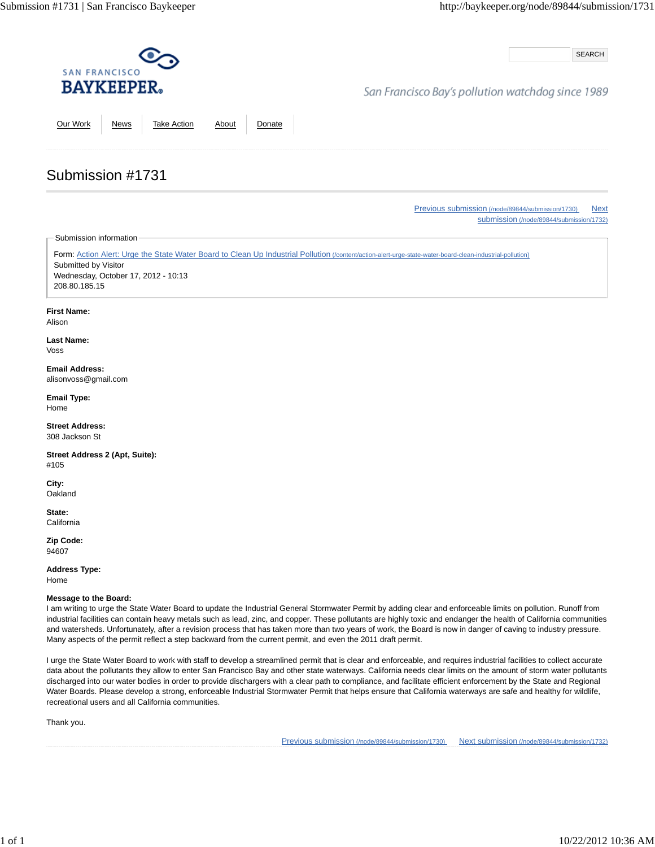SEARCH

## San Francisco Bay's pollution watchdog since 1989

Our Work News Take Action About Donate

# Submission #1731

Previous submission (/node/89844/submission/1730) Next submission (/node/89844/submission/1732)

Submission information

Form: Action Alert: Urge the State Water Board to Clean Up Industrial Pollution (/content/action-alert-urge-state-water-board-clean-industrial-pollution) Submitted by Visitor Wednesday, October 17, 2012 - 10:13 208.80.185.15

### **First Name:**

Alison

**Last Name:** Voss

**Email Address:** alisonvoss@gmail.com

**Email Type:** Home

**Street Address:** 308 Jackson St

**Street Address 2 (Apt, Suite):** #105

**City: Oakland** 

**State: California** 

**Zip Code:** 94607

**Address Type:** Home

#### **Message to the Board:**

I am writing to urge the State Water Board to update the Industrial General Stormwater Permit by adding clear and enforceable limits on pollution. Runoff from industrial facilities can contain heavy metals such as lead, zinc, and copper. These pollutants are highly toxic and endanger the health of California communities and watersheds. Unfortunately, after a revision process that has taken more than two years of work, the Board is now in danger of caving to industry pressure. Many aspects of the permit reflect a step backward from the current permit, and even the 2011 draft permit.

I urge the State Water Board to work with staff to develop a streamlined permit that is clear and enforceable, and requires industrial facilities to collect accurate data about the pollutants they allow to enter San Francisco Bay and other state waterways. California needs clear limits on the amount of storm water pollutants discharged into our water bodies in order to provide dischargers with a clear path to compliance, and facilitate efficient enforcement by the State and Regional Water Boards. Please develop a strong, enforceable Industrial Stormwater Permit that helps ensure that California waterways are safe and healthy for wildlife, recreational users and all California communities.

Thank you.

Previous submission (/node/89844/submission/1730) Next submission (/node/89844/submission/1732)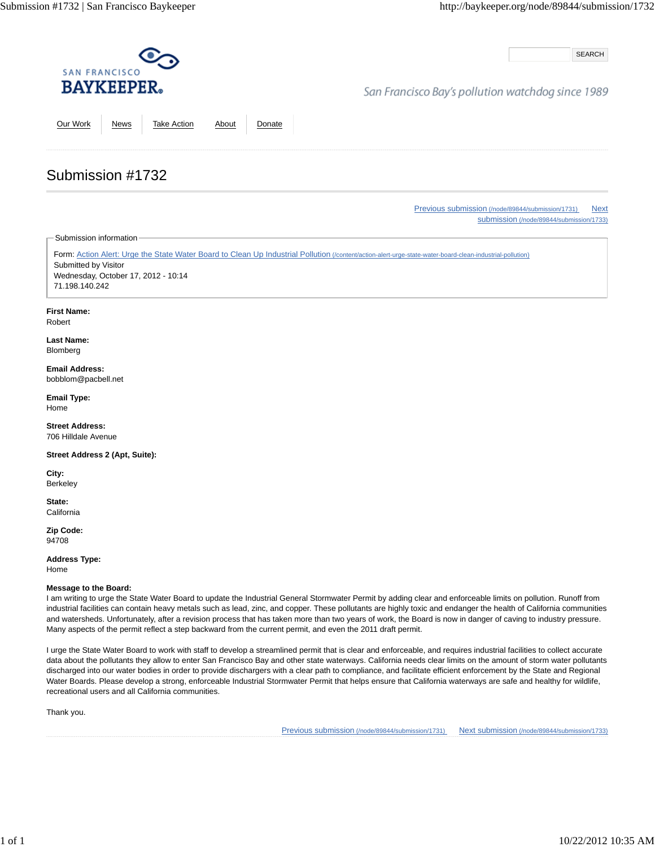SEARCH

## San Francisco Bay's pollution watchdog since 1989

Our Work News Take Action About Donate

# Submission #1732

Previous submission (/node/89844/submission/1731) Next submission (/node/89844/submission/1733)

Submission information

Form: Action Alert: Urge the State Water Board to Clean Up Industrial Pollution (/content/action-alert-urge-state-water-board-clean-industrial-pollution) Submitted by Visitor Wednesday, October 17, 2012 - 10:14 71.198.140.242

### **First Name:**

Robert

**Last Name:** Blomberg

#### **Email Address:** bobblom@pacbell.net

**Email Type:** Home

**Street Address:** 706 Hilldale Avenue

**Street Address 2 (Apt, Suite):**

**City:** Berkeley

**State: California** 

**Zip Code:** 94708

**Address Type:** Home

**Message to the Board:**

I am writing to urge the State Water Board to update the Industrial General Stormwater Permit by adding clear and enforceable limits on pollution. Runoff from industrial facilities can contain heavy metals such as lead, zinc, and copper. These pollutants are highly toxic and endanger the health of California communities and watersheds. Unfortunately, after a revision process that has taken more than two years of work, the Board is now in danger of caving to industry pressure. Many aspects of the permit reflect a step backward from the current permit, and even the 2011 draft permit.

I urge the State Water Board to work with staff to develop a streamlined permit that is clear and enforceable, and requires industrial facilities to collect accurate data about the pollutants they allow to enter San Francisco Bay and other state waterways. California needs clear limits on the amount of storm water pollutants discharged into our water bodies in order to provide dischargers with a clear path to compliance, and facilitate efficient enforcement by the State and Regional Water Boards. Please develop a strong, enforceable Industrial Stormwater Permit that helps ensure that California waterways are safe and healthy for wildlife, recreational users and all California communities.

Thank you.

Previous submission (/node/89844/submission/1731) Next submission (/node/89844/submission/1733)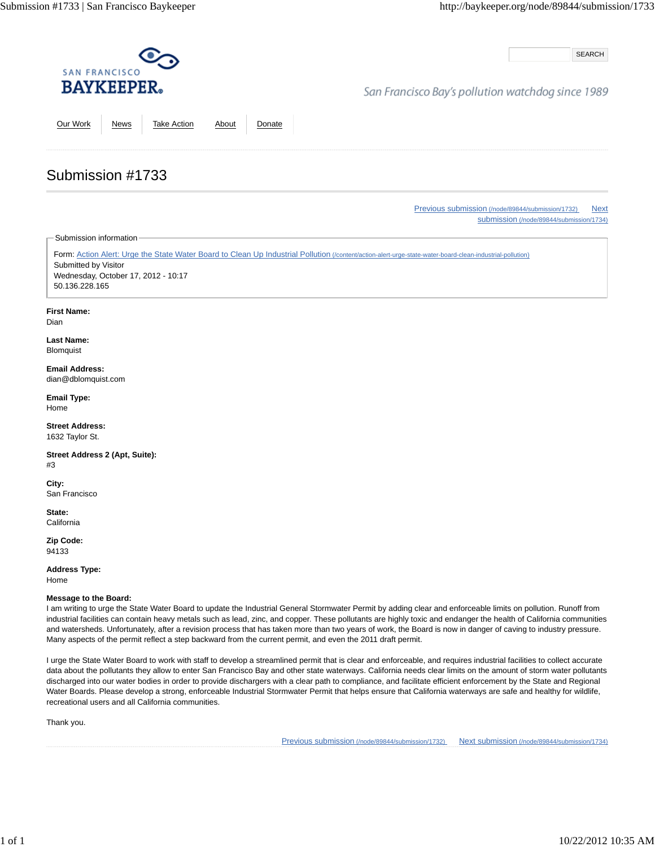SEARCH

## San Francisco Bay's pollution watchdog since 1989

Our Work News Take Action About Donate

Previous submission (/node/89844/submission/1732) Next submission (/node/89844/submission/1734)

Submission information

Submission #1733

Form: Action Alert: Urge the State Water Board to Clean Up Industrial Pollution (/content/action-alert-urge-state-water-board-clean-industrial-pollution) Submitted by Visitor Wednesday, October 17, 2012 - 10:17 50.136.228.165

**First Name:**

Dian

**Last Name:** Blomquist

**Email Address:** dian@dblomquist.com

**Email Type:** Home

**Street Address:** 1632 Taylor St.

**Street Address 2 (Apt, Suite):** #3

**City:** San Francisco

**State: California** 

**Zip Code:** 94133

**Address Type:** Home

#### **Message to the Board:**

I am writing to urge the State Water Board to update the Industrial General Stormwater Permit by adding clear and enforceable limits on pollution. Runoff from industrial facilities can contain heavy metals such as lead, zinc, and copper. These pollutants are highly toxic and endanger the health of California communities and watersheds. Unfortunately, after a revision process that has taken more than two years of work, the Board is now in danger of caving to industry pressure. Many aspects of the permit reflect a step backward from the current permit, and even the 2011 draft permit.

I urge the State Water Board to work with staff to develop a streamlined permit that is clear and enforceable, and requires industrial facilities to collect accurate data about the pollutants they allow to enter San Francisco Bay and other state waterways. California needs clear limits on the amount of storm water pollutants discharged into our water bodies in order to provide dischargers with a clear path to compliance, and facilitate efficient enforcement by the State and Regional Water Boards. Please develop a strong, enforceable Industrial Stormwater Permit that helps ensure that California waterways are safe and healthy for wildlife, recreational users and all California communities.

Thank you.

Previous submission (/node/89844/submission/1732) Next submission (/node/89844/submission/1734)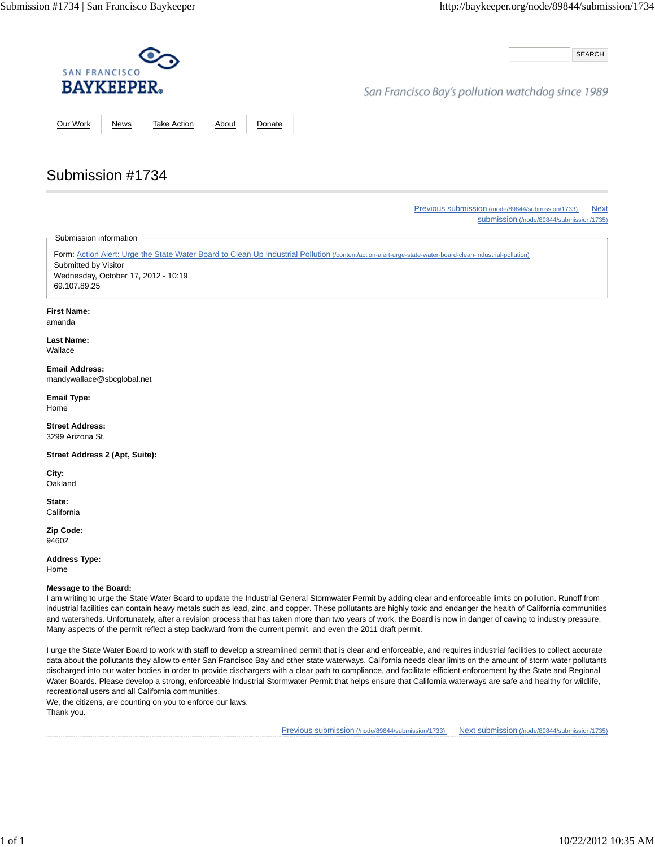SEARCH

## San Francisco Bay's pollution watchdog since 1989

Our Work News Take Action About Donate

Previous submission (/node/89844/submission/1733) Next submission (/node/89844/submission/1735)

Submission information

Submission #1734

Form: Action Alert: Urge the State Water Board to Clean Up Industrial Pollution (/content/action-alert-urge-state-water-board-clean-industrial-pollution) Submitted by Visitor Wednesday, October 17, 2012 - 10:19 69.107.89.25

#### **First Name:**

amanda

**Last Name:** Wallace

**Email Address:** mandywallace@sbcglobal.net

**Email Type:** Home

**Street Address:** 3299 Arizona St.

**Street Address 2 (Apt, Suite):**

**City: Oakland** 

**State: California** 

**Zip Code:** 94602

**Address Type:** Home

### **Message to the Board:**

I am writing to urge the State Water Board to update the Industrial General Stormwater Permit by adding clear and enforceable limits on pollution. Runoff from industrial facilities can contain heavy metals such as lead, zinc, and copper. These pollutants are highly toxic and endanger the health of California communities and watersheds. Unfortunately, after a revision process that has taken more than two years of work, the Board is now in danger of caving to industry pressure. Many aspects of the permit reflect a step backward from the current permit, and even the 2011 draft permit.

I urge the State Water Board to work with staff to develop a streamlined permit that is clear and enforceable, and requires industrial facilities to collect accurate data about the pollutants they allow to enter San Francisco Bay and other state waterways. California needs clear limits on the amount of storm water pollutants discharged into our water bodies in order to provide dischargers with a clear path to compliance, and facilitate efficient enforcement by the State and Regional Water Boards. Please develop a strong, enforceable Industrial Stormwater Permit that helps ensure that California waterways are safe and healthy for wildlife, recreational users and all California communities.

We, the citizens, are counting on you to enforce our laws.

Thank you.

Previous submission (/node/89844/submission/1733) Next submission (/node/89844/submission/1735)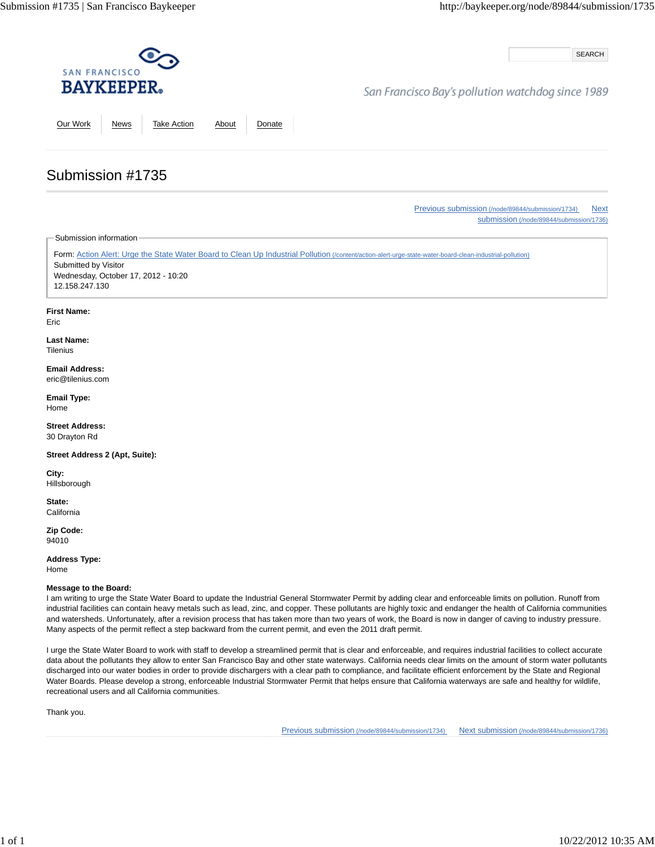SEARCH

## San Francisco Bay's pollution watchdog since 1989

Our Work News Take Action About Donate

Previous submission (/node/89844/submission/1734) Next submission (/node/89844/submission/1736)

Submission information

Submission #1735

Form: Action Alert: Urge the State Water Board to Clean Up Industrial Pollution (/content/action-alert-urge-state-water-board-clean-industrial-pollution) Submitted by Visitor Wednesday, October 17, 2012 - 10:20 12.158.247.130

### **First Name:**

Eric

**Last Name: Tilenius** 

**Email Address:** eric@tilenius.com

**Email Type:** Home

**Street Address:** 30 Drayton Rd

**Street Address 2 (Apt, Suite):**

**City:** Hillsborough

**State: California** 

**Zip Code:** 94010

**Address Type:**

Home

### **Message to the Board:**

I am writing to urge the State Water Board to update the Industrial General Stormwater Permit by adding clear and enforceable limits on pollution. Runoff from industrial facilities can contain heavy metals such as lead, zinc, and copper. These pollutants are highly toxic and endanger the health of California communities and watersheds. Unfortunately, after a revision process that has taken more than two years of work, the Board is now in danger of caving to industry pressure. Many aspects of the permit reflect a step backward from the current permit, and even the 2011 draft permit.

I urge the State Water Board to work with staff to develop a streamlined permit that is clear and enforceable, and requires industrial facilities to collect accurate data about the pollutants they allow to enter San Francisco Bay and other state waterways. California needs clear limits on the amount of storm water pollutants discharged into our water bodies in order to provide dischargers with a clear path to compliance, and facilitate efficient enforcement by the State and Regional Water Boards. Please develop a strong, enforceable Industrial Stormwater Permit that helps ensure that California waterways are safe and healthy for wildlife, recreational users and all California communities.

Thank you.

Previous submission (/node/89844/submission/1734) Next submission (/node/89844/submission/1736)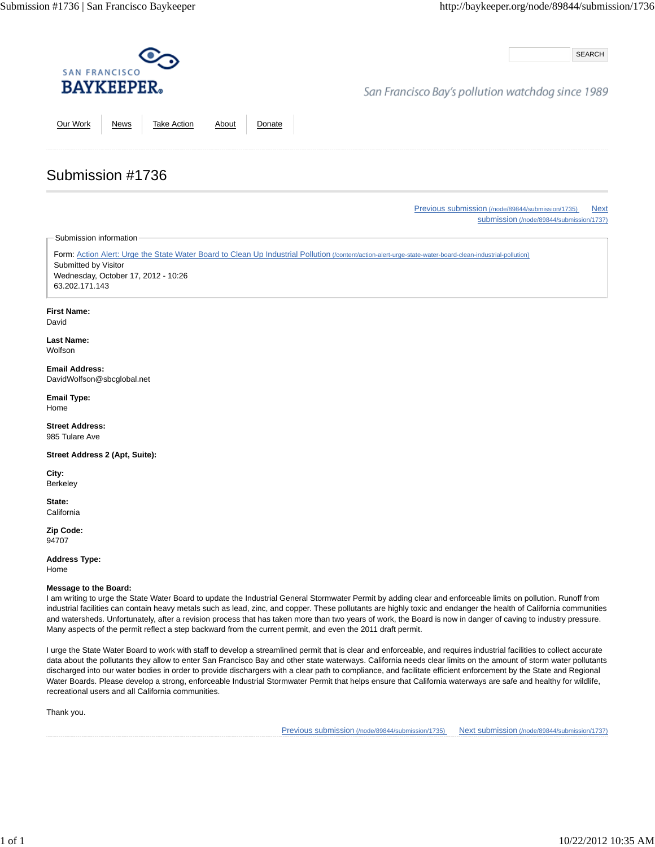SEARCH

## San Francisco Bay's pollution watchdog since 1989

Our Work News Take Action About Donate

# Submission #1736

Previous submission (/node/89844/submission/1735) Next submission (/node/89844/submission/1737)

Submission information

Form: Action Alert: Urge the State Water Board to Clean Up Industrial Pollution (/content/action-alert-urge-state-water-board-clean-industrial-pollution) Submitted by Visitor Wednesday, October 17, 2012 - 10:26 63.202.171.143

### **First Name:**

David

**Last Name:** Wolfson

**Email Address:** DavidWolfson@sbcglobal.net

**Email Type:** Home

**Street Address:** 985 Tulare Ave

**Street Address 2 (Apt, Suite):**

**City:** Berkeley

**State: California** 

**Zip Code:** 94707

**Address Type:** Home

**Message to the Board:**

I am writing to urge the State Water Board to update the Industrial General Stormwater Permit by adding clear and enforceable limits on pollution. Runoff from industrial facilities can contain heavy metals such as lead, zinc, and copper. These pollutants are highly toxic and endanger the health of California communities and watersheds. Unfortunately, after a revision process that has taken more than two years of work, the Board is now in danger of caving to industry pressure. Many aspects of the permit reflect a step backward from the current permit, and even the 2011 draft permit.

I urge the State Water Board to work with staff to develop a streamlined permit that is clear and enforceable, and requires industrial facilities to collect accurate data about the pollutants they allow to enter San Francisco Bay and other state waterways. California needs clear limits on the amount of storm water pollutants discharged into our water bodies in order to provide dischargers with a clear path to compliance, and facilitate efficient enforcement by the State and Regional Water Boards. Please develop a strong, enforceable Industrial Stormwater Permit that helps ensure that California waterways are safe and healthy for wildlife, recreational users and all California communities.

Thank you.

Previous submission (/node/89844/submission/1735) Next submission (/node/89844/submission/1737)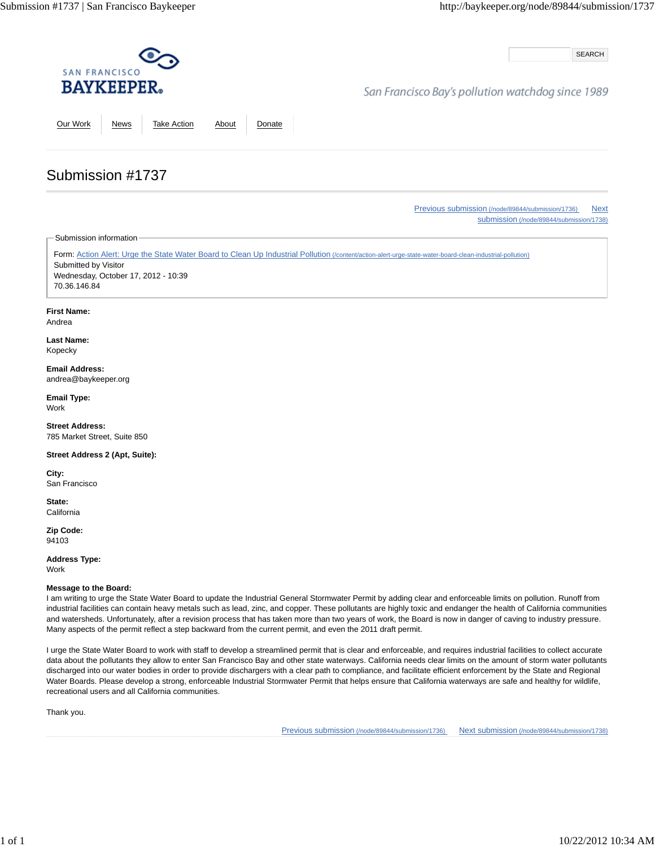SEARCH

## San Francisco Bay's pollution watchdog since 1989

Our Work News Take Action About Donate

# Submission #1737

Previous submission (/node/89844/submission/1736) Next submission (/node/89844/submission/1738)

Submission information

Form: Action Alert: Urge the State Water Board to Clean Up Industrial Pollution (/content/action-alert-urge-state-water-board-clean-industrial-pollution) Submitted by Visitor Wednesday, October 17, 2012 - 10:39 70.36.146.84

### **First Name:**

Andrea

**Last Name:** Kopecky

### **Email Address:** andrea@baykeeper.org

**Email Type:** Work

**Street Address:** 785 Market Street, Suite 850

### **Street Address 2 (Apt, Suite):**

**City:** San Francisco

**State: California** 

**Zip Code:** 94103

**Address Type:** Work

### **Message to the Board:**

I am writing to urge the State Water Board to update the Industrial General Stormwater Permit by adding clear and enforceable limits on pollution. Runoff from industrial facilities can contain heavy metals such as lead, zinc, and copper. These pollutants are highly toxic and endanger the health of California communities and watersheds. Unfortunately, after a revision process that has taken more than two years of work, the Board is now in danger of caving to industry pressure. Many aspects of the permit reflect a step backward from the current permit, and even the 2011 draft permit.

I urge the State Water Board to work with staff to develop a streamlined permit that is clear and enforceable, and requires industrial facilities to collect accurate data about the pollutants they allow to enter San Francisco Bay and other state waterways. California needs clear limits on the amount of storm water pollutants discharged into our water bodies in order to provide dischargers with a clear path to compliance, and facilitate efficient enforcement by the State and Regional Water Boards. Please develop a strong, enforceable Industrial Stormwater Permit that helps ensure that California waterways are safe and healthy for wildlife, recreational users and all California communities.

Thank you.

Previous submission (/node/89844/submission/1736) Next submission (/node/89844/submission/1738)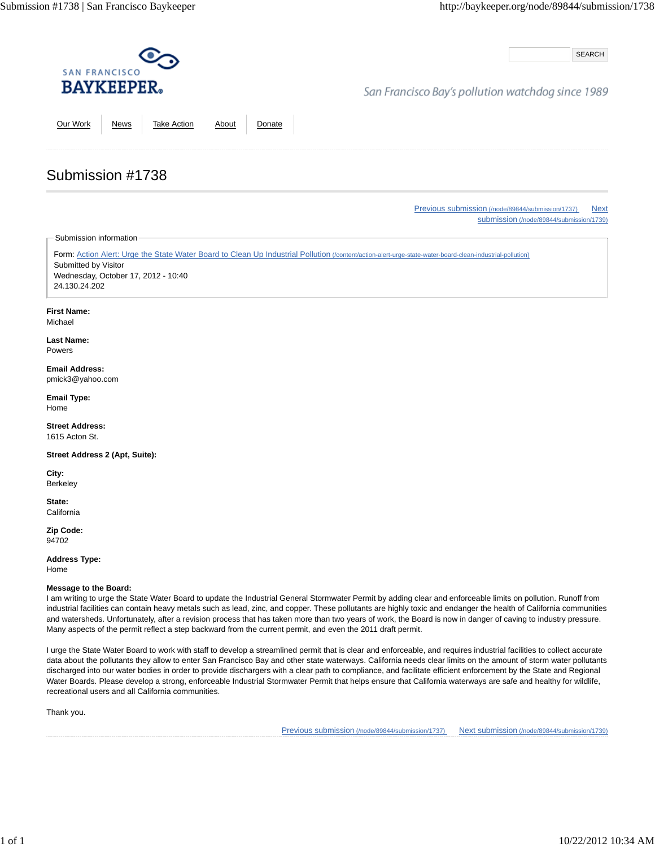SEARCH

## San Francisco Bay's pollution watchdog since 1989

Our Work News Take Action About Donate

Previous submission (/node/89844/submission/1737) Next submission (/node/89844/submission/1739)

Submission information

Submission #1738

Form: Action Alert: Urge the State Water Board to Clean Up Industrial Pollution (/content/action-alert-urge-state-water-board-clean-industrial-pollution) Submitted by Visitor Wednesday, October 17, 2012 - 10:40 24.130.24.202

### **First Name:**

Michael

**Last Name:** Powers

### **Email Address:** pmick3@yahoo.com

**Email Type:** Home

**Street Address:** 1615 Acton St.

**Street Address 2 (Apt, Suite):**

**City:** Berkeley

**State: California** 

**Zip Code:** 94702

**Address Type:**

Home

### **Message to the Board:**

I am writing to urge the State Water Board to update the Industrial General Stormwater Permit by adding clear and enforceable limits on pollution. Runoff from industrial facilities can contain heavy metals such as lead, zinc, and copper. These pollutants are highly toxic and endanger the health of California communities and watersheds. Unfortunately, after a revision process that has taken more than two years of work, the Board is now in danger of caving to industry pressure. Many aspects of the permit reflect a step backward from the current permit, and even the 2011 draft permit.

I urge the State Water Board to work with staff to develop a streamlined permit that is clear and enforceable, and requires industrial facilities to collect accurate data about the pollutants they allow to enter San Francisco Bay and other state waterways. California needs clear limits on the amount of storm water pollutants discharged into our water bodies in order to provide dischargers with a clear path to compliance, and facilitate efficient enforcement by the State and Regional Water Boards. Please develop a strong, enforceable Industrial Stormwater Permit that helps ensure that California waterways are safe and healthy for wildlife, recreational users and all California communities.

Thank you.

Previous submission (/node/89844/submission/1737) Next submission (/node/89844/submission/1739)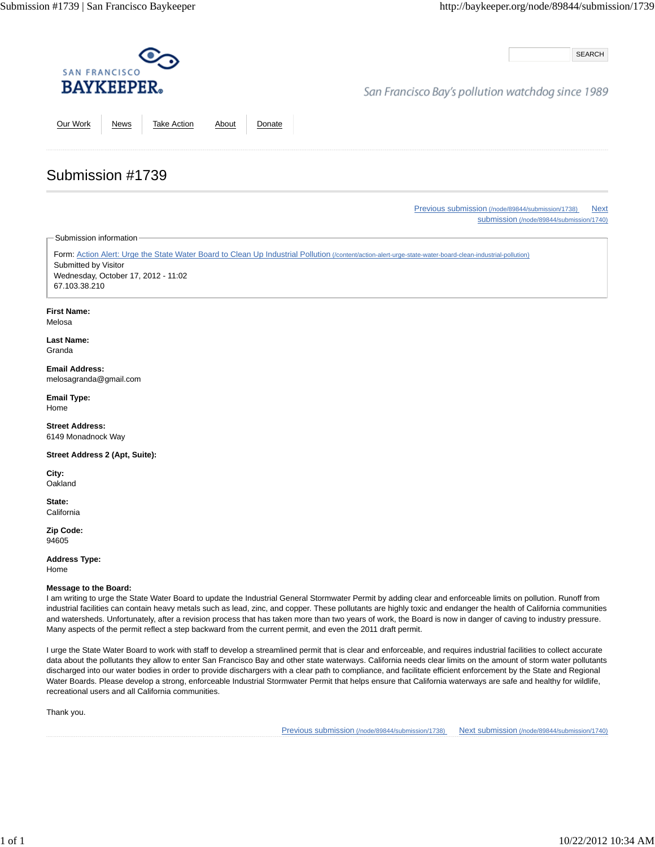SEARCH

## San Francisco Bay's pollution watchdog since 1989

Our Work News Take Action About Donate

Previous submission (/node/89844/submission/1738) Next submission (/node/89844/submission/1740)

Submission information

Submission #1739

Form: Action Alert: Urge the State Water Board to Clean Up Industrial Pollution (/content/action-alert-urge-state-water-board-clean-industrial-pollution) Submitted by Visitor Wednesday, October 17, 2012 - 11:02 67.103.38.210

**First Name:**

Melosa

**Last Name:** Granda

**Email Address:** melosagranda@gmail.com

**Email Type:** Home

**Street Address:** 6149 Monadnock Way

**Street Address 2 (Apt, Suite):**

**City: Oakland** 

**State: California** 

**Zip Code:** 94605

**Address Type:** Home

#### **Message to the Board:**

I am writing to urge the State Water Board to update the Industrial General Stormwater Permit by adding clear and enforceable limits on pollution. Runoff from industrial facilities can contain heavy metals such as lead, zinc, and copper. These pollutants are highly toxic and endanger the health of California communities and watersheds. Unfortunately, after a revision process that has taken more than two years of work, the Board is now in danger of caving to industry pressure. Many aspects of the permit reflect a step backward from the current permit, and even the 2011 draft permit.

I urge the State Water Board to work with staff to develop a streamlined permit that is clear and enforceable, and requires industrial facilities to collect accurate data about the pollutants they allow to enter San Francisco Bay and other state waterways. California needs clear limits on the amount of storm water pollutants discharged into our water bodies in order to provide dischargers with a clear path to compliance, and facilitate efficient enforcement by the State and Regional Water Boards. Please develop a strong, enforceable Industrial Stormwater Permit that helps ensure that California waterways are safe and healthy for wildlife, recreational users and all California communities.

Thank you.

Previous submission (/node/89844/submission/1738) Next submission (/node/89844/submission/1740)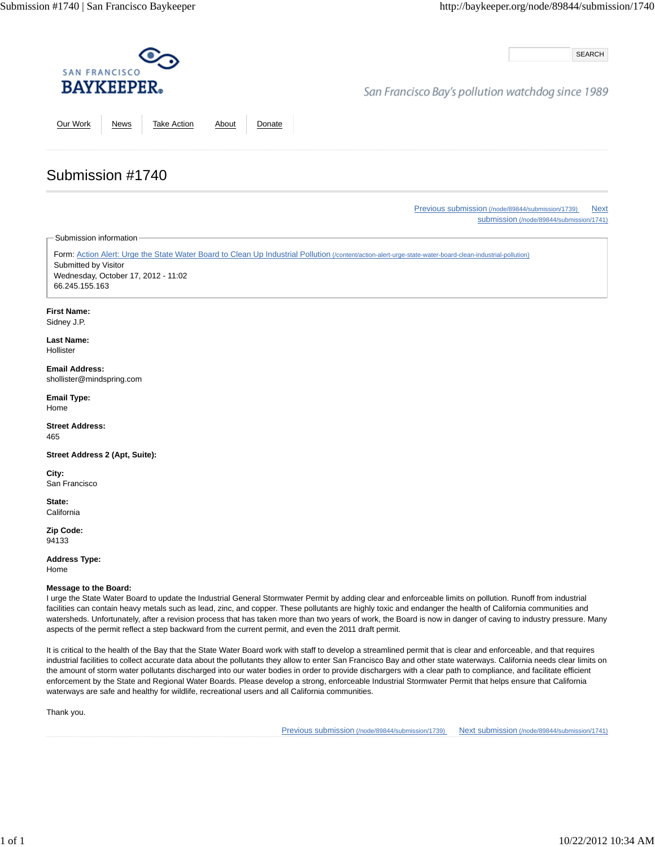SEARCH

## San Francisco Bay's pollution watchdog since 1989

Our Work News Take Action About Donate

Previous submission (/node/89844/submission/1739) Next submission (/node/89844/submission/1741)

Submission information

Submission #1740

Form: Action Alert: Urge the State Water Board to Clean Up Industrial Pollution (/content/action-alert-urge-state-water-board-clean-industrial-pollution) Submitted by Visitor Wednesday, October 17, 2012 - 11:02 66.245.155.163

**First Name:**

Sidney J.P.

**Last Name:** Hollister

**Email Address:** shollister@mindspring.com

**Email Type:** Home

**Street Address:** 465

**Street Address 2 (Apt, Suite):**

**City:** San Francisco

**State: California** 

**Zip Code:** 94133

**Address Type:** Home

### **Message to the Board:**

I urge the State Water Board to update the Industrial General Stormwater Permit by adding clear and enforceable limits on pollution. Runoff from industrial facilities can contain heavy metals such as lead, zinc, and copper. These pollutants are highly toxic and endanger the health of California communities and watersheds. Unfortunately, after a revision process that has taken more than two years of work, the Board is now in danger of caving to industry pressure. Many aspects of the permit reflect a step backward from the current permit, and even the 2011 draft permit.

It is critical to the health of the Bay that the State Water Board work with staff to develop a streamlined permit that is clear and enforceable, and that requires industrial facilities to collect accurate data about the pollutants they allow to enter San Francisco Bay and other state waterways. California needs clear limits on the amount of storm water pollutants discharged into our water bodies in order to provide dischargers with a clear path to compliance, and facilitate efficient enforcement by the State and Regional Water Boards. Please develop a strong, enforceable Industrial Stormwater Permit that helps ensure that California waterways are safe and healthy for wildlife, recreational users and all California communities.

Thank you.

Previous submission (/node/89844/submission/1739) Next submission (/node/89844/submission/1741)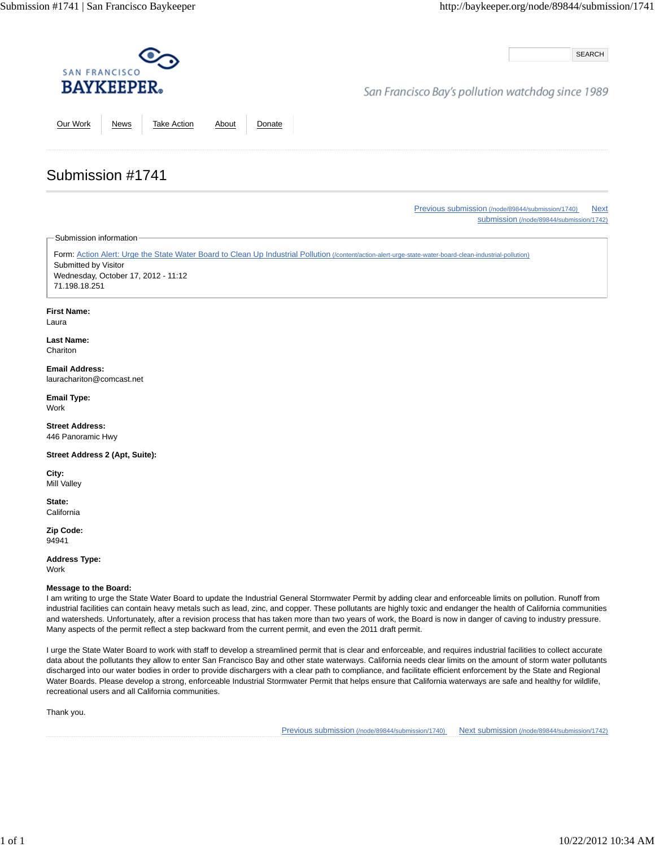SEARCH

## San Francisco Bay's pollution watchdog since 1989

Our Work News Take Action About Donate

Previous submission (/node/89844/submission/1740) Next

submission (/node/89844/submission/1742)

Submission information

Submission #1741

Form: Action Alert: Urge the State Water Board to Clean Up Industrial Pollution (/content/action-alert-urge-state-water-board-clean-industrial-pollution) Submitted by Visitor Wednesday, October 17, 2012 - 11:12 71.198.18.251

#### **First Name:**

Laura

**Last Name: Chariton** 

**Email Address:** laurachariton@comcast.net

**Email Type:** Work

**Street Address:** 446 Panoramic Hwy

**Street Address 2 (Apt, Suite):**

**City:** Mill Valley

**State: California** 

**Zip Code:** 94941

**Address Type:** Work

#### **Message to the Board:**

I am writing to urge the State Water Board to update the Industrial General Stormwater Permit by adding clear and enforceable limits on pollution. Runoff from industrial facilities can contain heavy metals such as lead, zinc, and copper. These pollutants are highly toxic and endanger the health of California communities and watersheds. Unfortunately, after a revision process that has taken more than two years of work, the Board is now in danger of caving to industry pressure. Many aspects of the permit reflect a step backward from the current permit, and even the 2011 draft permit.

I urge the State Water Board to work with staff to develop a streamlined permit that is clear and enforceable, and requires industrial facilities to collect accurate data about the pollutants they allow to enter San Francisco Bay and other state waterways. California needs clear limits on the amount of storm water pollutants discharged into our water bodies in order to provide dischargers with a clear path to compliance, and facilitate efficient enforcement by the State and Regional Water Boards. Please develop a strong, enforceable Industrial Stormwater Permit that helps ensure that California waterways are safe and healthy for wildlife, recreational users and all California communities.

Thank you.

Previous submission (/node/89844/submission/1740) Next submission (/node/89844/submission/1742)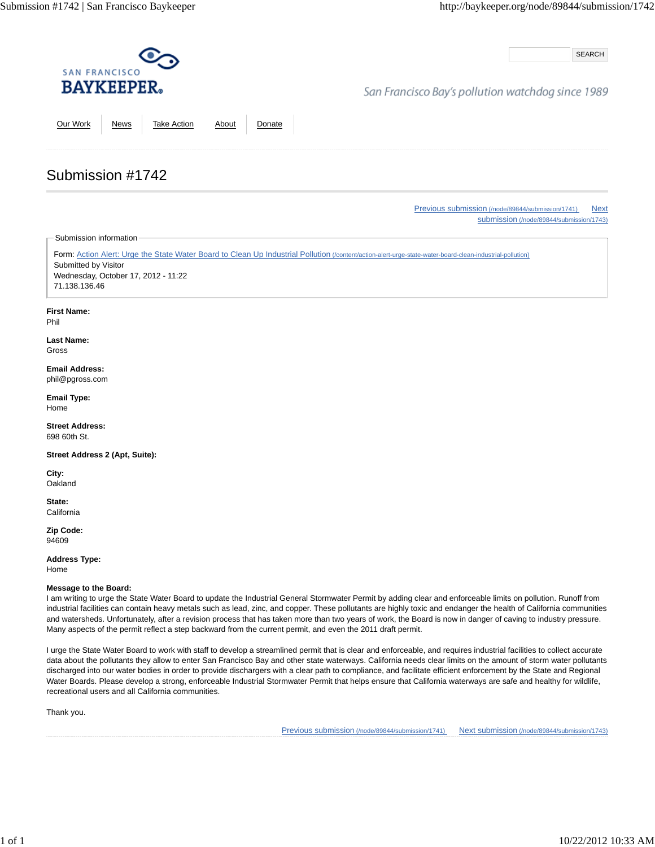SEARCH

## San Francisco Bay's pollution watchdog since 1989

Our Work News Take Action About Donate

Previous submission (/node/89844/submission/1741) Next submission (/node/89844/submission/1743)

Submission information

Submission #1742

Form: Action Alert: Urge the State Water Board to Clean Up Industrial Pollution (/content/action-alert-urge-state-water-board-clean-industrial-pollution) Submitted by Visitor Wednesday, October 17, 2012 - 11:22 71.138.136.46

### **First Name:**

Phil

#### **Last Name:** Gross

**Email Address:** phil@pgross.com

**Email Type:** Home

**Street Address:** 698 60th St.

**Street Address 2 (Apt, Suite):**

**City: Oakland** 

**State: California** 

**Zip Code:** 94609

**Address Type:**

Home

### **Message to the Board:**

I am writing to urge the State Water Board to update the Industrial General Stormwater Permit by adding clear and enforceable limits on pollution. Runoff from industrial facilities can contain heavy metals such as lead, zinc, and copper. These pollutants are highly toxic and endanger the health of California communities and watersheds. Unfortunately, after a revision process that has taken more than two years of work, the Board is now in danger of caving to industry pressure. Many aspects of the permit reflect a step backward from the current permit, and even the 2011 draft permit.

I urge the State Water Board to work with staff to develop a streamlined permit that is clear and enforceable, and requires industrial facilities to collect accurate data about the pollutants they allow to enter San Francisco Bay and other state waterways. California needs clear limits on the amount of storm water pollutants discharged into our water bodies in order to provide dischargers with a clear path to compliance, and facilitate efficient enforcement by the State and Regional Water Boards. Please develop a strong, enforceable Industrial Stormwater Permit that helps ensure that California waterways are safe and healthy for wildlife, recreational users and all California communities.

Thank you.

Previous submission (/node/89844/submission/1741) Next submission (/node/89844/submission/1743)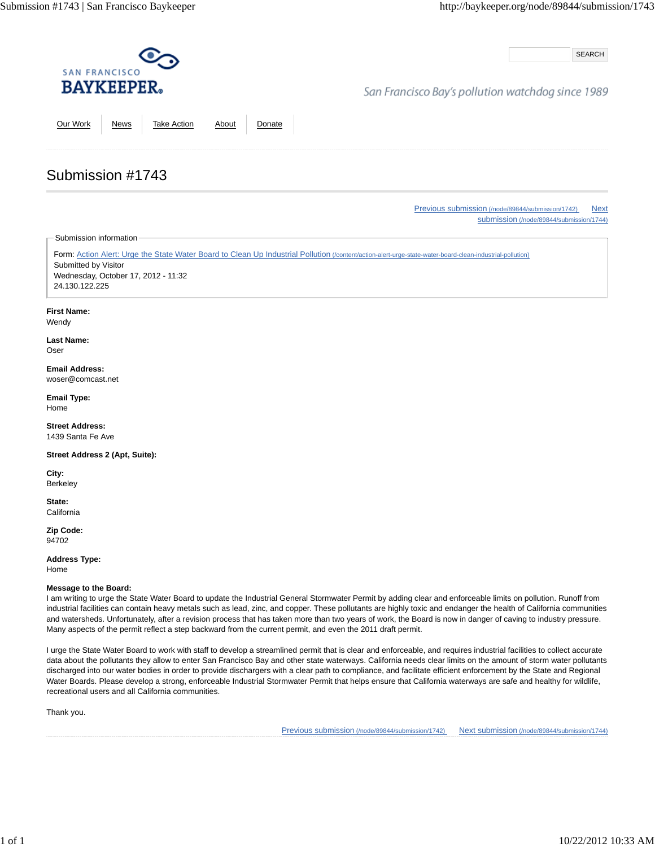SEARCH

## San Francisco Bay's pollution watchdog since 1989

Our Work News Take Action About Donate

Previous submission (/node/89844/submission/1742) Next submission (/node/89844/submission/1744)

Submission information

Submission #1743

Form: Action Alert: Urge the State Water Board to Clean Up Industrial Pollution (/content/action-alert-urge-state-water-board-clean-industrial-pollution) Submitted by Visitor Wednesday, October 17, 2012 - 11:32 24.130.122.225

### **First Name:**

Wendy

**Last Name:** Oser

#### **Email Address:** woser@comcast.net

**Email Type:** Home

**Street Address:** 1439 Santa Fe Ave

**Street Address 2 (Apt, Suite):**

**City:** Berkeley

**State: California** 

**Zip Code:** 94702

**Address Type:** Home

**Message to the Board:**

I am writing to urge the State Water Board to update the Industrial General Stormwater Permit by adding clear and enforceable limits on pollution. Runoff from industrial facilities can contain heavy metals such as lead, zinc, and copper. These pollutants are highly toxic and endanger the health of California communities and watersheds. Unfortunately, after a revision process that has taken more than two years of work, the Board is now in danger of caving to industry pressure. Many aspects of the permit reflect a step backward from the current permit, and even the 2011 draft permit.

I urge the State Water Board to work with staff to develop a streamlined permit that is clear and enforceable, and requires industrial facilities to collect accurate data about the pollutants they allow to enter San Francisco Bay and other state waterways. California needs clear limits on the amount of storm water pollutants discharged into our water bodies in order to provide dischargers with a clear path to compliance, and facilitate efficient enforcement by the State and Regional Water Boards. Please develop a strong, enforceable Industrial Stormwater Permit that helps ensure that California waterways are safe and healthy for wildlife, recreational users and all California communities.

Thank you.

Previous submission (/node/89844/submission/1742) Next submission (/node/89844/submission/1744)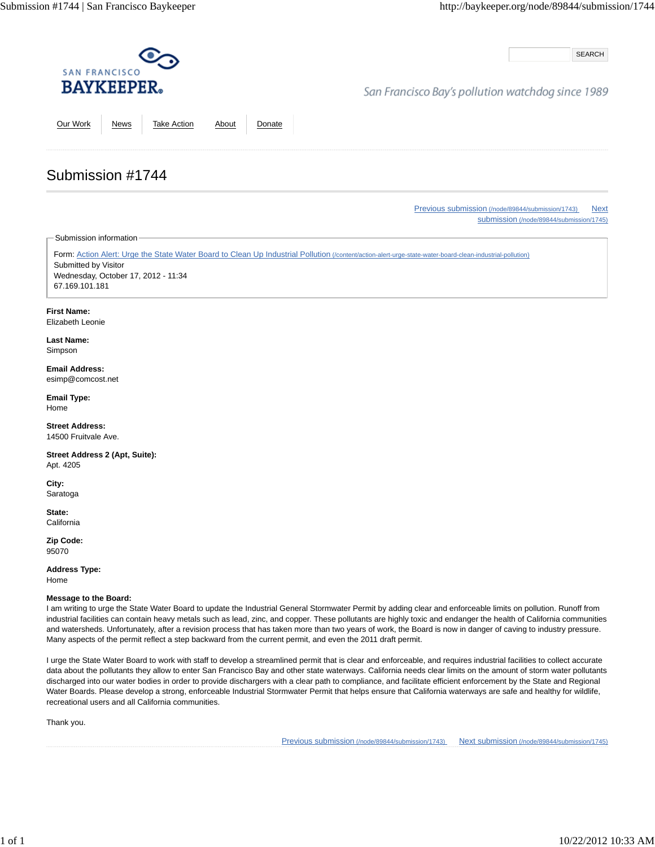SEARCH

### San Francisco Bay's pollution watchdog since 1989

Our Work News Take Action About Donate

Previous submission (/node/89844/submission/1743) Next

submission (/node/89844/submission/1745)

Submission information

Submission #1744

Form: Action Alert: Urge the State Water Board to Clean Up Industrial Pollution (/content/action-alert-urge-state-water-board-clean-industrial-pollution) Submitted by Visitor Wednesday, October 17, 2012 - 11:34 67.169.101.181

**First Name:**

Elizabeth Leonie

**Last Name:** Simpson

**Email Address:** esimp@comcost.net

**Email Type:** Home

**Street Address:** 14500 Fruitvale Ave.

**Street Address 2 (Apt, Suite):** Apt. 4205

**City:** Saratoga

**State: California** 

**Zip Code:** 95070

**Address Type:** Home

#### **Message to the Board:**

I am writing to urge the State Water Board to update the Industrial General Stormwater Permit by adding clear and enforceable limits on pollution. Runoff from industrial facilities can contain heavy metals such as lead, zinc, and copper. These pollutants are highly toxic and endanger the health of California communities and watersheds. Unfortunately, after a revision process that has taken more than two years of work, the Board is now in danger of caving to industry pressure. Many aspects of the permit reflect a step backward from the current permit, and even the 2011 draft permit.

I urge the State Water Board to work with staff to develop a streamlined permit that is clear and enforceable, and requires industrial facilities to collect accurate data about the pollutants they allow to enter San Francisco Bay and other state waterways. California needs clear limits on the amount of storm water pollutants discharged into our water bodies in order to provide dischargers with a clear path to compliance, and facilitate efficient enforcement by the State and Regional Water Boards. Please develop a strong, enforceable Industrial Stormwater Permit that helps ensure that California waterways are safe and healthy for wildlife, recreational users and all California communities.

Thank you.

Previous submission (/node/89844/submission/1743) Next submission (/node/89844/submission/1745)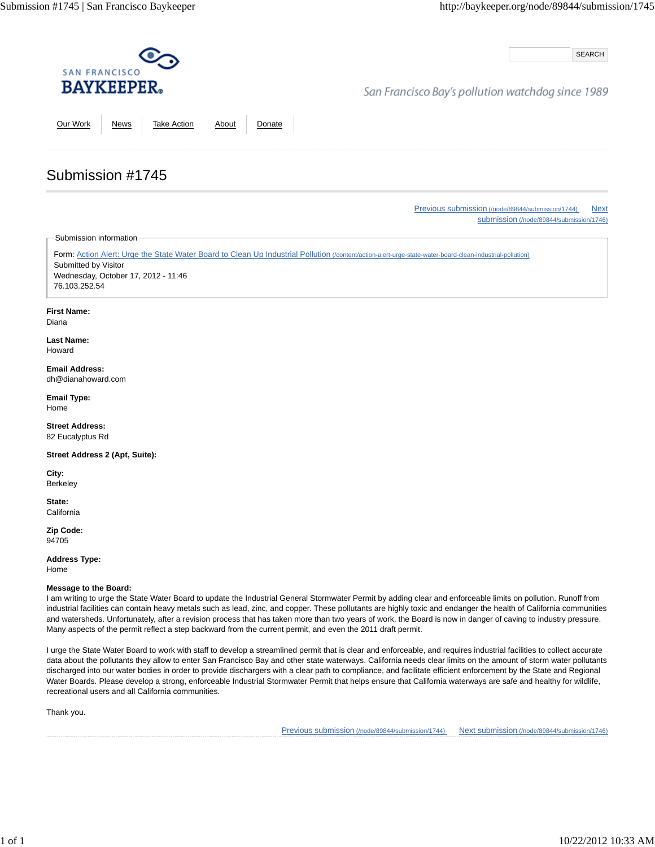SEARCH

## San Francisco Bay's pollution watchdog since 1989

Our Work News Take Action About Donate

Previous submission (/node/89844/submission/1744) Next submission (/node/89844/submission/1746)

Submission information

Submission #1745

Form: Action Alert: Urge the State Water Board to Clean Up Industrial Pollution (/content/action-alert-urge-state-water-board-clean-industrial-pollution) Submitted by Visitor Wednesday, October 17, 2012 - 11:46 76.103.252.54

### **First Name:**

Diana

**Last Name:** Howard

#### **Email Address:** dh@dianahoward.com

**Email Type:** Home

**Street Address:** 82 Eucalyptus Rd

**Street Address 2 (Apt, Suite):**

**City:** Berkeley

**State: California** 

**Zip Code:** 94705

**Address Type:** Home

**Message to the Board:**

I am writing to urge the State Water Board to update the Industrial General Stormwater Permit by adding clear and enforceable limits on pollution. Runoff from industrial facilities can contain heavy metals such as lead, zinc, and copper. These pollutants are highly toxic and endanger the health of California communities and watersheds. Unfortunately, after a revision process that has taken more than two years of work, the Board is now in danger of caving to industry pressure. Many aspects of the permit reflect a step backward from the current permit, and even the 2011 draft permit.

I urge the State Water Board to work with staff to develop a streamlined permit that is clear and enforceable, and requires industrial facilities to collect accurate data about the pollutants they allow to enter San Francisco Bay and other state waterways. California needs clear limits on the amount of storm water pollutants discharged into our water bodies in order to provide dischargers with a clear path to compliance, and facilitate efficient enforcement by the State and Regional Water Boards. Please develop a strong, enforceable Industrial Stormwater Permit that helps ensure that California waterways are safe and healthy for wildlife, recreational users and all California communities.

Thank you.

Previous submission (/node/89844/submission/1744) Next submission (/node/89844/submission/1746)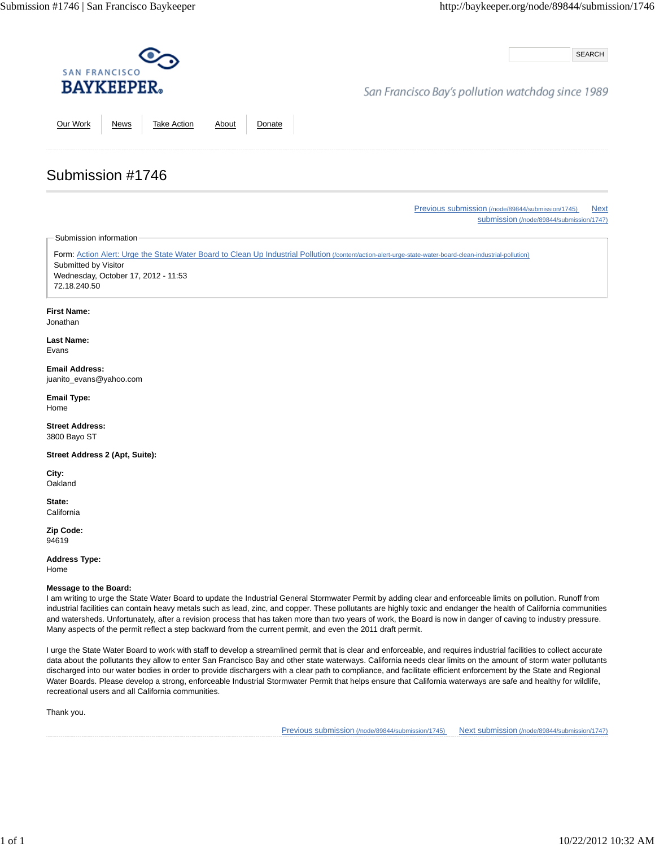SEARCH

## San Francisco Bay's pollution watchdog since 1989

Our Work News Take Action About Donate

Previous submission (/node/89844/submission/1745) Next submission (/node/89844/submission/1747)

Submission information

Submission #1746

Form: Action Alert: Urge the State Water Board to Clean Up Industrial Pollution (/content/action-alert-urge-state-water-board-clean-industrial-pollution) Submitted by Visitor Wednesday, October 17, 2012 - 11:53 72.18.240.50

#### **First Name:**

Jonathan

#### **Last Name:** Evans

**Email Address:** juanito\_evans@yahoo.com

**Email Type:** Home

**Street Address:** 3800 Bayo ST

**Street Address 2 (Apt, Suite):**

**City: Oakland** 

**State: California** 

**Zip Code:** 94619

**Address Type:**

Home

#### **Message to the Board:**

I am writing to urge the State Water Board to update the Industrial General Stormwater Permit by adding clear and enforceable limits on pollution. Runoff from industrial facilities can contain heavy metals such as lead, zinc, and copper. These pollutants are highly toxic and endanger the health of California communities and watersheds. Unfortunately, after a revision process that has taken more than two years of work, the Board is now in danger of caving to industry pressure. Many aspects of the permit reflect a step backward from the current permit, and even the 2011 draft permit.

I urge the State Water Board to work with staff to develop a streamlined permit that is clear and enforceable, and requires industrial facilities to collect accurate data about the pollutants they allow to enter San Francisco Bay and other state waterways. California needs clear limits on the amount of storm water pollutants discharged into our water bodies in order to provide dischargers with a clear path to compliance, and facilitate efficient enforcement by the State and Regional Water Boards. Please develop a strong, enforceable Industrial Stormwater Permit that helps ensure that California waterways are safe and healthy for wildlife, recreational users and all California communities.

Thank you.

Previous submission (/node/89844/submission/1745) Next submission (/node/89844/submission/1747)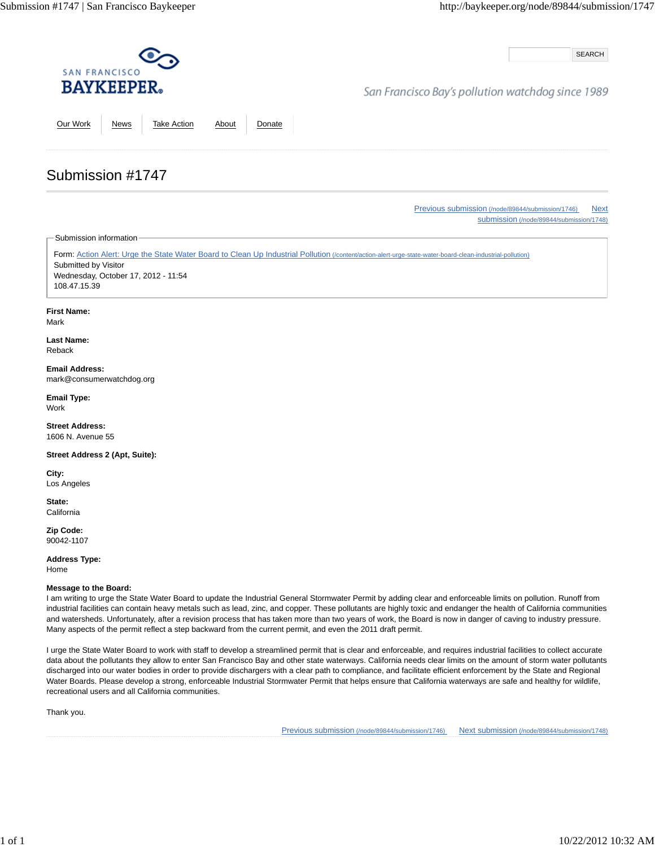SEARCH

## San Francisco Bay's pollution watchdog since 1989

Our Work News Take Action About Donate

Previous submission (/node/89844/submission/1746) Next

submission (/node/89844/submission/1748)

Submission information

Submission #1747

Form: Action Alert: Urge the State Water Board to Clean Up Industrial Pollution (/content/action-alert-urge-state-water-board-clean-industrial-pollution) Submitted by Visitor Wednesday, October 17, 2012 - 11:54 108.47.15.39

**First Name:**

Mark

**Last Name:** Reback

**Email Address:** mark@consumerwatchdog.org

**Email Type:** Work

**Street Address:** 1606 N. Avenue 55

**Street Address 2 (Apt, Suite):**

**City:** Los Angeles

**State: California** 

**Zip Code:** 90042-1107

**Address Type:** Home

#### **Message to the Board:**

I am writing to urge the State Water Board to update the Industrial General Stormwater Permit by adding clear and enforceable limits on pollution. Runoff from industrial facilities can contain heavy metals such as lead, zinc, and copper. These pollutants are highly toxic and endanger the health of California communities and watersheds. Unfortunately, after a revision process that has taken more than two years of work, the Board is now in danger of caving to industry pressure. Many aspects of the permit reflect a step backward from the current permit, and even the 2011 draft permit.

I urge the State Water Board to work with staff to develop a streamlined permit that is clear and enforceable, and requires industrial facilities to collect accurate data about the pollutants they allow to enter San Francisco Bay and other state waterways. California needs clear limits on the amount of storm water pollutants discharged into our water bodies in order to provide dischargers with a clear path to compliance, and facilitate efficient enforcement by the State and Regional Water Boards. Please develop a strong, enforceable Industrial Stormwater Permit that helps ensure that California waterways are safe and healthy for wildlife, recreational users and all California communities.

Thank you.

Previous submission (/node/89844/submission/1746) Next submission (/node/89844/submission/1748)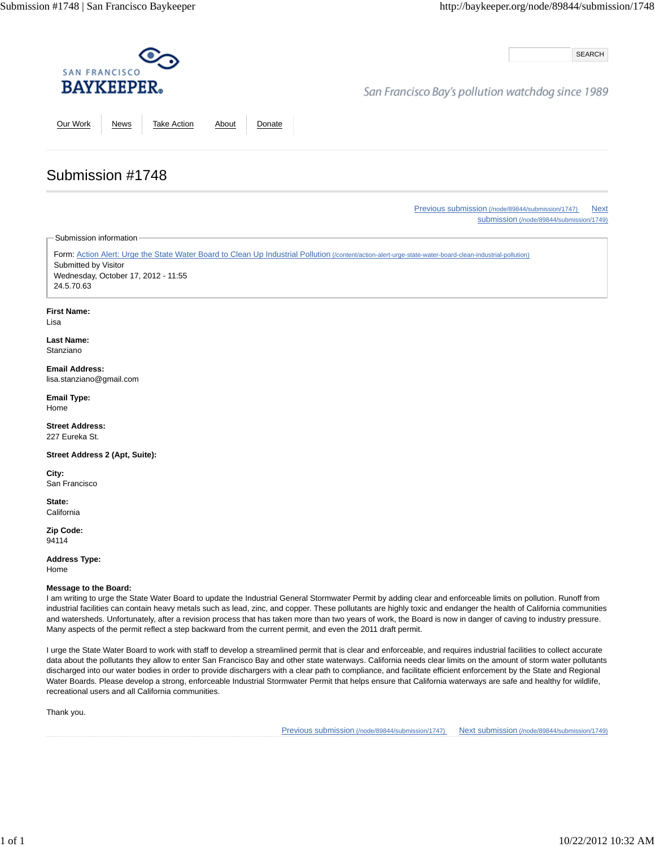SEARCH

## San Francisco Bay's pollution watchdog since 1989

Our Work News Take Action About Donate

Previous submission (/node/89844/submission/1747) Next submission (/node/89844/submission/1749)

Submission information

Submission #1748

Form: Action Alert: Urge the State Water Board to Clean Up Industrial Pollution (/content/action-alert-urge-state-water-board-clean-industrial-pollution) Submitted by Visitor Wednesday, October 17, 2012 - 11:55 24.5.70.63

### **First Name:**

Lisa

**Last Name:** Stanziano

**Email Address:** lisa.stanziano@gmail.com

**Email Type:** Home

**Street Address:** 227 Eureka St.

**Street Address 2 (Apt, Suite):**

**City:** San Francisco

**State: California** 

**Zip Code:** 94114

**Address Type:** Home

**Message to the Board:**

I am writing to urge the State Water Board to update the Industrial General Stormwater Permit by adding clear and enforceable limits on pollution. Runoff from industrial facilities can contain heavy metals such as lead, zinc, and copper. These pollutants are highly toxic and endanger the health of California communities and watersheds. Unfortunately, after a revision process that has taken more than two years of work, the Board is now in danger of caving to industry pressure. Many aspects of the permit reflect a step backward from the current permit, and even the 2011 draft permit.

I urge the State Water Board to work with staff to develop a streamlined permit that is clear and enforceable, and requires industrial facilities to collect accurate data about the pollutants they allow to enter San Francisco Bay and other state waterways. California needs clear limits on the amount of storm water pollutants discharged into our water bodies in order to provide dischargers with a clear path to compliance, and facilitate efficient enforcement by the State and Regional Water Boards. Please develop a strong, enforceable Industrial Stormwater Permit that helps ensure that California waterways are safe and healthy for wildlife, recreational users and all California communities.

Thank you.

Previous submission (/node/89844/submission/1747) Next submission (/node/89844/submission/1749)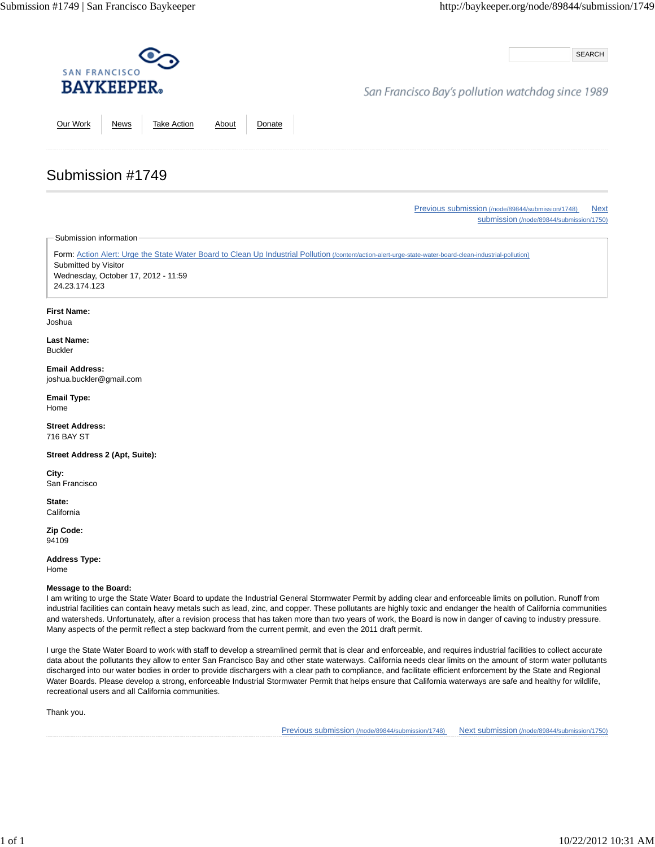SEARCH

## San Francisco Bay's pollution watchdog since 1989

Our Work News Take Action About Donate

Previous submission (/node/89844/submission/1748) Next submission (/node/89844/submission/1750)

Submission information

Submission #1749

Form: Action Alert: Urge the State Water Board to Clean Up Industrial Pollution (/content/action-alert-urge-state-water-board-clean-industrial-pollution) Submitted by Visitor Wednesday, October 17, 2012 - 11:59 24.23.174.123

#### **First Name:**

Joshua

**Last Name:** Buckler

**Email Address:** joshua.buckler@gmail.com

**Email Type:** Home

**Street Address:** 716 BAY ST

**Street Address 2 (Apt, Suite):**

**City:** San Francisco

**State: California** 

**Zip Code:** 94109

**Address Type:** Home

**Message to the Board:**

I am writing to urge the State Water Board to update the Industrial General Stormwater Permit by adding clear and enforceable limits on pollution. Runoff from industrial facilities can contain heavy metals such as lead, zinc, and copper. These pollutants are highly toxic and endanger the health of California communities and watersheds. Unfortunately, after a revision process that has taken more than two years of work, the Board is now in danger of caving to industry pressure. Many aspects of the permit reflect a step backward from the current permit, and even the 2011 draft permit.

I urge the State Water Board to work with staff to develop a streamlined permit that is clear and enforceable, and requires industrial facilities to collect accurate data about the pollutants they allow to enter San Francisco Bay and other state waterways. California needs clear limits on the amount of storm water pollutants discharged into our water bodies in order to provide dischargers with a clear path to compliance, and facilitate efficient enforcement by the State and Regional Water Boards. Please develop a strong, enforceable Industrial Stormwater Permit that helps ensure that California waterways are safe and healthy for wildlife, recreational users and all California communities.

Thank you.

Previous submission (/node/89844/submission/1748) Next submission (/node/89844/submission/1750)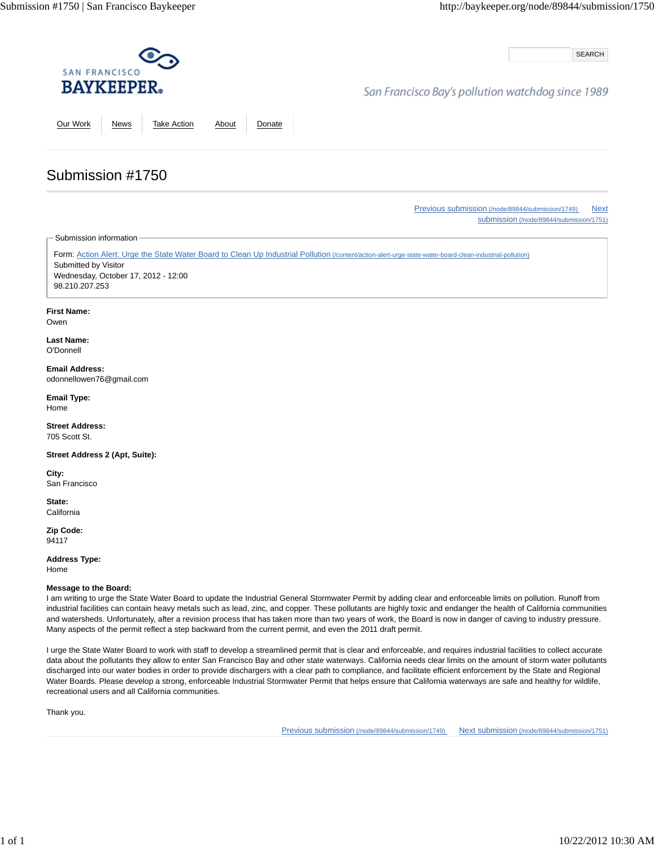SEARCH

## San Francisco Bay's pollution watchdog since 1989

Our Work News Take Action About Donate

Previous submission (/node/89844/submission/1749) Next submission (/node/89844/submission/1751)

Submission information

Submission #1750

Form: Action Alert: Urge the State Water Board to Clean Up Industrial Pollution (/content/action-alert-urge-state-water-board-clean-industrial-pollution) Submitted by Visitor Wednesday, October 17, 2012 - 12:00 98.210.207.253

### **First Name:**

Owen

**Last Name:** O'Donnell

**Email Address:** odonnellowen76@gmail.com

**Email Type:** Home

**Street Address:** 705 Scott St.

**Street Address 2 (Apt, Suite):**

**City:** San Francisco

**State: California** 

**Zip Code:** 94117

**Address Type:** Home

**Message to the Board:**

I am writing to urge the State Water Board to update the Industrial General Stormwater Permit by adding clear and enforceable limits on pollution. Runoff from industrial facilities can contain heavy metals such as lead, zinc, and copper. These pollutants are highly toxic and endanger the health of California communities and watersheds. Unfortunately, after a revision process that has taken more than two years of work, the Board is now in danger of caving to industry pressure. Many aspects of the permit reflect a step backward from the current permit, and even the 2011 draft permit.

I urge the State Water Board to work with staff to develop a streamlined permit that is clear and enforceable, and requires industrial facilities to collect accurate data about the pollutants they allow to enter San Francisco Bay and other state waterways. California needs clear limits on the amount of storm water pollutants discharged into our water bodies in order to provide dischargers with a clear path to compliance, and facilitate efficient enforcement by the State and Regional Water Boards. Please develop a strong, enforceable Industrial Stormwater Permit that helps ensure that California waterways are safe and healthy for wildlife, recreational users and all California communities.

Thank you.

Previous submission (/node/89844/submission/1749) Next submission (/node/89844/submission/1751)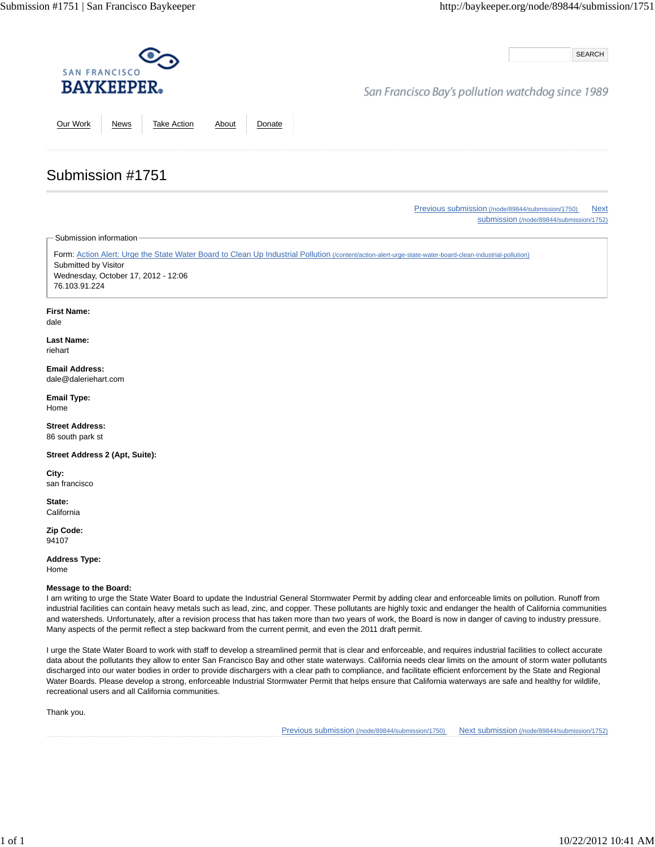SEARCH

## San Francisco Bay's pollution watchdog since 1989

Our Work News Take Action About Donate

# Submission #1751

Previous submission (/node/89844/submission/1750) Next submission (/node/89844/submission/1752)

Submission information

Form: Action Alert: Urge the State Water Board to Clean Up Industrial Pollution (/content/action-alert-urge-state-water-board-clean-industrial-pollution) Submitted by Visitor Wednesday, October 17, 2012 - 12:06 76.103.91.224

### **First Name:**

dale

**Last Name:** riehart

**Email Address:** dale@daleriehart.com

**Email Type:** Home

**Street Address:** 86 south park st

**Street Address 2 (Apt, Suite):**

**City:** san francisco

**State: California** 

**Zip Code:** 94107

**Address Type:**

Home

### **Message to the Board:**

I am writing to urge the State Water Board to update the Industrial General Stormwater Permit by adding clear and enforceable limits on pollution. Runoff from industrial facilities can contain heavy metals such as lead, zinc, and copper. These pollutants are highly toxic and endanger the health of California communities and watersheds. Unfortunately, after a revision process that has taken more than two years of work, the Board is now in danger of caving to industry pressure. Many aspects of the permit reflect a step backward from the current permit, and even the 2011 draft permit.

I urge the State Water Board to work with staff to develop a streamlined permit that is clear and enforceable, and requires industrial facilities to collect accurate data about the pollutants they allow to enter San Francisco Bay and other state waterways. California needs clear limits on the amount of storm water pollutants discharged into our water bodies in order to provide dischargers with a clear path to compliance, and facilitate efficient enforcement by the State and Regional Water Boards. Please develop a strong, enforceable Industrial Stormwater Permit that helps ensure that California waterways are safe and healthy for wildlife, recreational users and all California communities.

Thank you.

Previous submission (/node/89844/submission/1750) Next submission (/node/89844/submission/1752)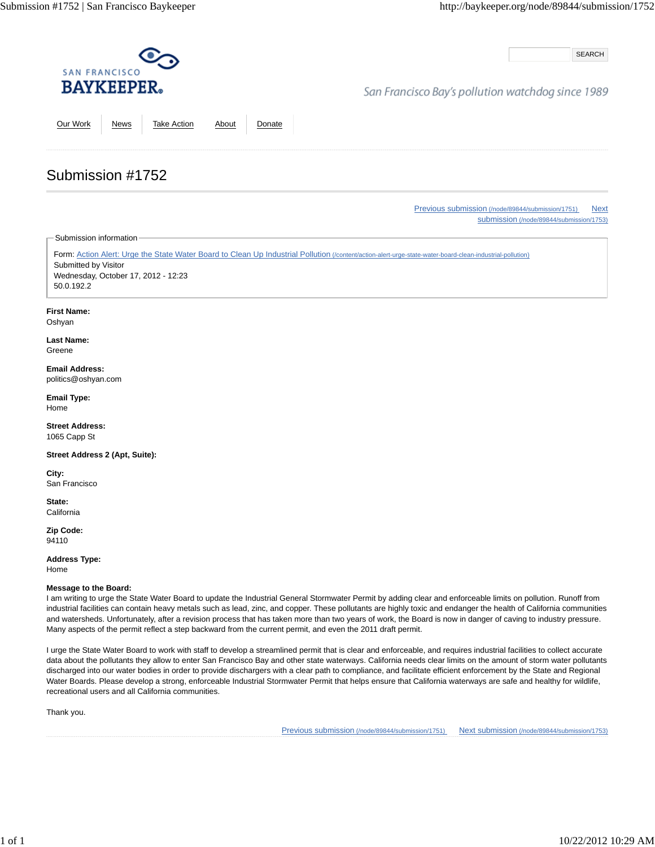SEARCH

## San Francisco Bay's pollution watchdog since 1989

Our Work News Take Action About Donate

# Submission #1752

Previous submission (/node/89844/submission/1751) Next submission (/node/89844/submission/1753)

Submission information

Form: Action Alert: Urge the State Water Board to Clean Up Industrial Pollution (/content/action-alert-urge-state-water-board-clean-industrial-pollution) Submitted by Visitor Wednesday, October 17, 2012 - 12:23 50.0.192.2

### **First Name:**

Oshyan

**Last Name:** Greene

# **Email Address:**

politics@oshyan.com

**Email Type:** Home

**Street Address:** 1065 Capp St

**Street Address 2 (Apt, Suite):**

**City:** San Francisco

**State: California** 

**Zip Code:** 94110

**Address Type:**

Home

### **Message to the Board:**

I am writing to urge the State Water Board to update the Industrial General Stormwater Permit by adding clear and enforceable limits on pollution. Runoff from industrial facilities can contain heavy metals such as lead, zinc, and copper. These pollutants are highly toxic and endanger the health of California communities and watersheds. Unfortunately, after a revision process that has taken more than two years of work, the Board is now in danger of caving to industry pressure. Many aspects of the permit reflect a step backward from the current permit, and even the 2011 draft permit.

I urge the State Water Board to work with staff to develop a streamlined permit that is clear and enforceable, and requires industrial facilities to collect accurate data about the pollutants they allow to enter San Francisco Bay and other state waterways. California needs clear limits on the amount of storm water pollutants discharged into our water bodies in order to provide dischargers with a clear path to compliance, and facilitate efficient enforcement by the State and Regional Water Boards. Please develop a strong, enforceable Industrial Stormwater Permit that helps ensure that California waterways are safe and healthy for wildlife, recreational users and all California communities.

Thank you.

Previous submission (/node/89844/submission/1751) Next submission (/node/89844/submission/1753)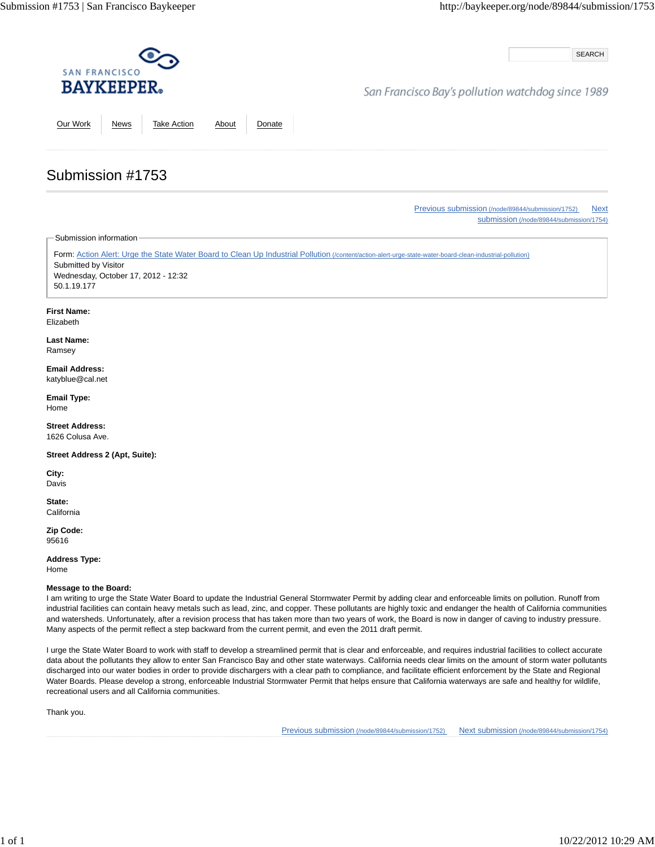SEARCH

## San Francisco Bay's pollution watchdog since 1989

Our Work News Take Action About Donate

Previous submission (/node/89844/submission/1752) Next submission (/node/89844/submission/1754)

Submission information

Submission #1753

Form: Action Alert: Urge the State Water Board to Clean Up Industrial Pollution (/content/action-alert-urge-state-water-board-clean-industrial-pollution) Submitted by Visitor Wednesday, October 17, 2012 - 12:32 50.1.19.177

#### **First Name:**

Elizabeth

**Last Name:** Ramsey

**Email Address:** katyblue@cal.net

**Email Type:** Home

**Street Address:** 1626 Colusa Ave.

**Street Address 2 (Apt, Suite):**

**City:** Davis

**State: California** 

**Zip Code:** 95616

**Address Type:**

Home

### **Message to the Board:**

I am writing to urge the State Water Board to update the Industrial General Stormwater Permit by adding clear and enforceable limits on pollution. Runoff from industrial facilities can contain heavy metals such as lead, zinc, and copper. These pollutants are highly toxic and endanger the health of California communities and watersheds. Unfortunately, after a revision process that has taken more than two years of work, the Board is now in danger of caving to industry pressure. Many aspects of the permit reflect a step backward from the current permit, and even the 2011 draft permit.

I urge the State Water Board to work with staff to develop a streamlined permit that is clear and enforceable, and requires industrial facilities to collect accurate data about the pollutants they allow to enter San Francisco Bay and other state waterways. California needs clear limits on the amount of storm water pollutants discharged into our water bodies in order to provide dischargers with a clear path to compliance, and facilitate efficient enforcement by the State and Regional Water Boards. Please develop a strong, enforceable Industrial Stormwater Permit that helps ensure that California waterways are safe and healthy for wildlife, recreational users and all California communities.

Thank you.

Previous submission (/node/89844/submission/1752) Next submission (/node/89844/submission/1754)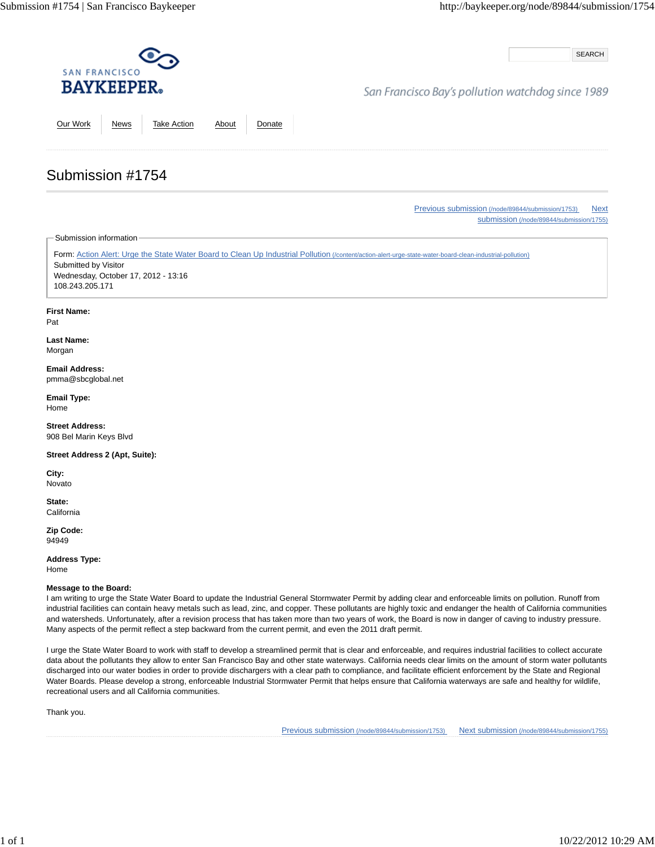SEARCH

## San Francisco Bay's pollution watchdog since 1989

Our Work News Take Action About Donate

Previous submission (/node/89844/submission/1753) Next submission (/node/89844/submission/1755)

Submission information

Submission #1754

Form: Action Alert: Urge the State Water Board to Clean Up Industrial Pollution (/content/action-alert-urge-state-water-board-clean-industrial-pollution) Submitted by Visitor Wednesday, October 17, 2012 - 13:16 108.243.205.171

### **First Name:**

Pat

**Last Name:** Morgan

**Email Address:** pmma@sbcglobal.net

**Email Type:** Home

**Street Address:** 908 Bel Marin Keys Blvd

**Street Address 2 (Apt, Suite):**

**City:** Novato

**State: California** 

**Zip Code:** 94949

**Address Type:** Home

#### **Message to the Board:**

I am writing to urge the State Water Board to update the Industrial General Stormwater Permit by adding clear and enforceable limits on pollution. Runoff from industrial facilities can contain heavy metals such as lead, zinc, and copper. These pollutants are highly toxic and endanger the health of California communities and watersheds. Unfortunately, after a revision process that has taken more than two years of work, the Board is now in danger of caving to industry pressure. Many aspects of the permit reflect a step backward from the current permit, and even the 2011 draft permit.

I urge the State Water Board to work with staff to develop a streamlined permit that is clear and enforceable, and requires industrial facilities to collect accurate data about the pollutants they allow to enter San Francisco Bay and other state waterways. California needs clear limits on the amount of storm water pollutants discharged into our water bodies in order to provide dischargers with a clear path to compliance, and facilitate efficient enforcement by the State and Regional Water Boards. Please develop a strong, enforceable Industrial Stormwater Permit that helps ensure that California waterways are safe and healthy for wildlife, recreational users and all California communities.

Thank you.

Previous submission (/node/89844/submission/1753) Next submission (/node/89844/submission/1755)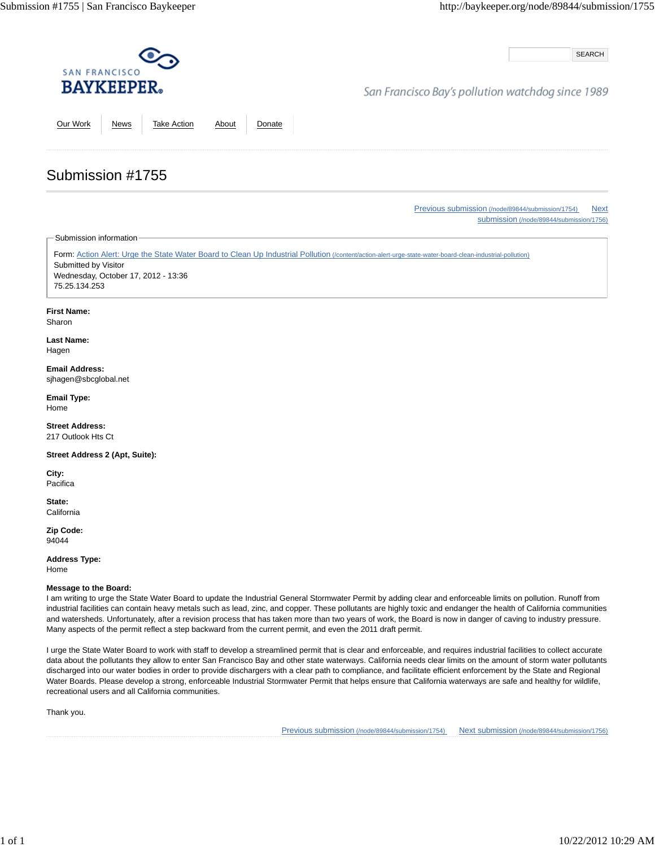SEARCH

## San Francisco Bay's pollution watchdog since 1989

Our Work News Take Action About Donate

Previous submission (/node/89844/submission/1754) Next submission (/node/89844/submission/1756)

Submission information

Submission #1755

Form: Action Alert: Urge the State Water Board to Clean Up Industrial Pollution (/content/action-alert-urge-state-water-board-clean-industrial-pollution) Submitted by Visitor Wednesday, October 17, 2012 - 13:36 75.25.134.253

#### **First Name:**

Sharon

**Last Name:** Hagen

#### **Email Address:** sjhagen@sbcglobal.net

**Email Type:** Home

**Street Address:** 217 Outlook Hts Ct

**Street Address 2 (Apt, Suite):**

**City:** Pacifica

**State: California** 

**Zip Code:** 94044

**Address Type:** Home

**Message to the Board:**

I am writing to urge the State Water Board to update the Industrial General Stormwater Permit by adding clear and enforceable limits on pollution. Runoff from industrial facilities can contain heavy metals such as lead, zinc, and copper. These pollutants are highly toxic and endanger the health of California communities and watersheds. Unfortunately, after a revision process that has taken more than two years of work, the Board is now in danger of caving to industry pressure. Many aspects of the permit reflect a step backward from the current permit, and even the 2011 draft permit.

I urge the State Water Board to work with staff to develop a streamlined permit that is clear and enforceable, and requires industrial facilities to collect accurate data about the pollutants they allow to enter San Francisco Bay and other state waterways. California needs clear limits on the amount of storm water pollutants discharged into our water bodies in order to provide dischargers with a clear path to compliance, and facilitate efficient enforcement by the State and Regional Water Boards. Please develop a strong, enforceable Industrial Stormwater Permit that helps ensure that California waterways are safe and healthy for wildlife, recreational users and all California communities.

Thank you.

Previous submission (/node/89844/submission/1754) Next submission (/node/89844/submission/1756)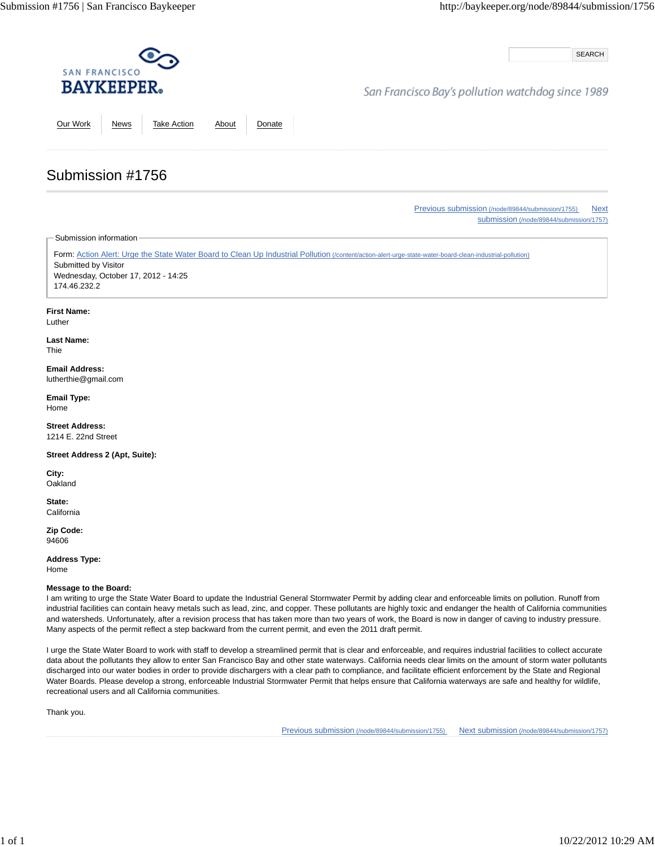SEARCH

## San Francisco Bay's pollution watchdog since 1989

Our Work News Take Action About Donate

Previous submission (/node/89844/submission/1755) Next submission (/node/89844/submission/1757)

Submission information

Submission #1756

Form: Action Alert: Urge the State Water Board to Clean Up Industrial Pollution (/content/action-alert-urge-state-water-board-clean-industrial-pollution) Submitted by Visitor Wednesday, October 17, 2012 - 14:25 174.46.232.2

#### **First Name:**

Luther

**Last Name:** Thie

**Email Address:** lutherthie@gmail.com

**Email Type:** Home

**Street Address:** 1214 E. 22nd Street

**Street Address 2 (Apt, Suite):**

**City: Oakland** 

**State: California** 

**Zip Code:** 94606

**Address Type:** Home

**Message to the Board:**

I am writing to urge the State Water Board to update the Industrial General Stormwater Permit by adding clear and enforceable limits on pollution. Runoff from industrial facilities can contain heavy metals such as lead, zinc, and copper. These pollutants are highly toxic and endanger the health of California communities and watersheds. Unfortunately, after a revision process that has taken more than two years of work, the Board is now in danger of caving to industry pressure. Many aspects of the permit reflect a step backward from the current permit, and even the 2011 draft permit.

I urge the State Water Board to work with staff to develop a streamlined permit that is clear and enforceable, and requires industrial facilities to collect accurate data about the pollutants they allow to enter San Francisco Bay and other state waterways. California needs clear limits on the amount of storm water pollutants discharged into our water bodies in order to provide dischargers with a clear path to compliance, and facilitate efficient enforcement by the State and Regional Water Boards. Please develop a strong, enforceable Industrial Stormwater Permit that helps ensure that California waterways are safe and healthy for wildlife, recreational users and all California communities.

Thank you.

Previous submission (/node/89844/submission/1755) Next submission (/node/89844/submission/1757)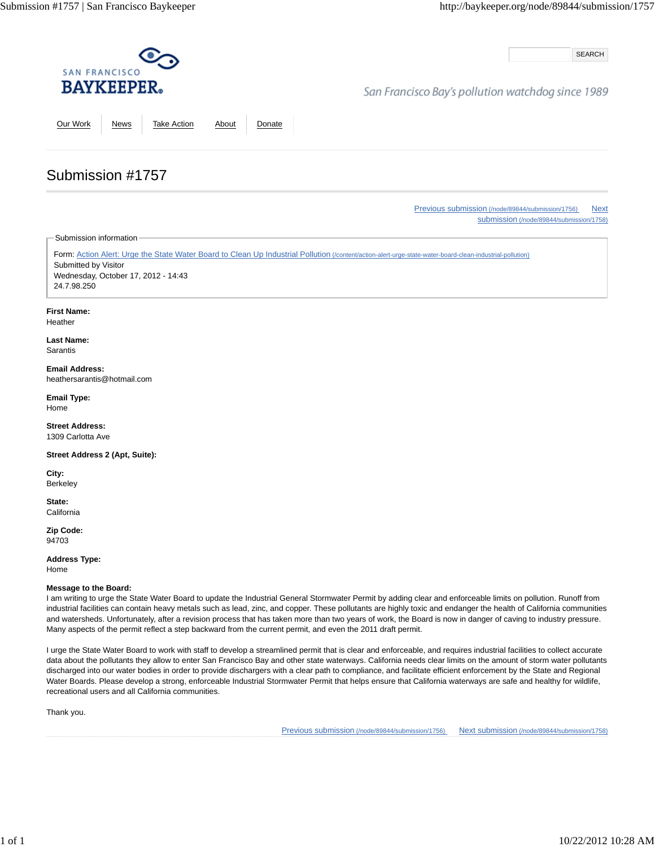SEARCH

## San Francisco Bay's pollution watchdog since 1989

Our Work News Take Action About Donate

# Submission #1757

Previous submission (/node/89844/submission/1756) Next submission (/node/89844/submission/1758)

Submission information

Form: Action Alert: Urge the State Water Board to Clean Up Industrial Pollution (/content/action-alert-urge-state-water-board-clean-industrial-pollution) Submitted by Visitor Wednesday, October 17, 2012 - 14:43 24.7.98.250

### **First Name:**

Heather

**Last Name:** Sarantis

#### **Email Address:** heathersarantis@hotmail.com

**Email Type:** Home

**Street Address:** 1309 Carlotta Ave

**Street Address 2 (Apt, Suite):**

**City:** Berkeley

**State: California** 

**Zip Code:** 94703

**Address Type:** Home

**Message to the Board:**

I am writing to urge the State Water Board to update the Industrial General Stormwater Permit by adding clear and enforceable limits on pollution. Runoff from industrial facilities can contain heavy metals such as lead, zinc, and copper. These pollutants are highly toxic and endanger the health of California communities and watersheds. Unfortunately, after a revision process that has taken more than two years of work, the Board is now in danger of caving to industry pressure. Many aspects of the permit reflect a step backward from the current permit, and even the 2011 draft permit.

I urge the State Water Board to work with staff to develop a streamlined permit that is clear and enforceable, and requires industrial facilities to collect accurate data about the pollutants they allow to enter San Francisco Bay and other state waterways. California needs clear limits on the amount of storm water pollutants discharged into our water bodies in order to provide dischargers with a clear path to compliance, and facilitate efficient enforcement by the State and Regional Water Boards. Please develop a strong, enforceable Industrial Stormwater Permit that helps ensure that California waterways are safe and healthy for wildlife, recreational users and all California communities.

Thank you.

Previous submission (/node/89844/submission/1756) Next submission (/node/89844/submission/1758)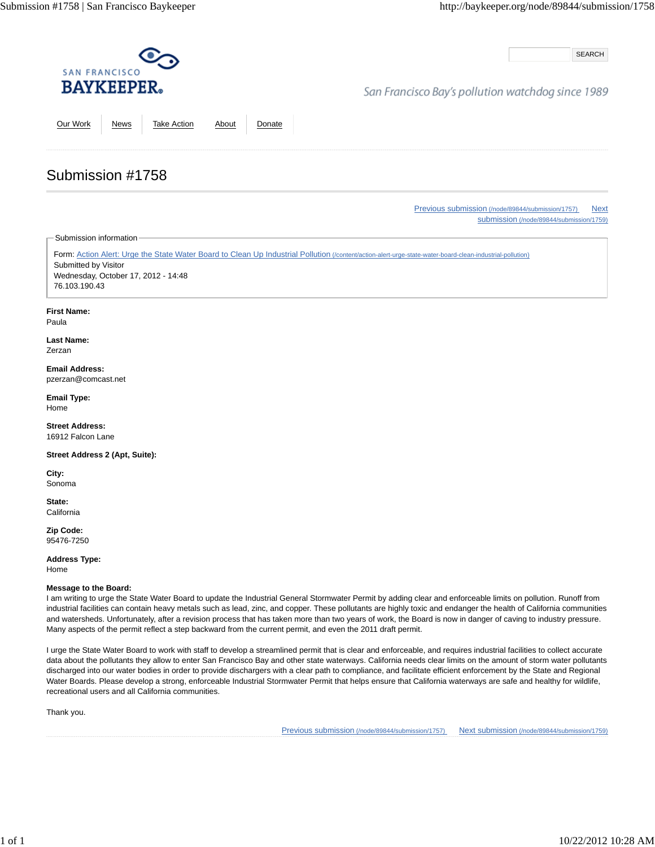SEARCH

## San Francisco Bay's pollution watchdog since 1989

Our Work News Take Action About Donate

Previous submission (/node/89844/submission/1757) Next submission (/node/89844/submission/1759)

Submission information

Submission #1758

Form: Action Alert: Urge the State Water Board to Clean Up Industrial Pollution (/content/action-alert-urge-state-water-board-clean-industrial-pollution) Submitted by Visitor Wednesday, October 17, 2012 - 14:48 76.103.190.43

### **First Name:**

Paula

**Last Name:** Zerzan

#### **Email Address:** pzerzan@comcast.net

**Email Type:** Home

**Street Address:** 16912 Falcon Lane

**Street Address 2 (Apt, Suite):**

**City:** Sonoma

**State: California** 

**Zip Code:** 95476-7250

**Address Type:** Home

### **Message to the Board:**

I am writing to urge the State Water Board to update the Industrial General Stormwater Permit by adding clear and enforceable limits on pollution. Runoff from industrial facilities can contain heavy metals such as lead, zinc, and copper. These pollutants are highly toxic and endanger the health of California communities and watersheds. Unfortunately, after a revision process that has taken more than two years of work, the Board is now in danger of caving to industry pressure. Many aspects of the permit reflect a step backward from the current permit, and even the 2011 draft permit.

I urge the State Water Board to work with staff to develop a streamlined permit that is clear and enforceable, and requires industrial facilities to collect accurate data about the pollutants they allow to enter San Francisco Bay and other state waterways. California needs clear limits on the amount of storm water pollutants discharged into our water bodies in order to provide dischargers with a clear path to compliance, and facilitate efficient enforcement by the State and Regional Water Boards. Please develop a strong, enforceable Industrial Stormwater Permit that helps ensure that California waterways are safe and healthy for wildlife, recreational users and all California communities.

Thank you.

Previous submission (/node/89844/submission/1757) Next submission (/node/89844/submission/1759)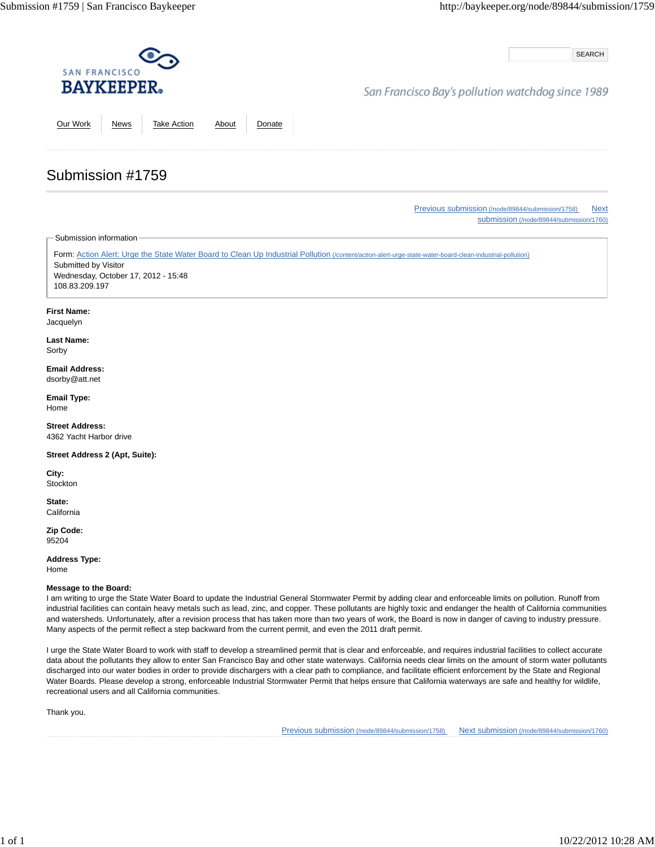SEARCH

## San Francisco Bay's pollution watchdog since 1989

Our Work News Take Action About Donate

Previous submission (/node/89844/submission/1758) Next submission (/node/89844/submission/1760)

Submission information

Submission #1759

Form: Action Alert: Urge the State Water Board to Clean Up Industrial Pollution (/content/action-alert-urge-state-water-board-clean-industrial-pollution) Submitted by Visitor Wednesday, October 17, 2012 - 15:48 108.83.209.197

#### **First Name:**

Jacquelyn

**Last Name:** Sorby

**Email Address:** dsorby@att.net

**Email Type:** Home

**Street Address:** 4362 Yacht Harbor drive

**Street Address 2 (Apt, Suite):**

**City: Stockton** 

**State: California** 

**Zip Code:** 95204

**Address Type:** Home

**Message to the Board:**

I am writing to urge the State Water Board to update the Industrial General Stormwater Permit by adding clear and enforceable limits on pollution. Runoff from industrial facilities can contain heavy metals such as lead, zinc, and copper. These pollutants are highly toxic and endanger the health of California communities and watersheds. Unfortunately, after a revision process that has taken more than two years of work, the Board is now in danger of caving to industry pressure. Many aspects of the permit reflect a step backward from the current permit, and even the 2011 draft permit.

I urge the State Water Board to work with staff to develop a streamlined permit that is clear and enforceable, and requires industrial facilities to collect accurate data about the pollutants they allow to enter San Francisco Bay and other state waterways. California needs clear limits on the amount of storm water pollutants discharged into our water bodies in order to provide dischargers with a clear path to compliance, and facilitate efficient enforcement by the State and Regional Water Boards. Please develop a strong, enforceable Industrial Stormwater Permit that helps ensure that California waterways are safe and healthy for wildlife, recreational users and all California communities.

Thank you.

Previous submission (/node/89844/submission/1758) Next submission (/node/89844/submission/1760)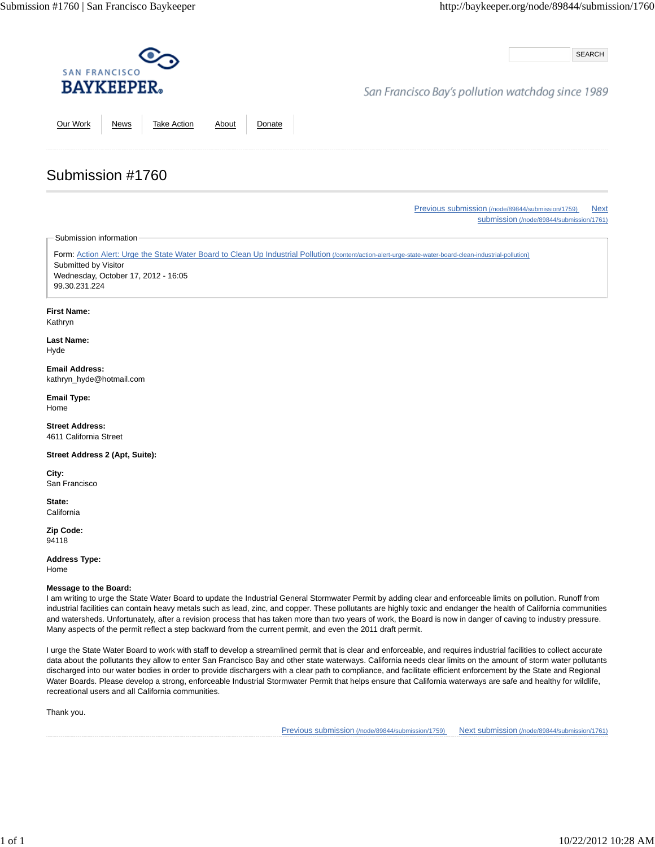SEARCH

# San Francisco Bay's pollution watchdog since 1989

Our Work News Take Action About Donate

Previous submission (/node/89844/submission/1759) Next submission (/node/89844/submission/1761)

Submission information

Submission #1760

Form: Action Alert: Urge the State Water Board to Clean Up Industrial Pollution (/content/action-alert-urge-state-water-board-clean-industrial-pollution) Submitted by Visitor Wednesday, October 17, 2012 - 16:05 99.30.231.224

**First Name:**

Kathryn

**Last Name:** Hyde

**Email Address:** kathryn\_hyde@hotmail.com

**Email Type:** Home

**Street Address:** 4611 California Street

**Street Address 2 (Apt, Suite):**

**City:** San Francisco

**State: California** 

**Zip Code:** 94118

**Address Type:** Home

#### **Message to the Board:**

I am writing to urge the State Water Board to update the Industrial General Stormwater Permit by adding clear and enforceable limits on pollution. Runoff from industrial facilities can contain heavy metals such as lead, zinc, and copper. These pollutants are highly toxic and endanger the health of California communities and watersheds. Unfortunately, after a revision process that has taken more than two years of work, the Board is now in danger of caving to industry pressure. Many aspects of the permit reflect a step backward from the current permit, and even the 2011 draft permit.

I urge the State Water Board to work with staff to develop a streamlined permit that is clear and enforceable, and requires industrial facilities to collect accurate data about the pollutants they allow to enter San Francisco Bay and other state waterways. California needs clear limits on the amount of storm water pollutants discharged into our water bodies in order to provide dischargers with a clear path to compliance, and facilitate efficient enforcement by the State and Regional Water Boards. Please develop a strong, enforceable Industrial Stormwater Permit that helps ensure that California waterways are safe and healthy for wildlife, recreational users and all California communities.

Thank you.

Previous submission (/node/89844/submission/1759) Next submission (/node/89844/submission/1761)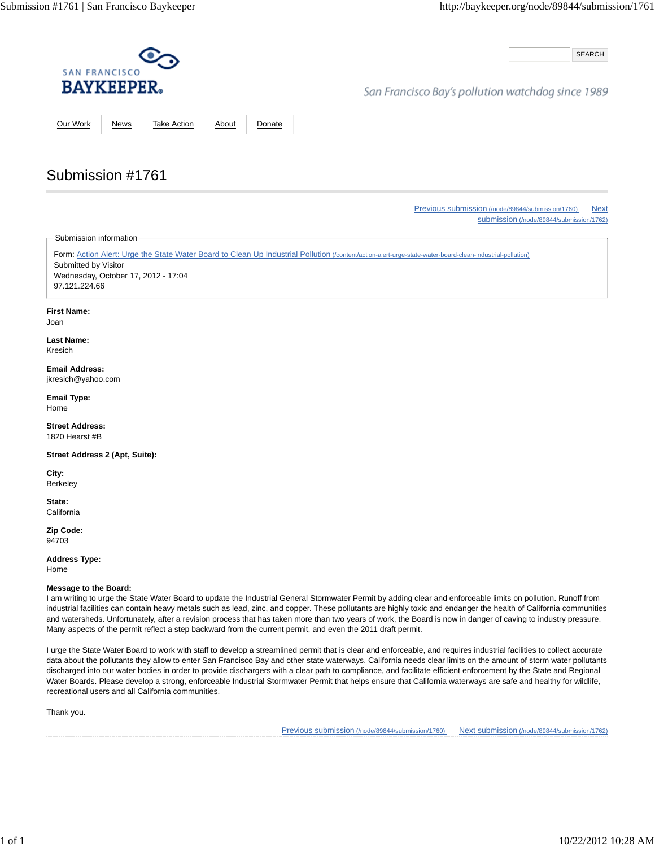SEARCH

## San Francisco Bay's pollution watchdog since 1989

Our Work News Take Action About Donate

Previous submission (/node/89844/submission/1760) Next submission (/node/89844/submission/1762)

Submission information

Submission #1761

Form: Action Alert: Urge the State Water Board to Clean Up Industrial Pollution (/content/action-alert-urge-state-water-board-clean-industrial-pollution) Submitted by Visitor Wednesday, October 17, 2012 - 17:04 97.121.224.66

#### **First Name:**

Joan

**Last Name:** Kresich

#### **Email Address:** jkresich@yahoo.com

**Email Type:** Home

**Street Address:** 1820 Hearst #B

**Street Address 2 (Apt, Suite):**

**City:** Berkeley

**State: California** 

**Zip Code:** 94703

**Address Type:**

Home

### **Message to the Board:**

I am writing to urge the State Water Board to update the Industrial General Stormwater Permit by adding clear and enforceable limits on pollution. Runoff from industrial facilities can contain heavy metals such as lead, zinc, and copper. These pollutants are highly toxic and endanger the health of California communities and watersheds. Unfortunately, after a revision process that has taken more than two years of work, the Board is now in danger of caving to industry pressure. Many aspects of the permit reflect a step backward from the current permit, and even the 2011 draft permit.

I urge the State Water Board to work with staff to develop a streamlined permit that is clear and enforceable, and requires industrial facilities to collect accurate data about the pollutants they allow to enter San Francisco Bay and other state waterways. California needs clear limits on the amount of storm water pollutants discharged into our water bodies in order to provide dischargers with a clear path to compliance, and facilitate efficient enforcement by the State and Regional Water Boards. Please develop a strong, enforceable Industrial Stormwater Permit that helps ensure that California waterways are safe and healthy for wildlife, recreational users and all California communities.

Thank you.

Previous submission (/node/89844/submission/1760) Next submission (/node/89844/submission/1762)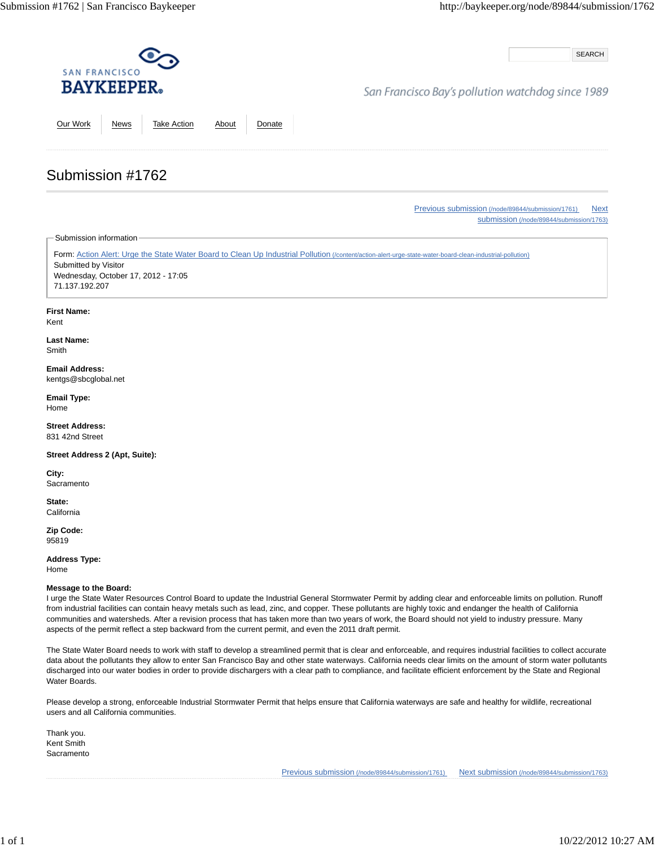SEARCH

## San Francisco Bay's pollution watchdog since 1989

Our Work News Take Action About Donate

Previous submission (/node/89844/submission/1761) Next submission (/node/89844/submission/1763)

Submission information

Submission #1762

Form: Action Alert: Urge the State Water Board to Clean Up Industrial Pollution (/content/action-alert-urge-state-water-board-clean-industrial-pollution) Submitted by Visitor Wednesday, October 17, 2012 - 17:05 71.137.192.207

### **First Name:**

Kent

**Last Name:** Smith

**Email Address:** kentgs@sbcglobal.net

**Email Type:** Home

**Street Address:** 831 42nd Street

**Street Address 2 (Apt, Suite):**

**City: Sacramento** 

**State: California** 

**Zip Code:** 95819

**Address Type:**

Home

### **Message to the Board:**

I urge the State Water Resources Control Board to update the Industrial General Stormwater Permit by adding clear and enforceable limits on pollution. Runoff from industrial facilities can contain heavy metals such as lead, zinc, and copper. These pollutants are highly toxic and endanger the health of California communities and watersheds. After a revision process that has taken more than two years of work, the Board should not yield to industry pressure. Many aspects of the permit reflect a step backward from the current permit, and even the 2011 draft permit.

The State Water Board needs to work with staff to develop a streamlined permit that is clear and enforceable, and requires industrial facilities to collect accurate data about the pollutants they allow to enter San Francisco Bay and other state waterways. California needs clear limits on the amount of storm water pollutants discharged into our water bodies in order to provide dischargers with a clear path to compliance, and facilitate efficient enforcement by the State and Regional Water Boards.

Please develop a strong, enforceable Industrial Stormwater Permit that helps ensure that California waterways are safe and healthy for wildlife, recreational users and all California communities.

Thank you. Kent Smith **Sacramento** 

Previous submission (/node/89844/submission/1761) Next submission (/node/89844/submission/1763)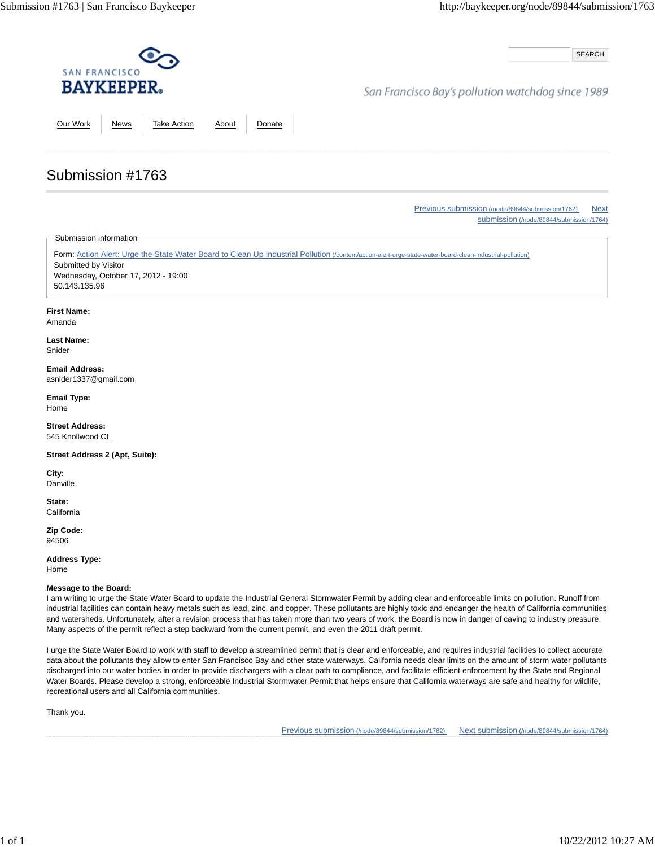SEARCH

## San Francisco Bay's pollution watchdog since 1989

Our Work News Take Action About Donate

Previous submission (/node/89844/submission/1762) Next submission (/node/89844/submission/1764)

Submission information

Submission #1763

Form: Action Alert: Urge the State Water Board to Clean Up Industrial Pollution (/content/action-alert-urge-state-water-board-clean-industrial-pollution) Submitted by Visitor Wednesday, October 17, 2012 - 19:00 50.143.135.96

#### **First Name:**

Amanda

**Last Name:** Snider

**Email Address:** asnider1337@gmail.com

**Email Type:** Home

**Street Address:** 545 Knollwood Ct.

**Street Address 2 (Apt, Suite):**

**City:** Danville

**State: California** 

**Zip Code:** 94506

**Address Type:** Home

#### **Message to the Board:**

I am writing to urge the State Water Board to update the Industrial General Stormwater Permit by adding clear and enforceable limits on pollution. Runoff from industrial facilities can contain heavy metals such as lead, zinc, and copper. These pollutants are highly toxic and endanger the health of California communities and watersheds. Unfortunately, after a revision process that has taken more than two years of work, the Board is now in danger of caving to industry pressure. Many aspects of the permit reflect a step backward from the current permit, and even the 2011 draft permit.

I urge the State Water Board to work with staff to develop a streamlined permit that is clear and enforceable, and requires industrial facilities to collect accurate data about the pollutants they allow to enter San Francisco Bay and other state waterways. California needs clear limits on the amount of storm water pollutants discharged into our water bodies in order to provide dischargers with a clear path to compliance, and facilitate efficient enforcement by the State and Regional Water Boards. Please develop a strong, enforceable Industrial Stormwater Permit that helps ensure that California waterways are safe and healthy for wildlife, recreational users and all California communities.

Thank you.

Previous submission (/node/89844/submission/1762) Next submission (/node/89844/submission/1764)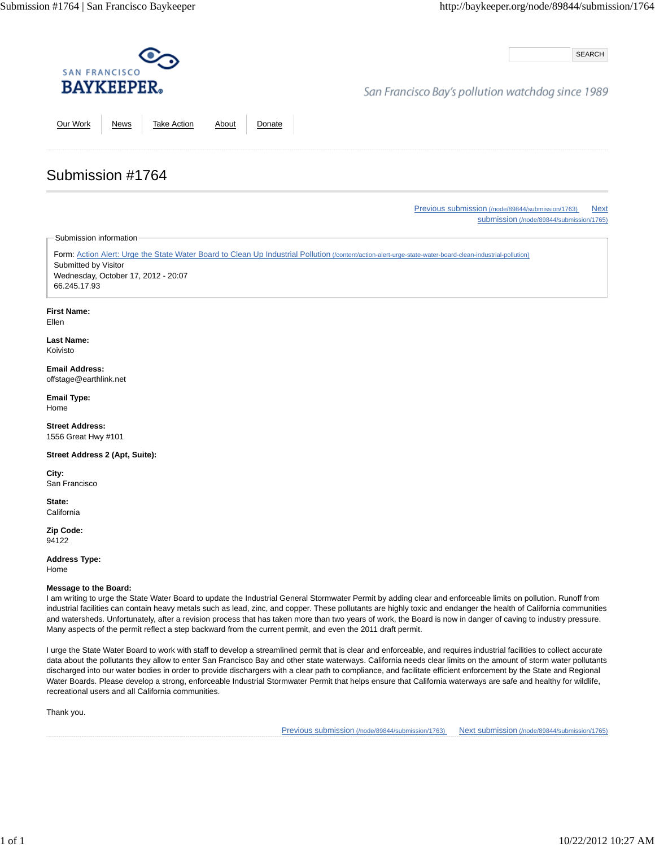SEARCH

## San Francisco Bay's pollution watchdog since 1989

Our Work News Take Action About Donate

Previous submission (/node/89844/submission/1763) Next submission (/node/89844/submission/1765)

Submission information

Submission #1764

Form: Action Alert: Urge the State Water Board to Clean Up Industrial Pollution (/content/action-alert-urge-state-water-board-clean-industrial-pollution) Submitted by Visitor Wednesday, October 17, 2012 - 20:07 66.245.17.93

**First Name:**

Ellen

**Last Name:** Koivisto

**Email Address:** offstage@earthlink.net

**Email Type:** Home

**Street Address:** 1556 Great Hwy #101

**Street Address 2 (Apt, Suite):**

**City:** San Francisco

**State: California** 

**Zip Code:** 94122

**Address Type:** Home

#### **Message to the Board:**

I am writing to urge the State Water Board to update the Industrial General Stormwater Permit by adding clear and enforceable limits on pollution. Runoff from industrial facilities can contain heavy metals such as lead, zinc, and copper. These pollutants are highly toxic and endanger the health of California communities and watersheds. Unfortunately, after a revision process that has taken more than two years of work, the Board is now in danger of caving to industry pressure. Many aspects of the permit reflect a step backward from the current permit, and even the 2011 draft permit.

I urge the State Water Board to work with staff to develop a streamlined permit that is clear and enforceable, and requires industrial facilities to collect accurate data about the pollutants they allow to enter San Francisco Bay and other state waterways. California needs clear limits on the amount of storm water pollutants discharged into our water bodies in order to provide dischargers with a clear path to compliance, and facilitate efficient enforcement by the State and Regional Water Boards. Please develop a strong, enforceable Industrial Stormwater Permit that helps ensure that California waterways are safe and healthy for wildlife, recreational users and all California communities.

Thank you.

Previous submission (/node/89844/submission/1763) Next submission (/node/89844/submission/1765)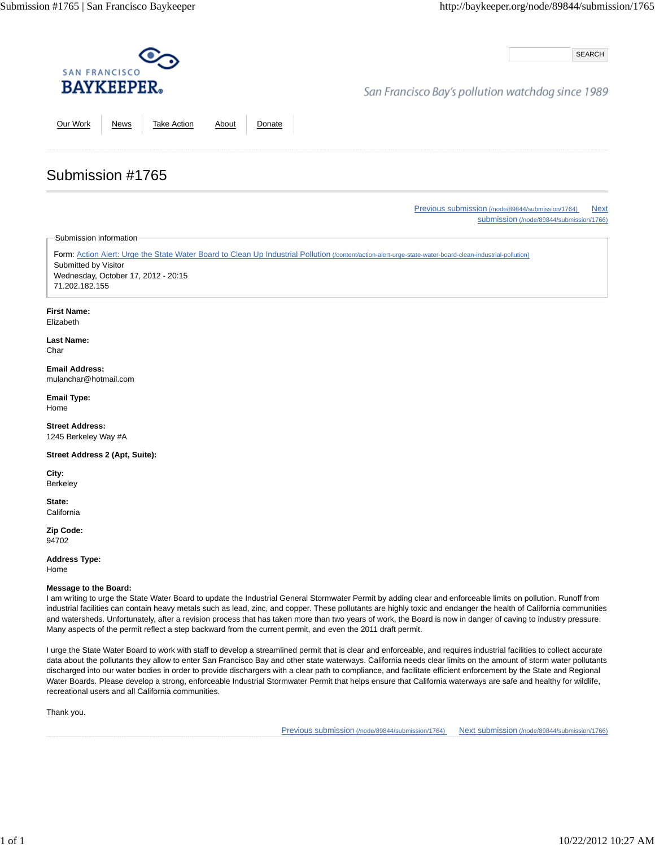SEARCH

## San Francisco Bay's pollution watchdog since 1989

Our Work News Take Action About Donate

Previous submission (/node/89844/submission/1764) Next submission (/node/89844/submission/1766)

Submission information

Submission #1765

Form: Action Alert: Urge the State Water Board to Clean Up Industrial Pollution (/content/action-alert-urge-state-water-board-clean-industrial-pollution) Submitted by Visitor Wednesday, October 17, 2012 - 20:15 71.202.182.155

#### **First Name:**

Elizabeth

**Last Name:** Char

**Email Address:** mulanchar@hotmail.com

**Email Type:** Home

**Street Address:** 1245 Berkeley Way #A

**Street Address 2 (Apt, Suite):**

**City:** Berkeley

**State: California** 

**Zip Code:** 94702

**Address Type:** Home

#### **Message to the Board:**

I am writing to urge the State Water Board to update the Industrial General Stormwater Permit by adding clear and enforceable limits on pollution. Runoff from industrial facilities can contain heavy metals such as lead, zinc, and copper. These pollutants are highly toxic and endanger the health of California communities and watersheds. Unfortunately, after a revision process that has taken more than two years of work, the Board is now in danger of caving to industry pressure. Many aspects of the permit reflect a step backward from the current permit, and even the 2011 draft permit.

I urge the State Water Board to work with staff to develop a streamlined permit that is clear and enforceable, and requires industrial facilities to collect accurate data about the pollutants they allow to enter San Francisco Bay and other state waterways. California needs clear limits on the amount of storm water pollutants discharged into our water bodies in order to provide dischargers with a clear path to compliance, and facilitate efficient enforcement by the State and Regional Water Boards. Please develop a strong, enforceable Industrial Stormwater Permit that helps ensure that California waterways are safe and healthy for wildlife, recreational users and all California communities.

Thank you.

Previous submission (/node/89844/submission/1764) Next submission (/node/89844/submission/1766)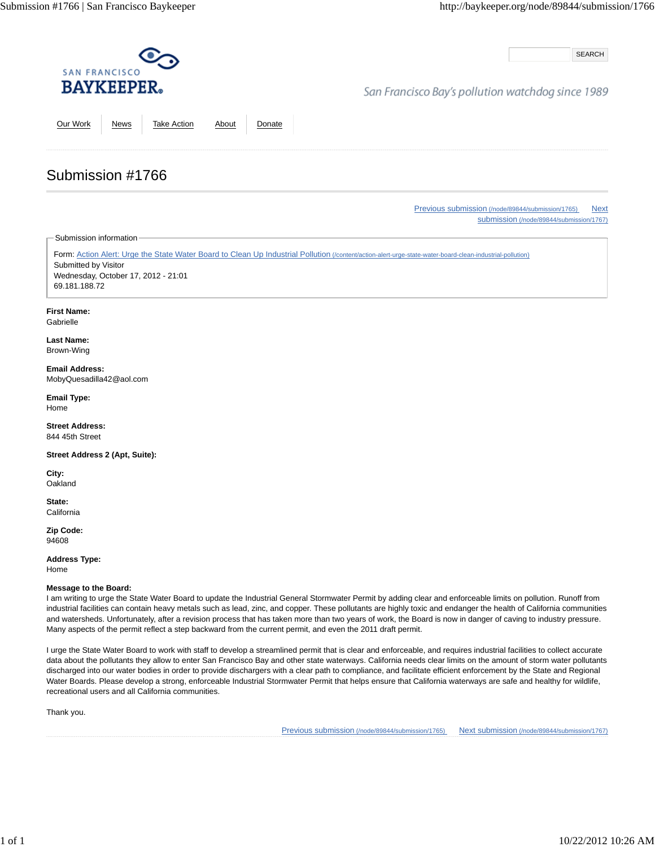SEARCH

## San Francisco Bay's pollution watchdog since 1989

Our Work News Take Action About Donate

# Submission #1766

Previous submission (/node/89844/submission/1765) Next submission (/node/89844/submission/1767)

Submission information

Form: Action Alert: Urge the State Water Board to Clean Up Industrial Pollution (/content/action-alert-urge-state-water-board-clean-industrial-pollution) Submitted by Visitor Wednesday, October 17, 2012 - 21:01 69.181.188.72

### **First Name:**

**Gabrielle** 

#### **Last Name:** Brown-Wing

**Email Address:** MobyQuesadilla42@aol.com

**Email Type:** Home

**Street Address:** 844 45th Street

**Street Address 2 (Apt, Suite):**

**City: Oakland** 

**State: California** 

**Zip Code:** 94608

**Address Type:**

Home

### **Message to the Board:**

I am writing to urge the State Water Board to update the Industrial General Stormwater Permit by adding clear and enforceable limits on pollution. Runoff from industrial facilities can contain heavy metals such as lead, zinc, and copper. These pollutants are highly toxic and endanger the health of California communities and watersheds. Unfortunately, after a revision process that has taken more than two years of work, the Board is now in danger of caving to industry pressure. Many aspects of the permit reflect a step backward from the current permit, and even the 2011 draft permit.

I urge the State Water Board to work with staff to develop a streamlined permit that is clear and enforceable, and requires industrial facilities to collect accurate data about the pollutants they allow to enter San Francisco Bay and other state waterways. California needs clear limits on the amount of storm water pollutants discharged into our water bodies in order to provide dischargers with a clear path to compliance, and facilitate efficient enforcement by the State and Regional Water Boards. Please develop a strong, enforceable Industrial Stormwater Permit that helps ensure that California waterways are safe and healthy for wildlife, recreational users and all California communities.

Thank you.

Previous submission (/node/89844/submission/1765) Next submission (/node/89844/submission/1767)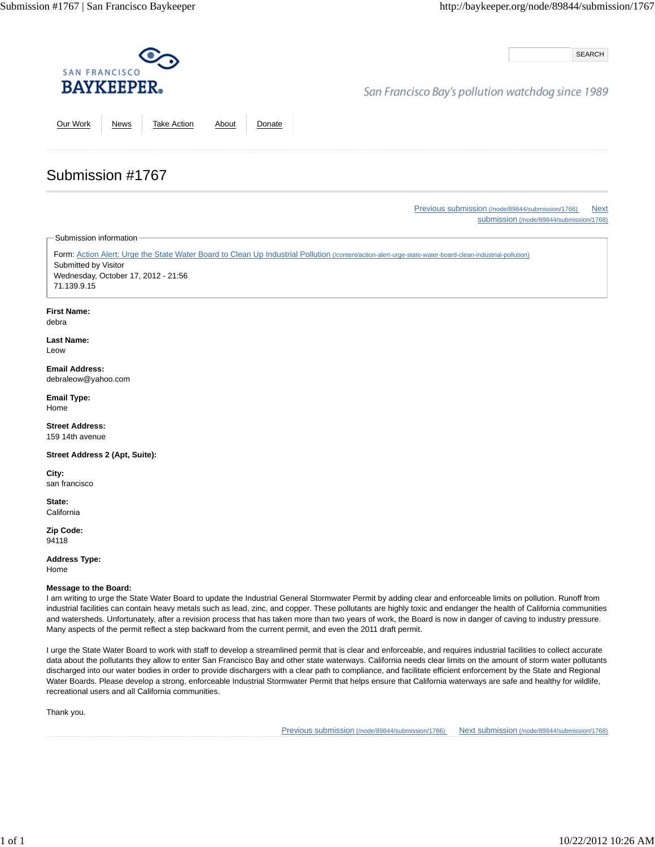SEARCH

## San Francisco Bay's pollution watchdog since 1989

Our Work News Take Action About Donate

Previous submission (/node/89844/submission/1766) Next submission (/node/89844/submission/1768)

Submission information

Submission #1767

Form: Action Alert: Urge the State Water Board to Clean Up Industrial Pollution (/content/action-alert-urge-state-water-board-clean-industrial-pollution) Submitted by Visitor Wednesday, October 17, 2012 - 21:56 71.139.9.15

#### **First Name:**

debra

**Last Name:** Leow

#### **Email Address:** debraleow@yahoo.com

**Email Type:** Home

**Street Address:** 159 14th avenue

**Street Address 2 (Apt, Suite):**

**City:** san francisco

**State: California** 

**Zip Code:** 94118

**Address Type:** Home

**Message to the Board:**

I am writing to urge the State Water Board to update the Industrial General Stormwater Permit by adding clear and enforceable limits on pollution. Runoff from industrial facilities can contain heavy metals such as lead, zinc, and copper. These pollutants are highly toxic and endanger the health of California communities and watersheds. Unfortunately, after a revision process that has taken more than two years of work, the Board is now in danger of caving to industry pressure. Many aspects of the permit reflect a step backward from the current permit, and even the 2011 draft permit.

I urge the State Water Board to work with staff to develop a streamlined permit that is clear and enforceable, and requires industrial facilities to collect accurate data about the pollutants they allow to enter San Francisco Bay and other state waterways. California needs clear limits on the amount of storm water pollutants discharged into our water bodies in order to provide dischargers with a clear path to compliance, and facilitate efficient enforcement by the State and Regional Water Boards. Please develop a strong, enforceable Industrial Stormwater Permit that helps ensure that California waterways are safe and healthy for wildlife, recreational users and all California communities.

Thank you.

Previous submission (/node/89844/submission/1766) Next submission (/node/89844/submission/1768)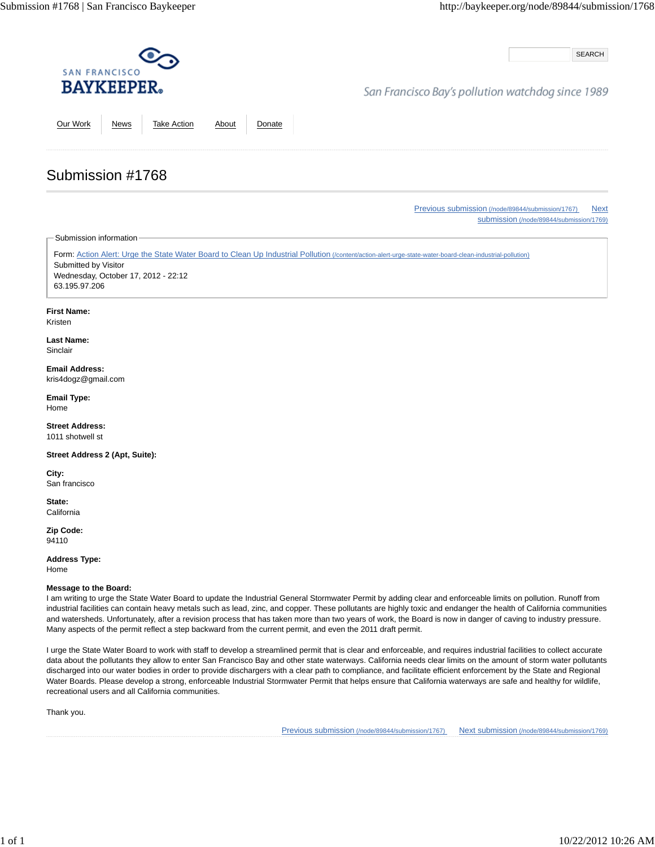SEARCH

# San Francisco Bay's pollution watchdog since 1989

Our Work News Take Action About Donate

Previous submission (/node/89844/submission/1767) Next submission (/node/89844/submission/1769)

Submission information

Submission #1768

Form: Action Alert: Urge the State Water Board to Clean Up Industrial Pollution (/content/action-alert-urge-state-water-board-clean-industrial-pollution) Submitted by Visitor Wednesday, October 17, 2012 - 22:12 63.195.97.206

### **First Name:**

Kristen

**Last Name:** Sinclair

**Email Address:** kris4dogz@gmail.com

**Email Type:** Home

**Street Address:** 1011 shotwell st

**Street Address 2 (Apt, Suite):**

**City:** San francisco

**State: California** 

**Zip Code:** 94110

**Address Type:** Home

**Message to the Board:**

I am writing to urge the State Water Board to update the Industrial General Stormwater Permit by adding clear and enforceable limits on pollution. Runoff from industrial facilities can contain heavy metals such as lead, zinc, and copper. These pollutants are highly toxic and endanger the health of California communities and watersheds. Unfortunately, after a revision process that has taken more than two years of work, the Board is now in danger of caving to industry pressure. Many aspects of the permit reflect a step backward from the current permit, and even the 2011 draft permit.

I urge the State Water Board to work with staff to develop a streamlined permit that is clear and enforceable, and requires industrial facilities to collect accurate data about the pollutants they allow to enter San Francisco Bay and other state waterways. California needs clear limits on the amount of storm water pollutants discharged into our water bodies in order to provide dischargers with a clear path to compliance, and facilitate efficient enforcement by the State and Regional Water Boards. Please develop a strong, enforceable Industrial Stormwater Permit that helps ensure that California waterways are safe and healthy for wildlife, recreational users and all California communities.

Thank you.

Previous submission (/node/89844/submission/1767) Next submission (/node/89844/submission/1769)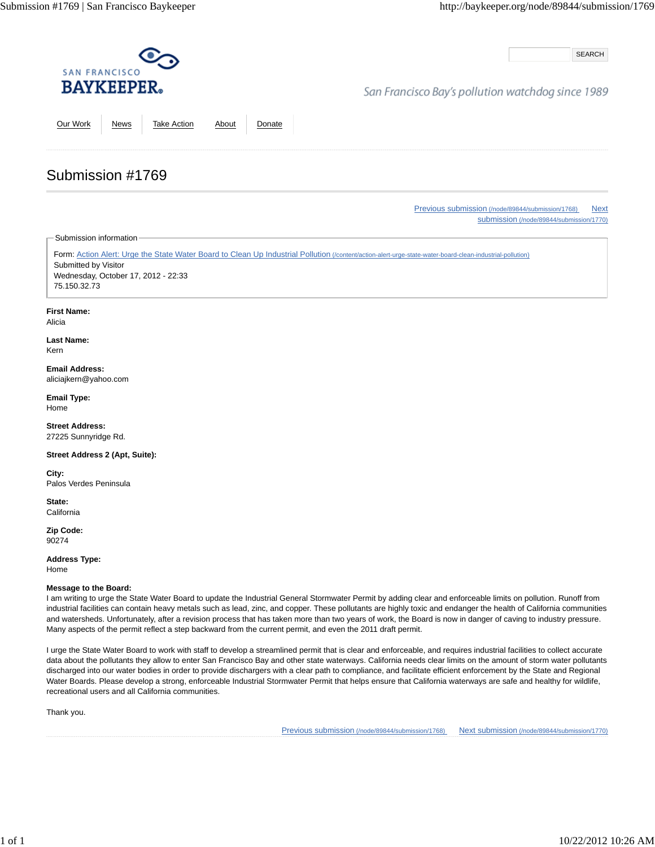SEARCH

## San Francisco Bay's pollution watchdog since 1989

Our Work News Take Action About Donate

Previous submission (/node/89844/submission/1768) Next submission (/node/89844/submission/1770)

Submission information

Submission #1769

Form: Action Alert: Urge the State Water Board to Clean Up Industrial Pollution (/content/action-alert-urge-state-water-board-clean-industrial-pollution) Submitted by Visitor Wednesday, October 17, 2012 - 22:33 75.150.32.73

### **First Name:**

Alicia

**Last Name:** Kern

#### **Email Address:** aliciajkern@yahoo.com

**Email Type:** Home

**Street Address:** 27225 Sunnyridge Rd.

**Street Address 2 (Apt, Suite):**

**City:** Palos Verdes Peninsula

**State: California** 

**Zip Code:** 90274

**Address Type:** Home

### **Message to the Board:**

I am writing to urge the State Water Board to update the Industrial General Stormwater Permit by adding clear and enforceable limits on pollution. Runoff from industrial facilities can contain heavy metals such as lead, zinc, and copper. These pollutants are highly toxic and endanger the health of California communities and watersheds. Unfortunately, after a revision process that has taken more than two years of work, the Board is now in danger of caving to industry pressure. Many aspects of the permit reflect a step backward from the current permit, and even the 2011 draft permit.

I urge the State Water Board to work with staff to develop a streamlined permit that is clear and enforceable, and requires industrial facilities to collect accurate data about the pollutants they allow to enter San Francisco Bay and other state waterways. California needs clear limits on the amount of storm water pollutants discharged into our water bodies in order to provide dischargers with a clear path to compliance, and facilitate efficient enforcement by the State and Regional Water Boards. Please develop a strong, enforceable Industrial Stormwater Permit that helps ensure that California waterways are safe and healthy for wildlife, recreational users and all California communities.

Thank you.

Previous submission (/node/89844/submission/1768) Next submission (/node/89844/submission/1770)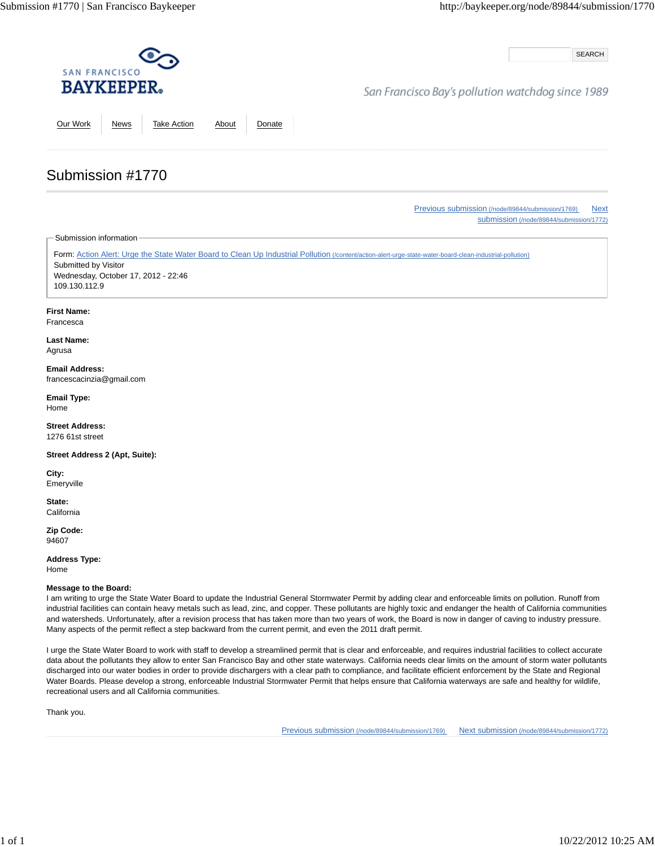SEARCH

## San Francisco Bay's pollution watchdog since 1989

Our Work News Take Action About Donate

### Previous submission (/node/89844/submission/1769) Next submission (/node/89844/submission/1772)

Submission information

Submission #1770

Form: Action Alert: Urge the State Water Board to Clean Up Industrial Pollution (/content/action-alert-urge-state-water-board-clean-industrial-pollution) Submitted by Visitor Wednesday, October 17, 2012 - 22:46 109.130.112.9

#### **First Name:**

Francesca

#### **Last Name:** Agrusa

**Email Address:** francescacinzia@gmail.com

**Email Type:** Home

**Street Address:** 1276 61st street

**Street Address 2 (Apt, Suite):**

**City:** Emeryville

**State: California** 

**Zip Code:** 94607

**Address Type:**

Home

### **Message to the Board:**

I am writing to urge the State Water Board to update the Industrial General Stormwater Permit by adding clear and enforceable limits on pollution. Runoff from industrial facilities can contain heavy metals such as lead, zinc, and copper. These pollutants are highly toxic and endanger the health of California communities and watersheds. Unfortunately, after a revision process that has taken more than two years of work, the Board is now in danger of caving to industry pressure. Many aspects of the permit reflect a step backward from the current permit, and even the 2011 draft permit.

I urge the State Water Board to work with staff to develop a streamlined permit that is clear and enforceable, and requires industrial facilities to collect accurate data about the pollutants they allow to enter San Francisco Bay and other state waterways. California needs clear limits on the amount of storm water pollutants discharged into our water bodies in order to provide dischargers with a clear path to compliance, and facilitate efficient enforcement by the State and Regional Water Boards. Please develop a strong, enforceable Industrial Stormwater Permit that helps ensure that California waterways are safe and healthy for wildlife, recreational users and all California communities.

Thank you.

Previous submission (/node/89844/submission/1769) Next submission (/node/89844/submission/1772)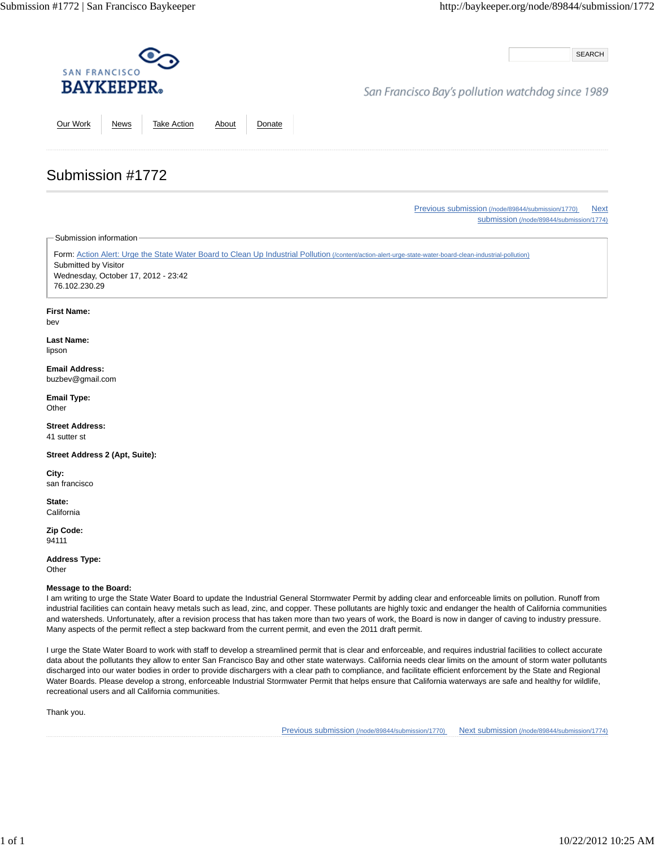SEARCH

# San Francisco Bay's pollution watchdog since 1989

Our Work News Take Action About Donate

# Submission #1772

Previous submission (/node/89844/submission/1770) Next submission (/node/89844/submission/1774)

Submission information

Form: Action Alert: Urge the State Water Board to Clean Up Industrial Pollution (/content/action-alert-urge-state-water-board-clean-industrial-pollution) Submitted by Visitor Wednesday, October 17, 2012 - 23:42 76.102.230.29

### **First Name:**

bev

**Last Name:** lipson

**Email Address:** buzbev@gmail.com

**Email Type: Other** 

**Street Address:** 41 sutter st

**Street Address 2 (Apt, Suite):**

**City:** san francisco

**State: California** 

**Zip Code:** 94111

**Address Type:**

**Other** 

### **Message to the Board:**

I am writing to urge the State Water Board to update the Industrial General Stormwater Permit by adding clear and enforceable limits on pollution. Runoff from industrial facilities can contain heavy metals such as lead, zinc, and copper. These pollutants are highly toxic and endanger the health of California communities and watersheds. Unfortunately, after a revision process that has taken more than two years of work, the Board is now in danger of caving to industry pressure. Many aspects of the permit reflect a step backward from the current permit, and even the 2011 draft permit.

I urge the State Water Board to work with staff to develop a streamlined permit that is clear and enforceable, and requires industrial facilities to collect accurate data about the pollutants they allow to enter San Francisco Bay and other state waterways. California needs clear limits on the amount of storm water pollutants discharged into our water bodies in order to provide dischargers with a clear path to compliance, and facilitate efficient enforcement by the State and Regional Water Boards. Please develop a strong, enforceable Industrial Stormwater Permit that helps ensure that California waterways are safe and healthy for wildlife, recreational users and all California communities.

Thank you.

Previous submission (/node/89844/submission/1770) Next submission (/node/89844/submission/1774)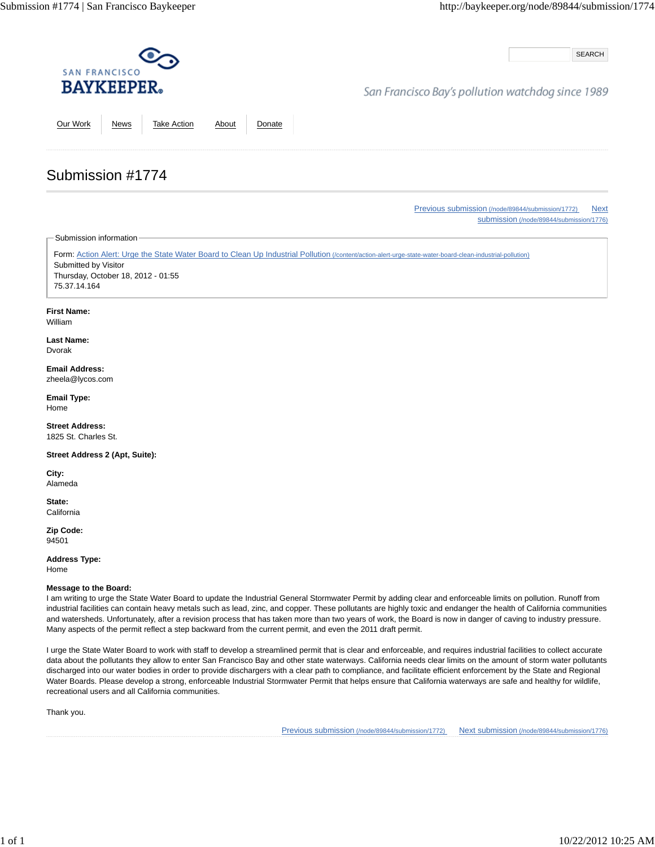SEARCH

## San Francisco Bay's pollution watchdog since 1989

Our Work News Take Action About Donate

Previous submission (/node/89844/submission/1772) Next submission (/node/89844/submission/1776)

Submission information

Submission #1774

Form: Action Alert: Urge the State Water Board to Clean Up Industrial Pollution (/content/action-alert-urge-state-water-board-clean-industrial-pollution) Submitted by Visitor Thursday, October 18, 2012 - 01:55 75.37.14.164

### **First Name:**

William

**Last Name:** Dvorak

**Email Address:** zheela@lycos.com

**Email Type:** Home

**Street Address:** 1825 St. Charles St.

**Street Address 2 (Apt, Suite):**

**City:** Alameda

**State: California** 

**Zip Code:** 94501

**Address Type:** Home

**Message to the Board:**

I am writing to urge the State Water Board to update the Industrial General Stormwater Permit by adding clear and enforceable limits on pollution. Runoff from industrial facilities can contain heavy metals such as lead, zinc, and copper. These pollutants are highly toxic and endanger the health of California communities and watersheds. Unfortunately, after a revision process that has taken more than two years of work, the Board is now in danger of caving to industry pressure. Many aspects of the permit reflect a step backward from the current permit, and even the 2011 draft permit.

I urge the State Water Board to work with staff to develop a streamlined permit that is clear and enforceable, and requires industrial facilities to collect accurate data about the pollutants they allow to enter San Francisco Bay and other state waterways. California needs clear limits on the amount of storm water pollutants discharged into our water bodies in order to provide dischargers with a clear path to compliance, and facilitate efficient enforcement by the State and Regional Water Boards. Please develop a strong, enforceable Industrial Stormwater Permit that helps ensure that California waterways are safe and healthy for wildlife, recreational users and all California communities.

Thank you.

Previous submission (/node/89844/submission/1772) Next submission (/node/89844/submission/1776)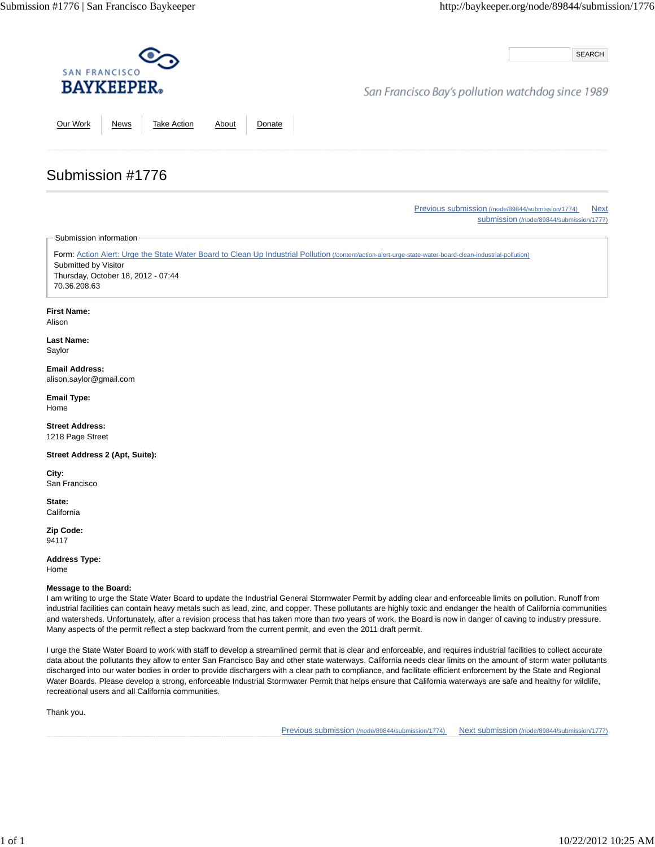SEARCH

## San Francisco Bay's pollution watchdog since 1989

Our Work News Take Action About Donate

Previous submission (/node/89844/submission/1774) Next submission (/node/89844/submission/1777)

Submission information

Submission #1776

Form: Action Alert: Urge the State Water Board to Clean Up Industrial Pollution (/content/action-alert-urge-state-water-board-clean-industrial-pollution) Submitted by Visitor Thursday, October 18, 2012 - 07:44 70.36.208.63

### **First Name:**

Alison

**Last Name:** Saylor

**Email Address:** alison.saylor@gmail.com

**Email Type:** Home

**Street Address:** 1218 Page Street

**Street Address 2 (Apt, Suite):**

**City:** San Francisco

**State: California** 

**Zip Code:** 94117

**Address Type:** Home

**Message to the Board:**

I am writing to urge the State Water Board to update the Industrial General Stormwater Permit by adding clear and enforceable limits on pollution. Runoff from industrial facilities can contain heavy metals such as lead, zinc, and copper. These pollutants are highly toxic and endanger the health of California communities and watersheds. Unfortunately, after a revision process that has taken more than two years of work, the Board is now in danger of caving to industry pressure. Many aspects of the permit reflect a step backward from the current permit, and even the 2011 draft permit.

I urge the State Water Board to work with staff to develop a streamlined permit that is clear and enforceable, and requires industrial facilities to collect accurate data about the pollutants they allow to enter San Francisco Bay and other state waterways. California needs clear limits on the amount of storm water pollutants discharged into our water bodies in order to provide dischargers with a clear path to compliance, and facilitate efficient enforcement by the State and Regional Water Boards. Please develop a strong, enforceable Industrial Stormwater Permit that helps ensure that California waterways are safe and healthy for wildlife, recreational users and all California communities.

Thank you.

Previous submission (/node/89844/submission/1774) Next submission (/node/89844/submission/1777)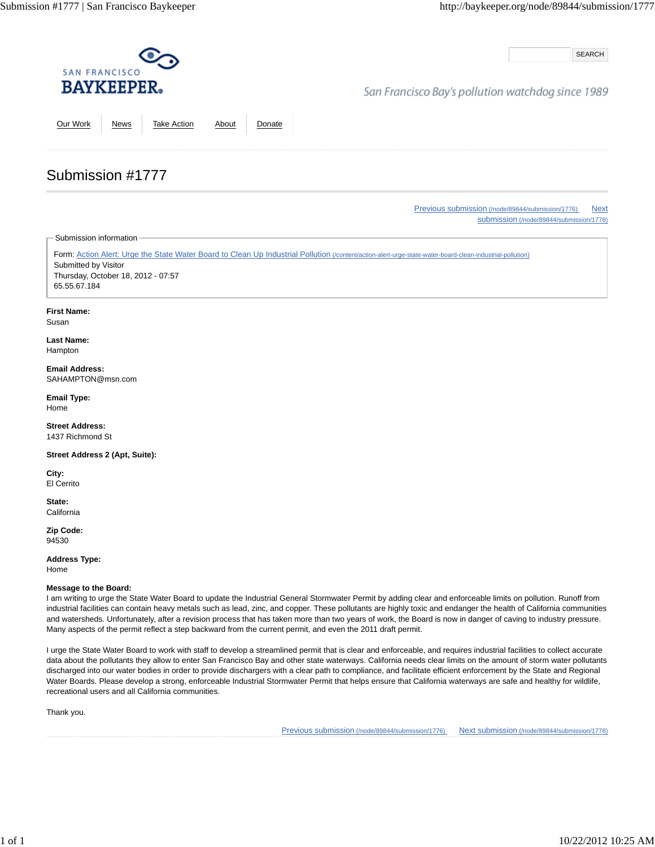SEARCH

## San Francisco Bay's pollution watchdog since 1989

Our Work News Take Action About Donate

Previous submission (/node/89844/submission/1776) Next

submission (/node/89844/submission/1778)

Submission information

Submission #1777

Form: Action Alert: Urge the State Water Board to Clean Up Industrial Pollution (/content/action-alert-urge-state-water-board-clean-industrial-pollution) Submitted by Visitor Thursday, October 18, 2012 - 07:57 65.55.67.184

### **First Name:**

Susan

**Last Name:** Hampton

**Email Address:** SAHAMPTON@msn.com

**Email Type:** Home

**Street Address:** 1437 Richmond St

**Street Address 2 (Apt, Suite):**

**City:** El Cerrito

**State: California** 

**Zip Code:** 94530

**Address Type:** Home

**Message to the Board:**

I am writing to urge the State Water Board to update the Industrial General Stormwater Permit by adding clear and enforceable limits on pollution. Runoff from industrial facilities can contain heavy metals such as lead, zinc, and copper. These pollutants are highly toxic and endanger the health of California communities and watersheds. Unfortunately, after a revision process that has taken more than two years of work, the Board is now in danger of caving to industry pressure. Many aspects of the permit reflect a step backward from the current permit, and even the 2011 draft permit.

I urge the State Water Board to work with staff to develop a streamlined permit that is clear and enforceable, and requires industrial facilities to collect accurate data about the pollutants they allow to enter San Francisco Bay and other state waterways. California needs clear limits on the amount of storm water pollutants discharged into our water bodies in order to provide dischargers with a clear path to compliance, and facilitate efficient enforcement by the State and Regional Water Boards. Please develop a strong, enforceable Industrial Stormwater Permit that helps ensure that California waterways are safe and healthy for wildlife, recreational users and all California communities.

Thank you.

Previous submission (/node/89844/submission/1776) Next submission (/node/89844/submission/1778)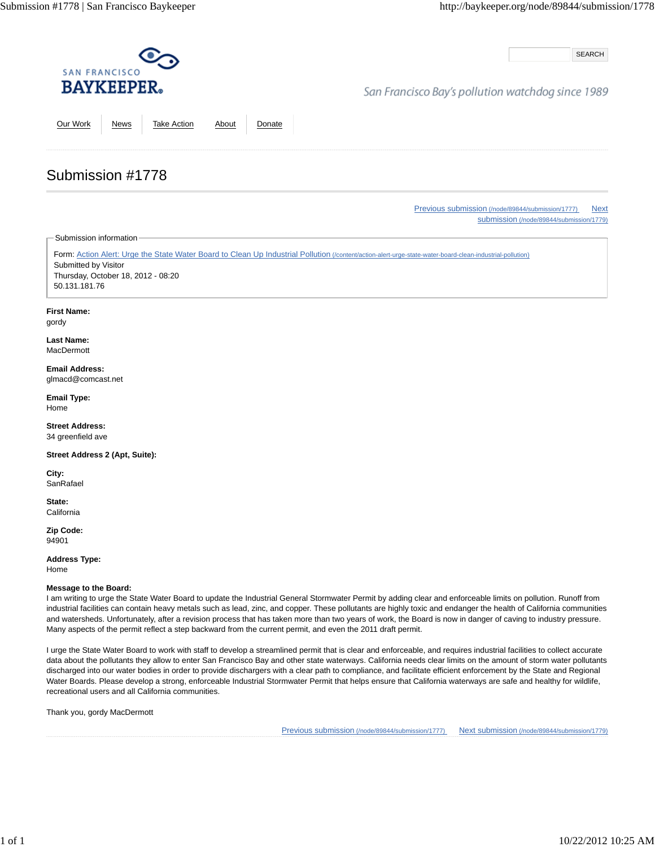SEARCH

## San Francisco Bay's pollution watchdog since 1989

Our Work News Take Action About Donate

### Previous submission (/node/89844/submission/1777) Next submission (/node/89844/submission/1779)

Submission information

Submission #1778

Form: Action Alert: Urge the State Water Board to Clean Up Industrial Pollution (/content/action-alert-urge-state-water-board-clean-industrial-pollution) Submitted by Visitor Thursday, October 18, 2012 - 08:20 50.131.181.76

### **First Name:**

gordy

**Last Name: MacDermott** 

#### **Email Address:** glmacd@comcast.net

**Email Type:** Home

**Street Address:** 34 greenfield ave

**Street Address 2 (Apt, Suite):**

**City: SanRafael** 

**State: California** 

**Zip Code:** 94901

**Address Type:**

Home

### **Message to the Board:**

I am writing to urge the State Water Board to update the Industrial General Stormwater Permit by adding clear and enforceable limits on pollution. Runoff from industrial facilities can contain heavy metals such as lead, zinc, and copper. These pollutants are highly toxic and endanger the health of California communities and watersheds. Unfortunately, after a revision process that has taken more than two years of work, the Board is now in danger of caving to industry pressure. Many aspects of the permit reflect a step backward from the current permit, and even the 2011 draft permit.

I urge the State Water Board to work with staff to develop a streamlined permit that is clear and enforceable, and requires industrial facilities to collect accurate data about the pollutants they allow to enter San Francisco Bay and other state waterways. California needs clear limits on the amount of storm water pollutants discharged into our water bodies in order to provide dischargers with a clear path to compliance, and facilitate efficient enforcement by the State and Regional Water Boards. Please develop a strong, enforceable Industrial Stormwater Permit that helps ensure that California waterways are safe and healthy for wildlife, recreational users and all California communities.

Thank you, gordy MacDermott

Previous submission (/node/89844/submission/1777) Next submission (/node/89844/submission/1779)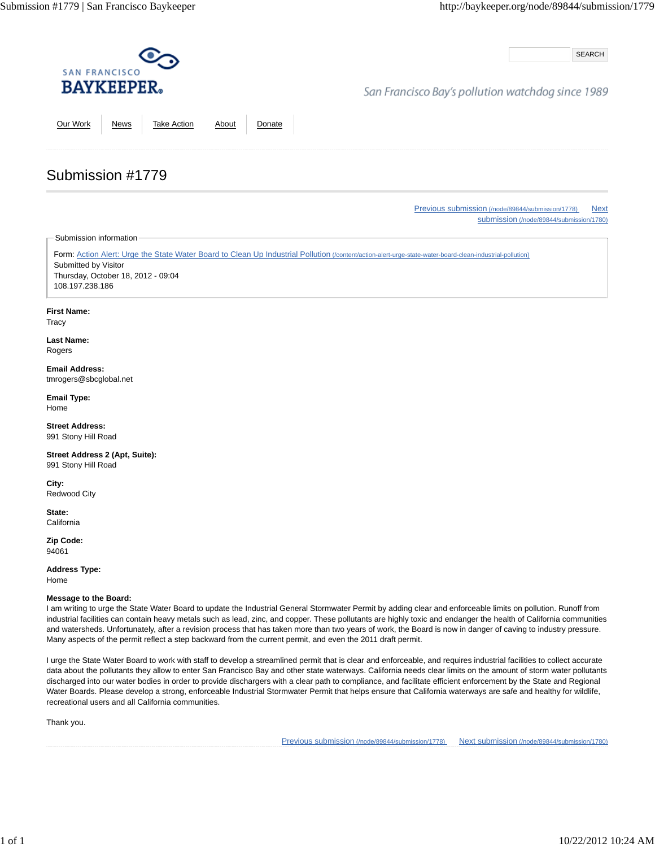SEARCH

## San Francisco Bay's pollution watchdog since 1989

Our Work News Take Action About Donate

Previous submission (/node/89844/submission/1778) Next submission (/node/89844/submission/1780)

Submission information

Submission #1779

Form: Action Alert: Urge the State Water Board to Clean Up Industrial Pollution (/content/action-alert-urge-state-water-board-clean-industrial-pollution) Submitted by Visitor Thursday, October 18, 2012 - 09:04 108.197.238.186

#### **First Name:**

**Tracy** 

**Last Name:** Rogers

**Email Address:** tmrogers@sbcglobal.net

**Email Type:** Home

**Street Address:** 991 Stony Hill Road

**Street Address 2 (Apt, Suite):** 991 Stony Hill Road

**City:** Redwood City

**State: California** 

**Zip Code:** 94061

**Address Type:** Home

#### **Message to the Board:**

I am writing to urge the State Water Board to update the Industrial General Stormwater Permit by adding clear and enforceable limits on pollution. Runoff from industrial facilities can contain heavy metals such as lead, zinc, and copper. These pollutants are highly toxic and endanger the health of California communities and watersheds. Unfortunately, after a revision process that has taken more than two years of work, the Board is now in danger of caving to industry pressure. Many aspects of the permit reflect a step backward from the current permit, and even the 2011 draft permit.

I urge the State Water Board to work with staff to develop a streamlined permit that is clear and enforceable, and requires industrial facilities to collect accurate data about the pollutants they allow to enter San Francisco Bay and other state waterways. California needs clear limits on the amount of storm water pollutants discharged into our water bodies in order to provide dischargers with a clear path to compliance, and facilitate efficient enforcement by the State and Regional Water Boards. Please develop a strong, enforceable Industrial Stormwater Permit that helps ensure that California waterways are safe and healthy for wildlife, recreational users and all California communities.

Thank you.

Previous submission (/node/89844/submission/1778) Next submission (/node/89844/submission/1780)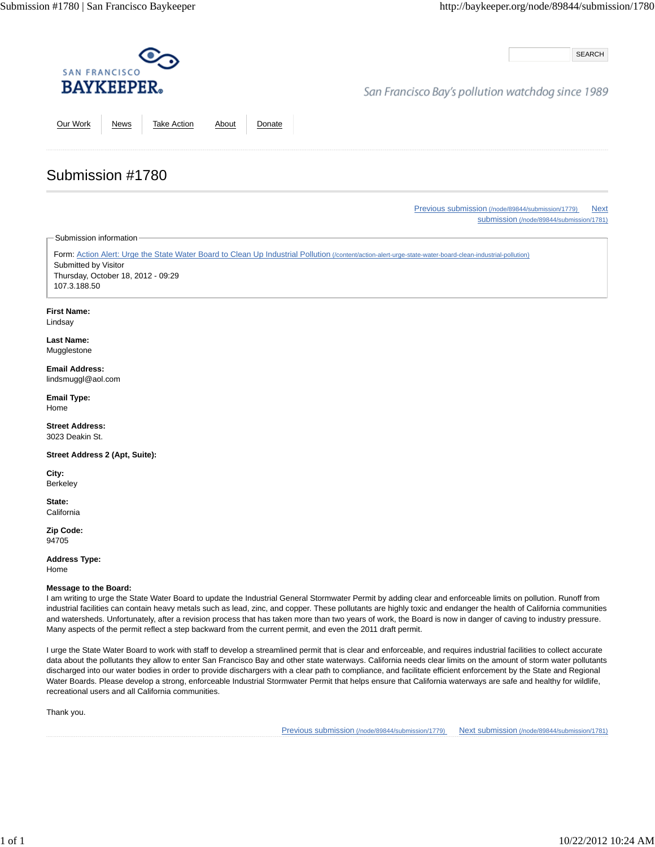SEARCH

# San Francisco Bay's pollution watchdog since 1989

Our Work News Take Action About Donate

Previous submission (/node/89844/submission/1779) Next submission (/node/89844/submission/1781)

Submission information

Submission #1780

Form: Action Alert: Urge the State Water Board to Clean Up Industrial Pollution (/content/action-alert-urge-state-water-board-clean-industrial-pollution) Submitted by Visitor Thursday, October 18, 2012 - 09:29 107.3.188.50

#### **First Name:**

Lindsay

**Last Name: Mugglestone** 

# **Email Address:**

lindsmuggl@aol.com

**Email Type:** Home

**Street Address:** 3023 Deakin St.

**Street Address 2 (Apt, Suite):**

**City:** Berkeley

**State: California** 

**Zip Code:** 94705

**Address Type:**

Home

### **Message to the Board:**

I am writing to urge the State Water Board to update the Industrial General Stormwater Permit by adding clear and enforceable limits on pollution. Runoff from industrial facilities can contain heavy metals such as lead, zinc, and copper. These pollutants are highly toxic and endanger the health of California communities and watersheds. Unfortunately, after a revision process that has taken more than two years of work, the Board is now in danger of caving to industry pressure. Many aspects of the permit reflect a step backward from the current permit, and even the 2011 draft permit.

I urge the State Water Board to work with staff to develop a streamlined permit that is clear and enforceable, and requires industrial facilities to collect accurate data about the pollutants they allow to enter San Francisco Bay and other state waterways. California needs clear limits on the amount of storm water pollutants discharged into our water bodies in order to provide dischargers with a clear path to compliance, and facilitate efficient enforcement by the State and Regional Water Boards. Please develop a strong, enforceable Industrial Stormwater Permit that helps ensure that California waterways are safe and healthy for wildlife, recreational users and all California communities.

Thank you.

Previous submission (/node/89844/submission/1779) Next submission (/node/89844/submission/1781)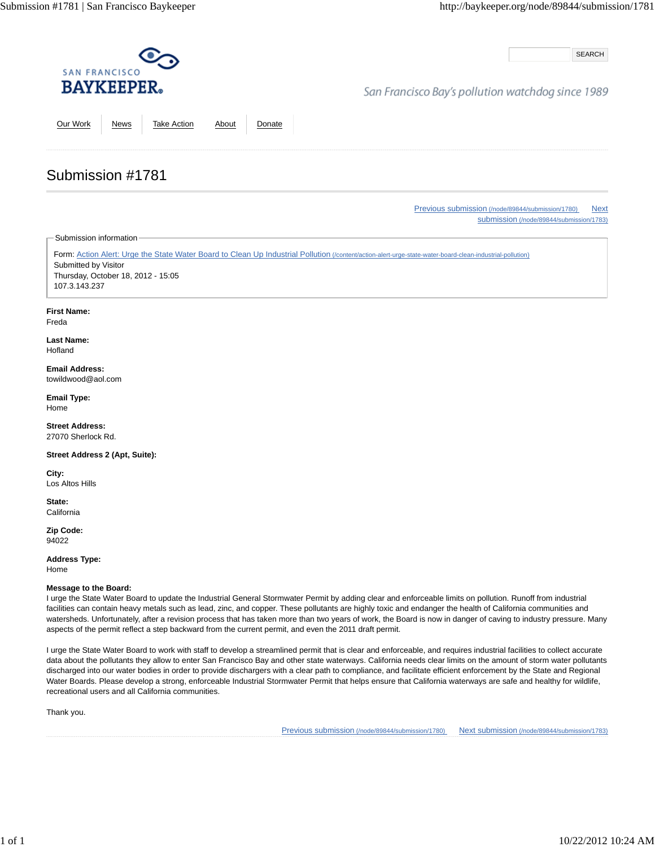SEARCH

# San Francisco Bay's pollution watchdog since 1989

Our Work News Take Action About Donate

Previous submission (/node/89844/submission/1780) Next submission (/node/89844/submission/1783)

Submission information

Submission #1781

Form: Action Alert: Urge the State Water Board to Clean Up Industrial Pollution (/content/action-alert-urge-state-water-board-clean-industrial-pollution) Submitted by Visitor Thursday, October 18, 2012 - 15:05 107.3.143.237

### **First Name:**

Freda

**Last Name:** Hofland

#### **Email Address:** towildwood@aol.com

**Email Type:** Home

**Street Address:** 27070 Sherlock Rd.

**Street Address 2 (Apt, Suite):**

**City:** Los Altos Hills

**State: California** 

**Zip Code:** 94022

**Address Type:** Home

### **Message to the Board:**

I urge the State Water Board to update the Industrial General Stormwater Permit by adding clear and enforceable limits on pollution. Runoff from industrial facilities can contain heavy metals such as lead, zinc, and copper. These pollutants are highly toxic and endanger the health of California communities and watersheds. Unfortunately, after a revision process that has taken more than two years of work, the Board is now in danger of caving to industry pressure. Many aspects of the permit reflect a step backward from the current permit, and even the 2011 draft permit.

I urge the State Water Board to work with staff to develop a streamlined permit that is clear and enforceable, and requires industrial facilities to collect accurate data about the pollutants they allow to enter San Francisco Bay and other state waterways. California needs clear limits on the amount of storm water pollutants discharged into our water bodies in order to provide dischargers with a clear path to compliance, and facilitate efficient enforcement by the State and Regional Water Boards. Please develop a strong, enforceable Industrial Stormwater Permit that helps ensure that California waterways are safe and healthy for wildlife, recreational users and all California communities.

Thank you.

Previous submission (/node/89844/submission/1780) Next submission (/node/89844/submission/1783)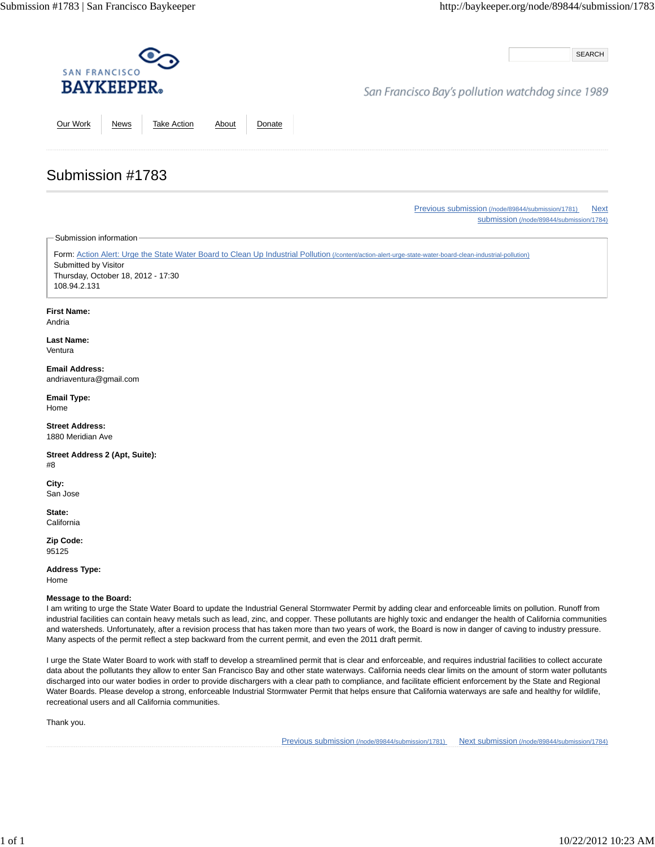SEARCH

## San Francisco Bay's pollution watchdog since 1989

Our Work News Take Action About Donate

#### Previous submission (/node/89844/submission/1781) Next submission (/node/89844/submission/1784)

Submission information

Submission #1783

Form: Action Alert: Urge the State Water Board to Clean Up Industrial Pollution (/content/action-alert-urge-state-water-board-clean-industrial-pollution) Submitted by Visitor Thursday, October 18, 2012 - 17:30 108.94.2.131

#### **First Name:**

Andria

**Last Name:** Ventura

**Email Address:** andriaventura@gmail.com

**Email Type:** Home

**Street Address:** 1880 Meridian Ave

**Street Address 2 (Apt, Suite):** #8

**City:** San Jose

**State: California** 

**Zip Code:** 95125

**Address Type:** Home

#### **Message to the Board:**

I am writing to urge the State Water Board to update the Industrial General Stormwater Permit by adding clear and enforceable limits on pollution. Runoff from industrial facilities can contain heavy metals such as lead, zinc, and copper. These pollutants are highly toxic and endanger the health of California communities and watersheds. Unfortunately, after a revision process that has taken more than two years of work, the Board is now in danger of caving to industry pressure. Many aspects of the permit reflect a step backward from the current permit, and even the 2011 draft permit.

I urge the State Water Board to work with staff to develop a streamlined permit that is clear and enforceable, and requires industrial facilities to collect accurate data about the pollutants they allow to enter San Francisco Bay and other state waterways. California needs clear limits on the amount of storm water pollutants discharged into our water bodies in order to provide dischargers with a clear path to compliance, and facilitate efficient enforcement by the State and Regional Water Boards. Please develop a strong, enforceable Industrial Stormwater Permit that helps ensure that California waterways are safe and healthy for wildlife, recreational users and all California communities.

Thank you.

Previous submission (/node/89844/submission/1781) Next submission (/node/89844/submission/1784)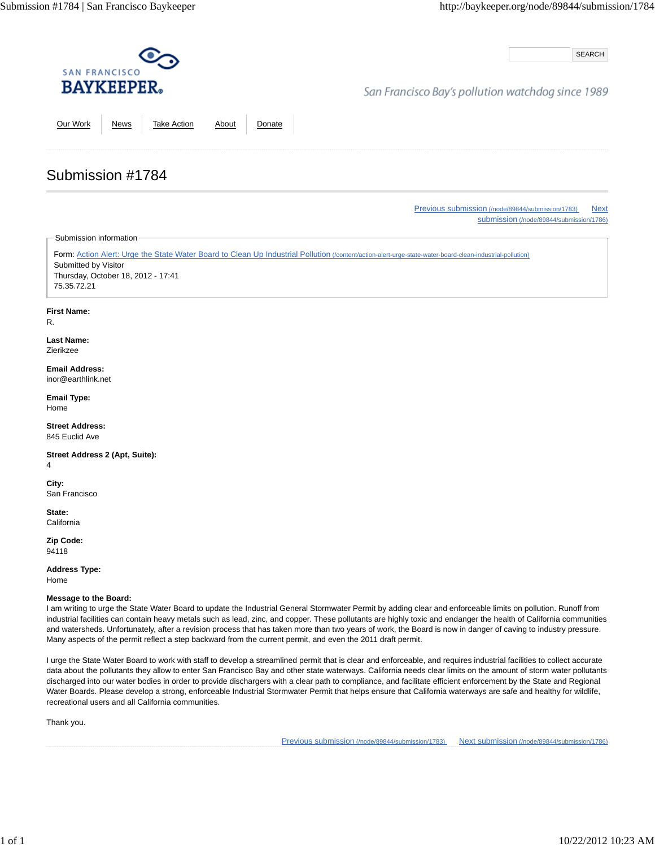SEARCH

## San Francisco Bay's pollution watchdog since 1989

Our Work News Take Action About Donate

# Submission #1784

Previous submission (/node/89844/submission/1783) Next submission (/node/89844/submission/1786)

Submission information

Form: Action Alert: Urge the State Water Board to Clean Up Industrial Pollution (/content/action-alert-urge-state-water-board-clean-industrial-pollution) Submitted by Visitor Thursday, October 18, 2012 - 17:41 75.35.72.21

### **First Name:**

R.

#### **Last Name:** Zierikzee

**Email Address:** inor@earthlink.net

**Email Type:** Home

**Street Address:** 845 Euclid Ave

**Street Address 2 (Apt, Suite):** 4

**City:** San Francisco

**State: California** 

**Zip Code:** 94118

**Address Type:** Home

### **Message to the Board:**

I am writing to urge the State Water Board to update the Industrial General Stormwater Permit by adding clear and enforceable limits on pollution. Runoff from industrial facilities can contain heavy metals such as lead, zinc, and copper. These pollutants are highly toxic and endanger the health of California communities and watersheds. Unfortunately, after a revision process that has taken more than two years of work, the Board is now in danger of caving to industry pressure. Many aspects of the permit reflect a step backward from the current permit, and even the 2011 draft permit.

I urge the State Water Board to work with staff to develop a streamlined permit that is clear and enforceable, and requires industrial facilities to collect accurate data about the pollutants they allow to enter San Francisco Bay and other state waterways. California needs clear limits on the amount of storm water pollutants discharged into our water bodies in order to provide dischargers with a clear path to compliance, and facilitate efficient enforcement by the State and Regional Water Boards. Please develop a strong, enforceable Industrial Stormwater Permit that helps ensure that California waterways are safe and healthy for wildlife, recreational users and all California communities.

Thank you.

Previous submission (/node/89844/submission/1783) Next submission (/node/89844/submission/1786)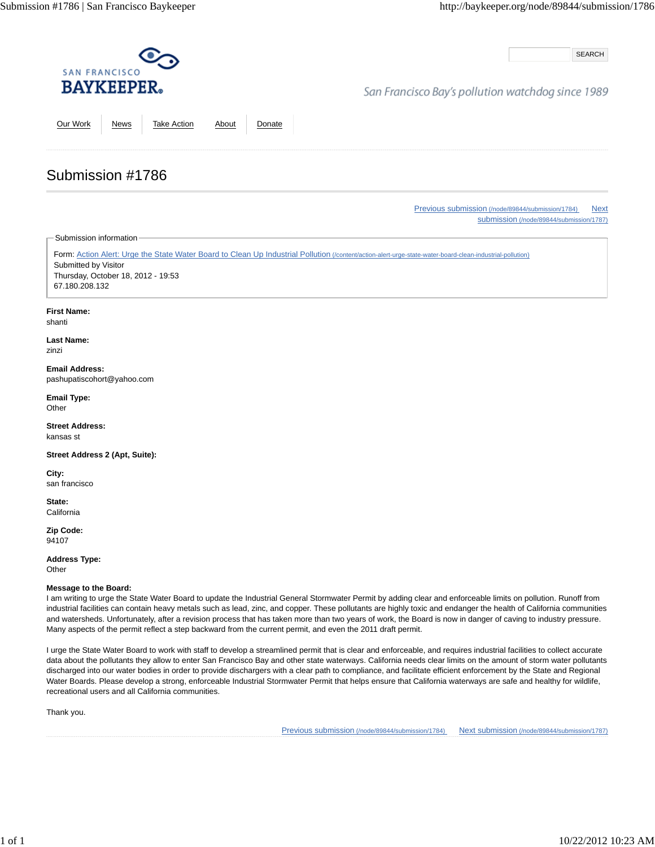SEARCH

## San Francisco Bay's pollution watchdog since 1989

Our Work News Take Action About Donate

Previous submission (/node/89844/submission/1784) Next submission (/node/89844/submission/1787)

Submission information

Submission #1786

Form: Action Alert: Urge the State Water Board to Clean Up Industrial Pollution (/content/action-alert-urge-state-water-board-clean-industrial-pollution) Submitted by Visitor Thursday, October 18, 2012 - 19:53 67.180.208.132

#### **First Name:**

shanti

**Last Name:** zinzi

**Email Address:** pashupatiscohort@yahoo.com

**Email Type: Other** 

**Street Address:** kansas st

**Street Address 2 (Apt, Suite):**

**City:** san francisco

**State: California** 

**Zip Code:** 94107

**Address Type: Other** 

#### **Message to the Board:**

I am writing to urge the State Water Board to update the Industrial General Stormwater Permit by adding clear and enforceable limits on pollution. Runoff from industrial facilities can contain heavy metals such as lead, zinc, and copper. These pollutants are highly toxic and endanger the health of California communities and watersheds. Unfortunately, after a revision process that has taken more than two years of work, the Board is now in danger of caving to industry pressure. Many aspects of the permit reflect a step backward from the current permit, and even the 2011 draft permit.

I urge the State Water Board to work with staff to develop a streamlined permit that is clear and enforceable, and requires industrial facilities to collect accurate data about the pollutants they allow to enter San Francisco Bay and other state waterways. California needs clear limits on the amount of storm water pollutants discharged into our water bodies in order to provide dischargers with a clear path to compliance, and facilitate efficient enforcement by the State and Regional Water Boards. Please develop a strong, enforceable Industrial Stormwater Permit that helps ensure that California waterways are safe and healthy for wildlife, recreational users and all California communities.

Thank you.

Previous submission (/node/89844/submission/1784) Next submission (/node/89844/submission/1787)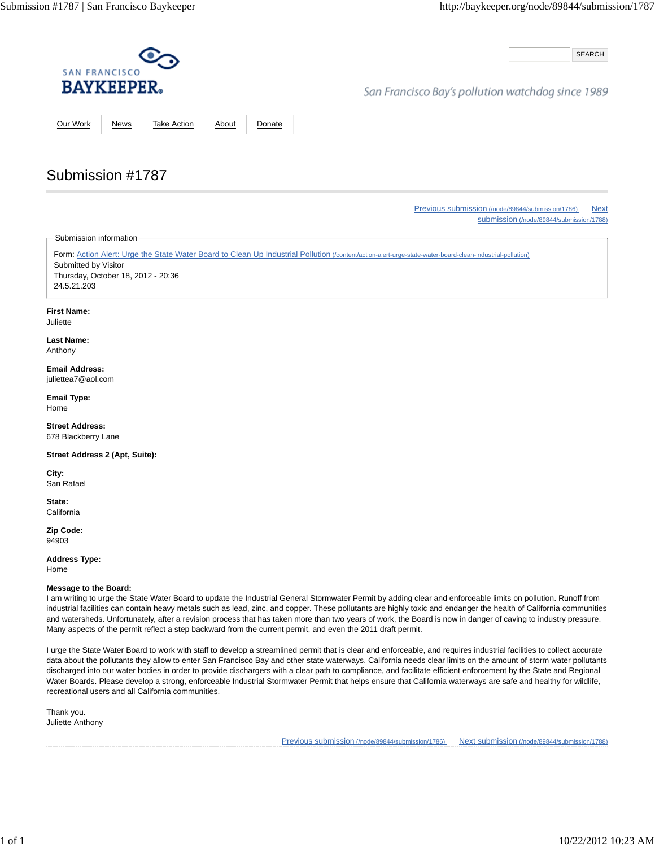SEARCH

## San Francisco Bay's pollution watchdog since 1989

Our Work News Take Action About Donate

# Submission #1787

Previous submission (/node/89844/submission/1786) Next submission (/node/89844/submission/1788)

Submission information

Form: Action Alert: Urge the State Water Board to Clean Up Industrial Pollution (/content/action-alert-urge-state-water-board-clean-industrial-pollution) Submitted by Visitor Thursday, October 18, 2012 - 20:36 24.5.21.203

### **First Name:**

Juliette

**Last Name:** Anthony

**Email Address:** juliettea7@aol.com

**Email Type:** Home

**Street Address:** 678 Blackberry Lane

**Street Address 2 (Apt, Suite):**

**City:** San Rafael

**State: California** 

**Zip Code:** 94903

**Address Type:**

Home

### **Message to the Board:**

I am writing to urge the State Water Board to update the Industrial General Stormwater Permit by adding clear and enforceable limits on pollution. Runoff from industrial facilities can contain heavy metals such as lead, zinc, and copper. These pollutants are highly toxic and endanger the health of California communities and watersheds. Unfortunately, after a revision process that has taken more than two years of work, the Board is now in danger of caving to industry pressure. Many aspects of the permit reflect a step backward from the current permit, and even the 2011 draft permit.

I urge the State Water Board to work with staff to develop a streamlined permit that is clear and enforceable, and requires industrial facilities to collect accurate data about the pollutants they allow to enter San Francisco Bay and other state waterways. California needs clear limits on the amount of storm water pollutants discharged into our water bodies in order to provide dischargers with a clear path to compliance, and facilitate efficient enforcement by the State and Regional Water Boards. Please develop a strong, enforceable Industrial Stormwater Permit that helps ensure that California waterways are safe and healthy for wildlife, recreational users and all California communities.

Thank you. Juliette Anthony

Previous submission (/node/89844/submission/1786) Next submission (/node/89844/submission/1788)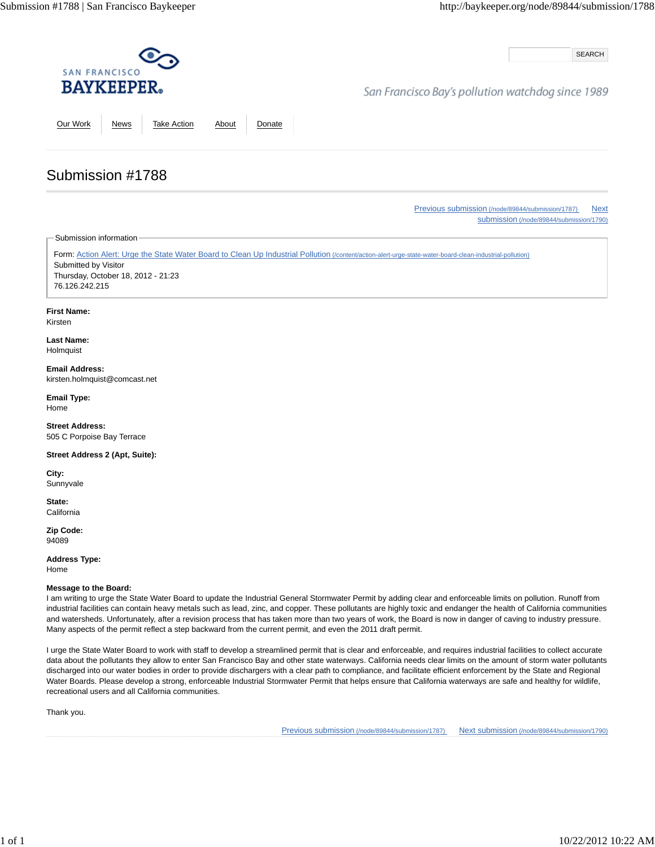SEARCH

## San Francisco Bay's pollution watchdog since 1989

Our Work News Take Action About Donate

# Submission #1788

Previous submission (/node/89844/submission/1787) Next submission (/node/89844/submission/1790)

Submission information

Form: Action Alert: Urge the State Water Board to Clean Up Industrial Pollution (/content/action-alert-urge-state-water-board-clean-industrial-pollution) Submitted by Visitor Thursday, October 18, 2012 - 21:23 76.126.242.215

### **First Name:**

Kirsten

**Last Name:** Holmquist

**Email Address:** kirsten.holmquist@comcast.net

**Email Type:** Home

**Street Address:** 505 C Porpoise Bay Terrace

**Street Address 2 (Apt, Suite):**

**City:** Sunnyvale

**State: California** 

**Zip Code:** 94089

**Address Type:** Home

### **Message to the Board:**

I am writing to urge the State Water Board to update the Industrial General Stormwater Permit by adding clear and enforceable limits on pollution. Runoff from industrial facilities can contain heavy metals such as lead, zinc, and copper. These pollutants are highly toxic and endanger the health of California communities and watersheds. Unfortunately, after a revision process that has taken more than two years of work, the Board is now in danger of caving to industry pressure. Many aspects of the permit reflect a step backward from the current permit, and even the 2011 draft permit.

I urge the State Water Board to work with staff to develop a streamlined permit that is clear and enforceable, and requires industrial facilities to collect accurate data about the pollutants they allow to enter San Francisco Bay and other state waterways. California needs clear limits on the amount of storm water pollutants discharged into our water bodies in order to provide dischargers with a clear path to compliance, and facilitate efficient enforcement by the State and Regional Water Boards. Please develop a strong, enforceable Industrial Stormwater Permit that helps ensure that California waterways are safe and healthy for wildlife, recreational users and all California communities.

Thank you.

Previous submission (/node/89844/submission/1787) Next submission (/node/89844/submission/1790)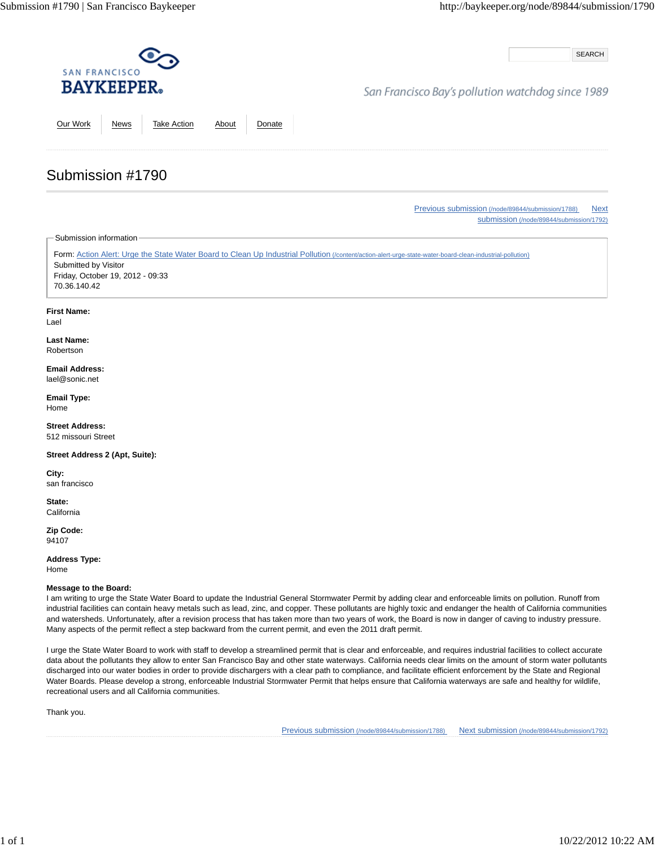SEARCH

## San Francisco Bay's pollution watchdog since 1989

Our Work News Take Action About Donate

Previous submission (/node/89844/submission/1788) Next

submission (/node/89844/submission/1792)

Submission information

Submission #1790

Form: Action Alert: Urge the State Water Board to Clean Up Industrial Pollution (/content/action-alert-urge-state-water-board-clean-industrial-pollution) Submitted by Visitor Friday, October 19, 2012 - 09:33 70.36.140.42

### **First Name:**

Lael

#### **Last Name:** Robertson

**Email Address:** lael@sonic.net

**Email Type:** Home

**Street Address:** 512 missouri Street

**Street Address 2 (Apt, Suite):**

**City:** san francisco

**State: California** 

**Zip Code:** 94107

**Address Type:**

Home

### **Message to the Board:**

I am writing to urge the State Water Board to update the Industrial General Stormwater Permit by adding clear and enforceable limits on pollution. Runoff from industrial facilities can contain heavy metals such as lead, zinc, and copper. These pollutants are highly toxic and endanger the health of California communities and watersheds. Unfortunately, after a revision process that has taken more than two years of work, the Board is now in danger of caving to industry pressure. Many aspects of the permit reflect a step backward from the current permit, and even the 2011 draft permit.

I urge the State Water Board to work with staff to develop a streamlined permit that is clear and enforceable, and requires industrial facilities to collect accurate data about the pollutants they allow to enter San Francisco Bay and other state waterways. California needs clear limits on the amount of storm water pollutants discharged into our water bodies in order to provide dischargers with a clear path to compliance, and facilitate efficient enforcement by the State and Regional Water Boards. Please develop a strong, enforceable Industrial Stormwater Permit that helps ensure that California waterways are safe and healthy for wildlife, recreational users and all California communities.

Thank you.

Previous submission (/node/89844/submission/1788) Next submission (/node/89844/submission/1792)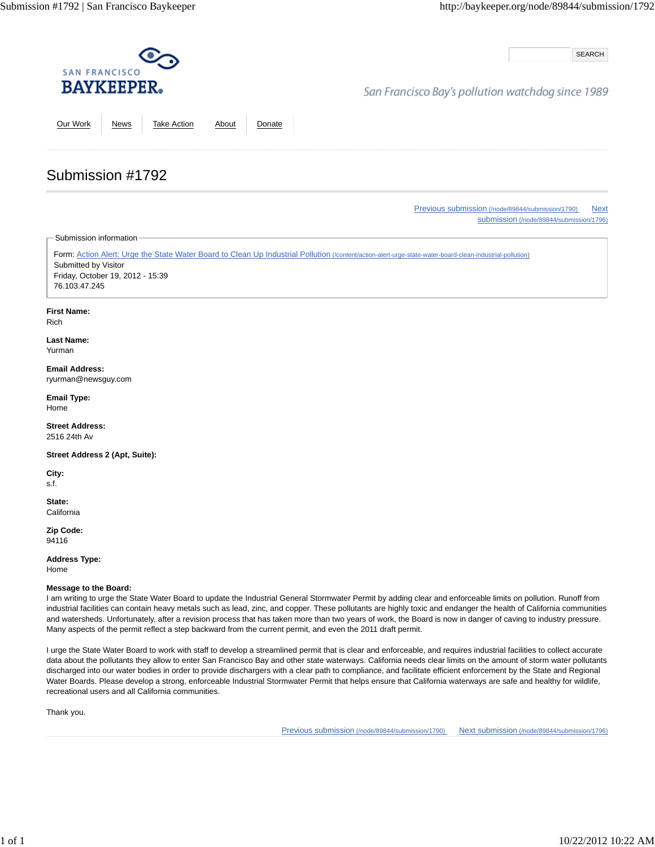SEARCH

## San Francisco Bay's pollution watchdog since 1989

Our Work News Take Action About Donate

Previous submission (/node/89844/submission/1790) Next submission (/node/89844/submission/1796)

Submission information

Submission #1792

Form: Action Alert: Urge the State Water Board to Clean Up Industrial Pollution (/content/action-alert-urge-state-water-board-clean-industrial-pollution) Submitted by Visitor Friday, October 19, 2012 - 15:39 76.103.47.245

### **First Name:**

Rich

**Last Name:** Yurman

#### **Email Address:** ryurman@newsguy.com

**Email Type:** Home

**Street Address:** 2516 24th Av

**Street Address 2 (Apt, Suite):**

**City:** s.f.

**State: California** 

**Zip Code:** 94116

**Address Type:**

Home

### **Message to the Board:**

I am writing to urge the State Water Board to update the Industrial General Stormwater Permit by adding clear and enforceable limits on pollution. Runoff from industrial facilities can contain heavy metals such as lead, zinc, and copper. These pollutants are highly toxic and endanger the health of California communities and watersheds. Unfortunately, after a revision process that has taken more than two years of work, the Board is now in danger of caving to industry pressure. Many aspects of the permit reflect a step backward from the current permit, and even the 2011 draft permit.

I urge the State Water Board to work with staff to develop a streamlined permit that is clear and enforceable, and requires industrial facilities to collect accurate data about the pollutants they allow to enter San Francisco Bay and other state waterways. California needs clear limits on the amount of storm water pollutants discharged into our water bodies in order to provide dischargers with a clear path to compliance, and facilitate efficient enforcement by the State and Regional Water Boards. Please develop a strong, enforceable Industrial Stormwater Permit that helps ensure that California waterways are safe and healthy for wildlife, recreational users and all California communities.

Thank you.

Previous submission (/node/89844/submission/1790) Next submission (/node/89844/submission/1796)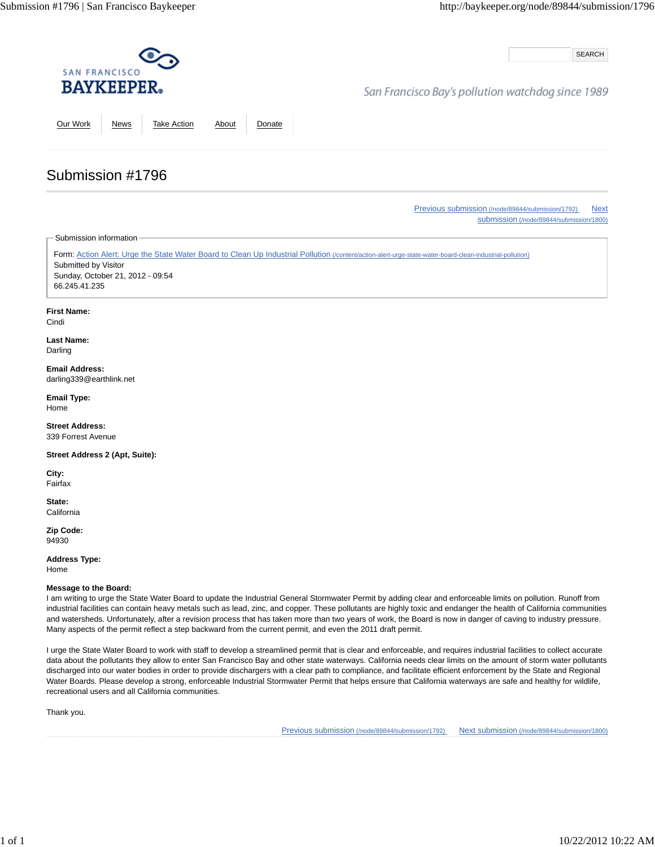SEARCH

## San Francisco Bay's pollution watchdog since 1989

Our Work News Take Action About Donate

### Previous submission (/node/89844/submission/1792) Next submission (/node/89844/submission/1800)

Submission information

Submission #1796

Form: Action Alert: Urge the State Water Board to Clean Up Industrial Pollution (/content/action-alert-urge-state-water-board-clean-industrial-pollution) Submitted by Visitor Sunday, October 21, 2012 - 09:54 66.245.41.235

#### **First Name:**

Cindi

**Last Name:** Darling

**Email Address:** darling339@earthlink.net

**Email Type:** Home

**Street Address:** 339 Forrest Avenue

**Street Address 2 (Apt, Suite):**

**City:** Fairfax

**State: California** 

**Zip Code:** 94930

**Address Type:** Home

**Message to the Board:**

I am writing to urge the State Water Board to update the Industrial General Stormwater Permit by adding clear and enforceable limits on pollution. Runoff from industrial facilities can contain heavy metals such as lead, zinc, and copper. These pollutants are highly toxic and endanger the health of California communities and watersheds. Unfortunately, after a revision process that has taken more than two years of work, the Board is now in danger of caving to industry pressure. Many aspects of the permit reflect a step backward from the current permit, and even the 2011 draft permit.

I urge the State Water Board to work with staff to develop a streamlined permit that is clear and enforceable, and requires industrial facilities to collect accurate data about the pollutants they allow to enter San Francisco Bay and other state waterways. California needs clear limits on the amount of storm water pollutants discharged into our water bodies in order to provide dischargers with a clear path to compliance, and facilitate efficient enforcement by the State and Regional Water Boards. Please develop a strong, enforceable Industrial Stormwater Permit that helps ensure that California waterways are safe and healthy for wildlife, recreational users and all California communities.

Thank you.

Previous submission (/node/89844/submission/1792) Next submission (/node/89844/submission/1800)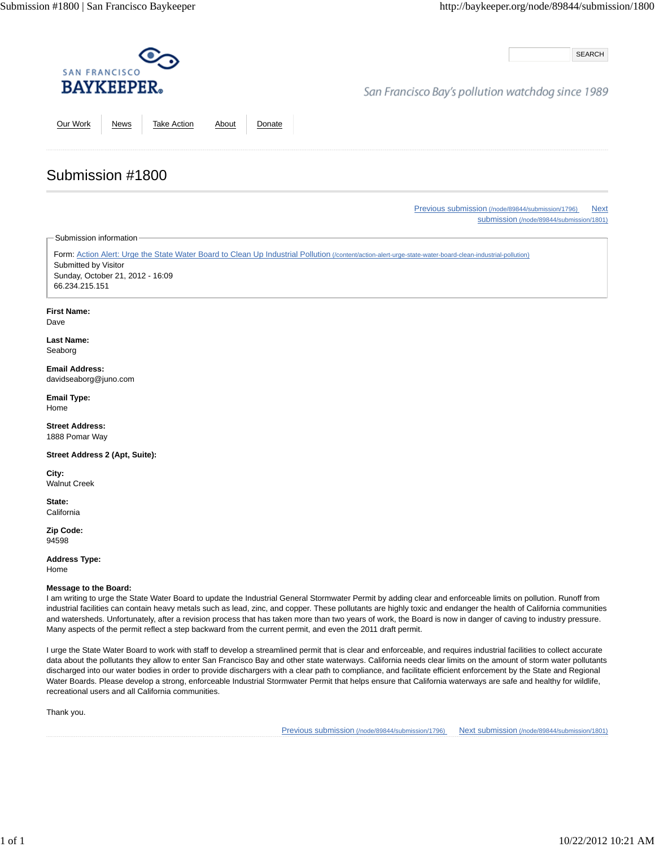SEARCH

## San Francisco Bay's pollution watchdog since 1989

Our Work News Take Action About Donate

Previous submission (/node/89844/submission/1796) Next submission (/node/89844/submission/1801)

Submission information

Submission #1800

Form: Action Alert: Urge the State Water Board to Clean Up Industrial Pollution (/content/action-alert-urge-state-water-board-clean-industrial-pollution) Submitted by Visitor Sunday, October 21, 2012 - 16:09 66.234.215.151

### **First Name:**

Dave

**Last Name:** Seaborg

#### **Email Address:** davidseaborg@juno.com

**Email Type:** Home

**Street Address:** 1888 Pomar Way

**Street Address 2 (Apt, Suite):**

**City:** Walnut Creek

**State: California** 

**Zip Code:** 94598

**Address Type:** Home

**Message to the Board:**

I am writing to urge the State Water Board to update the Industrial General Stormwater Permit by adding clear and enforceable limits on pollution. Runoff from industrial facilities can contain heavy metals such as lead, zinc, and copper. These pollutants are highly toxic and endanger the health of California communities and watersheds. Unfortunately, after a revision process that has taken more than two years of work, the Board is now in danger of caving to industry pressure. Many aspects of the permit reflect a step backward from the current permit, and even the 2011 draft permit.

I urge the State Water Board to work with staff to develop a streamlined permit that is clear and enforceable, and requires industrial facilities to collect accurate data about the pollutants they allow to enter San Francisco Bay and other state waterways. California needs clear limits on the amount of storm water pollutants discharged into our water bodies in order to provide dischargers with a clear path to compliance, and facilitate efficient enforcement by the State and Regional Water Boards. Please develop a strong, enforceable Industrial Stormwater Permit that helps ensure that California waterways are safe and healthy for wildlife, recreational users and all California communities.

Thank you.

Previous submission (/node/89844/submission/1796) Next submission (/node/89844/submission/1801)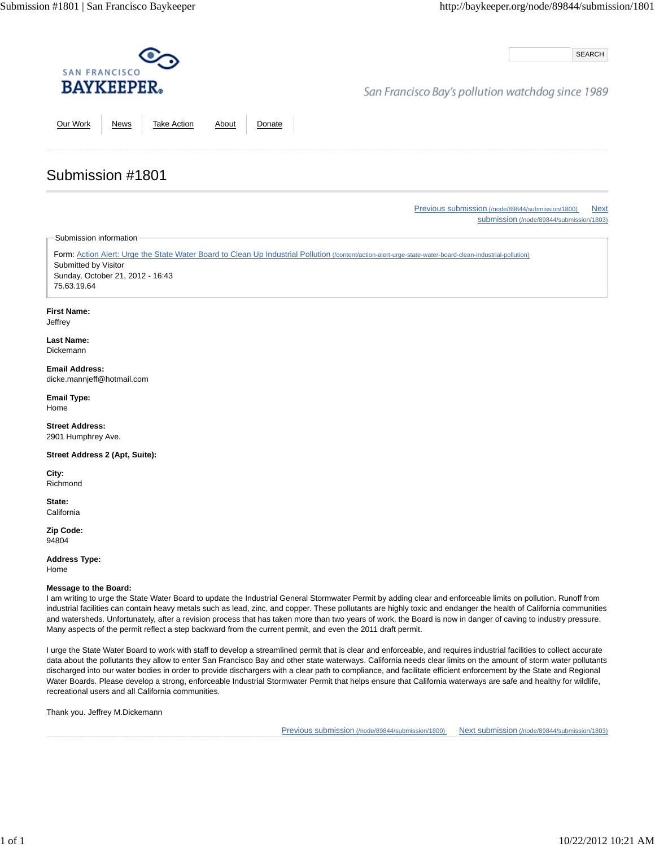SEARCH

## San Francisco Bay's pollution watchdog since 1989

Our Work News Take Action About Donate

#### Previous submission (/node/89844/submission/1800) Next submission (/node/89844/submission/1803)

Submission information

Submission #1801

Form: Action Alert: Urge the State Water Board to Clean Up Industrial Pollution (/content/action-alert-urge-state-water-board-clean-industrial-pollution) Submitted by Visitor Sunday, October 21, 2012 - 16:43 75.63.19.64

#### **First Name:**

**Jeffrey** 

#### **Last Name:** Dickemann

**Email Address:** dicke.mannjeff@hotmail.com

**Email Type:** Home

**Street Address:** 2901 Humphrey Ave.

**Street Address 2 (Apt, Suite):**

**City:** Richmond

**State: California** 

**Zip Code:** 94804

**Address Type:** Home

**Message to the Board:**

I am writing to urge the State Water Board to update the Industrial General Stormwater Permit by adding clear and enforceable limits on pollution. Runoff from industrial facilities can contain heavy metals such as lead, zinc, and copper. These pollutants are highly toxic and endanger the health of California communities and watersheds. Unfortunately, after a revision process that has taken more than two years of work, the Board is now in danger of caving to industry pressure. Many aspects of the permit reflect a step backward from the current permit, and even the 2011 draft permit.

I urge the State Water Board to work with staff to develop a streamlined permit that is clear and enforceable, and requires industrial facilities to collect accurate data about the pollutants they allow to enter San Francisco Bay and other state waterways. California needs clear limits on the amount of storm water pollutants discharged into our water bodies in order to provide dischargers with a clear path to compliance, and facilitate efficient enforcement by the State and Regional Water Boards. Please develop a strong, enforceable Industrial Stormwater Permit that helps ensure that California waterways are safe and healthy for wildlife, recreational users and all California communities.

Thank you. Jeffrey M.Dickemann

Previous submission (/node/89844/submission/1800) Next submission (/node/89844/submission/1803)